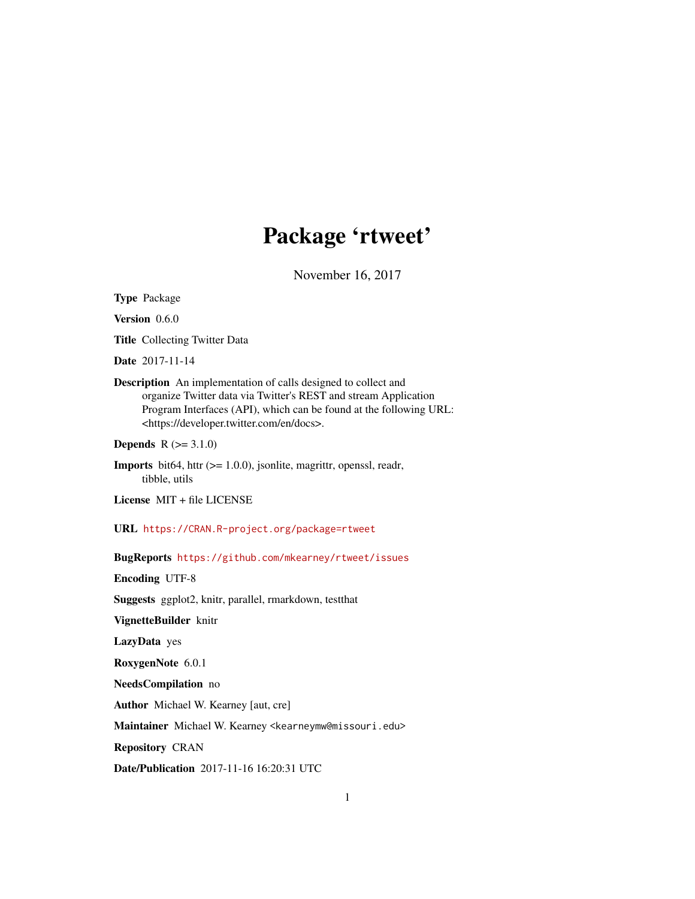# Package 'rtweet'

November 16, 2017

<span id="page-0-0"></span>Type Package

Version 0.6.0

Title Collecting Twitter Data

Date 2017-11-14

Description An implementation of calls designed to collect and organize Twitter data via Twitter's REST and stream Application Program Interfaces (API), which can be found at the following URL: <https://developer.twitter.com/en/docs>.

**Depends**  $R (= 3.1.0)$ 

Imports bit64, httr (>= 1.0.0), jsonlite, magrittr, openssl, readr, tibble, utils

License MIT + file LICENSE

URL <https://CRAN.R-project.org/package=rtweet>

BugReports <https://github.com/mkearney/rtweet/issues>

Encoding UTF-8

Suggests ggplot2, knitr, parallel, rmarkdown, testthat

VignetteBuilder knitr

LazyData yes

RoxygenNote 6.0.1

NeedsCompilation no

Author Michael W. Kearney [aut, cre]

Maintainer Michael W. Kearney <kearneymw@missouri.edu>

Repository CRAN

Date/Publication 2017-11-16 16:20:31 UTC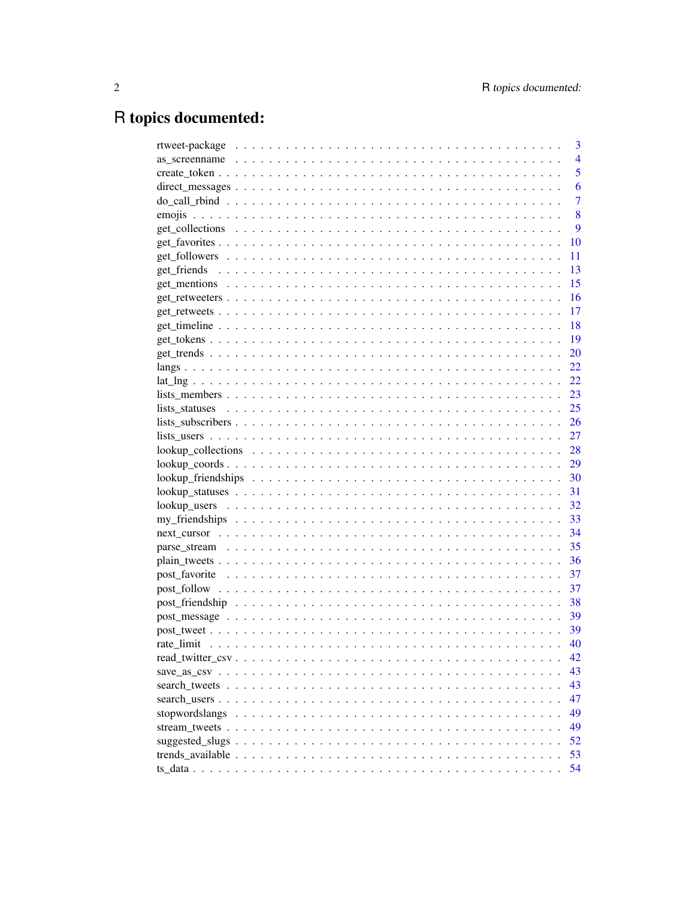# R topics documented:

| 3              |
|----------------|
| $\overline{4}$ |
| 5              |
| 6              |
| 7              |
| 8              |
| 9              |
| 10             |
| 11             |
| 13             |
| 15             |
| 16             |
| 17             |
| 18             |
| <b>19</b>      |
| <b>20</b>      |
| 22             |
|                |
|                |
|                |
|                |
|                |
|                |
|                |
|                |
| 31             |
|                |
|                |
|                |
|                |
|                |
|                |
| 37             |
| 37             |
| 38             |
| - 39           |
| - 39           |
| 40             |
| 42             |
| 43             |
| 43             |
| 47             |
| 49             |
| 49             |
| 52             |
| 53             |
| 54             |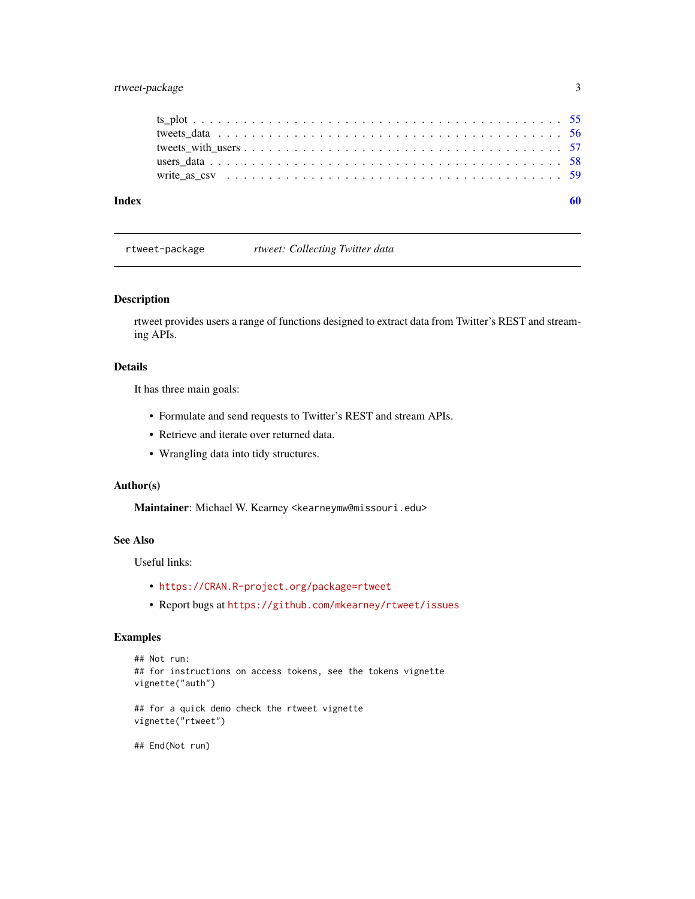# <span id="page-2-0"></span>rtweet-package 3

| Index |  |
|-------|--|
|       |  |
|       |  |
|       |  |
|       |  |
|       |  |

rtweet-package *rtweet: Collecting Twitter data*

# Description

rtweet provides users a range of functions designed to extract data from Twitter's REST and streaming APIs.

# Details

It has three main goals:

- Formulate and send requests to Twitter's REST and stream APIs.
- Retrieve and iterate over returned data.
- Wrangling data into tidy structures.

#### Author(s)

Maintainer: Michael W. Kearney <kearneymw@missouri.edu>

# See Also

Useful links:

- <https://CRAN.R-project.org/package=rtweet>
- Report bugs at <https://github.com/mkearney/rtweet/issues>

# Examples

```
## Not run:
## for instructions on access tokens, see the tokens vignette
vignette("auth")
## for a quick demo check the rtweet vignette
vignette("rtweet")
## End(Not run)
```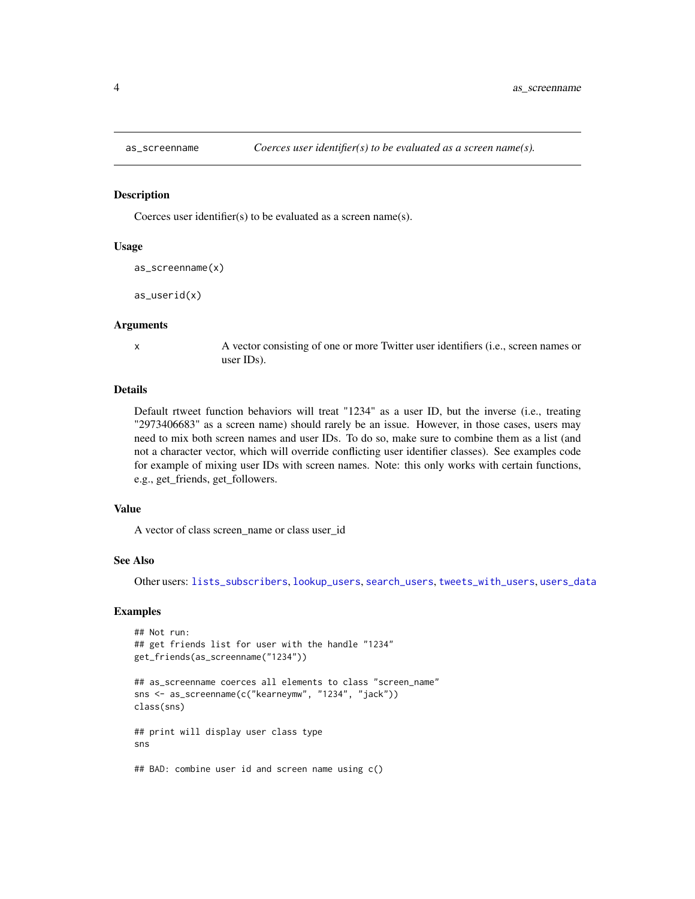<span id="page-3-1"></span><span id="page-3-0"></span>

#### Description

Coerces user identifier(s) to be evaluated as a screen name(s).

#### Usage

```
as_screenname(x)
```
as\_userid(x)

#### Arguments

x A vector consisting of one or more Twitter user identifiers (i.e., screen names or user IDs).

#### Details

Default rtweet function behaviors will treat "1234" as a user ID, but the inverse (i.e., treating "2973406683" as a screen name) should rarely be an issue. However, in those cases, users may need to mix both screen names and user IDs. To do so, make sure to combine them as a list (and not a character vector, which will override conflicting user identifier classes). See examples code for example of mixing user IDs with screen names. Note: this only works with certain functions, e.g., get\_friends, get\_followers.

#### Value

A vector of class screen\_name or class user\_id

#### See Also

Other users: [lists\\_subscribers](#page-25-1), [lookup\\_users](#page-31-1), [search\\_users](#page-46-1), [tweets\\_with\\_users](#page-56-1), [users\\_data](#page-57-1)

# Examples

```
## Not run:
## get friends list for user with the handle "1234"
get_friends(as_screenname("1234"))
## as_screenname coerces all elements to class "screen_name"
sns <- as_screenname(c("kearneymw", "1234", "jack"))
class(sns)
## print will display user class type
sns
## BAD: combine user id and screen name using c()
```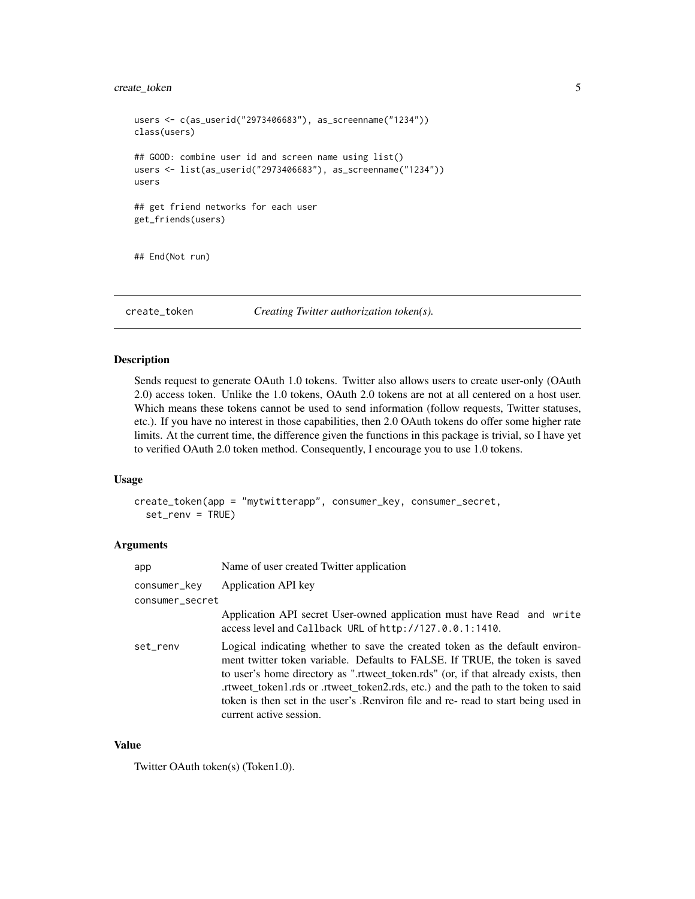# <span id="page-4-0"></span>create\_token 5

```
users <- c(as_userid("2973406683"), as_screenname("1234"))
class(users)
## GOOD: combine user id and screen name using list()
users <- list(as_userid("2973406683"), as_screenname("1234"))
users
## get friend networks for each user
get_friends(users)
## End(Not run)
```
<span id="page-4-1"></span>create\_token *Creating Twitter authorization token(s).*

#### Description

Sends request to generate OAuth 1.0 tokens. Twitter also allows users to create user-only (OAuth 2.0) access token. Unlike the 1.0 tokens, OAuth 2.0 tokens are not at all centered on a host user. Which means these tokens cannot be used to send information (follow requests, Twitter statuses, etc.). If you have no interest in those capabilities, then 2.0 OAuth tokens do offer some higher rate limits. At the current time, the difference given the functions in this package is trivial, so I have yet to verified OAuth 2.0 token method. Consequently, I encourage you to use 1.0 tokens.

# Usage

```
create_token(app = "mytwitterapp", consumer_key, consumer_secret,
  set_renv = TRUE)
```
#### Arguments

| app             | Name of user created Twitter application                                                                                                                                                                                                                                                                                                                                                                                                               |
|-----------------|--------------------------------------------------------------------------------------------------------------------------------------------------------------------------------------------------------------------------------------------------------------------------------------------------------------------------------------------------------------------------------------------------------------------------------------------------------|
| consumer_key    | Application API key                                                                                                                                                                                                                                                                                                                                                                                                                                    |
| consumer_secret |                                                                                                                                                                                                                                                                                                                                                                                                                                                        |
|                 | Application API secret User-owned application must have Read and write<br>access level and Callback URL of http://127.0.0.1:1410.                                                                                                                                                                                                                                                                                                                      |
| set renv        | Logical indicating whether to save the created token as the default environ-<br>ment twitter token variable. Defaults to FALSE. If TRUE, the token is saved<br>to user's home directory as ".rtweet_token.rds" (or, if that already exists, then<br>rtweet_token1.rds or .rtweet_token2.rds, etc.) and the path to the token to said.<br>token is then set in the user's .Renviron file and re- read to start being used in<br>current active session. |

#### Value

Twitter OAuth token(s) (Token1.0).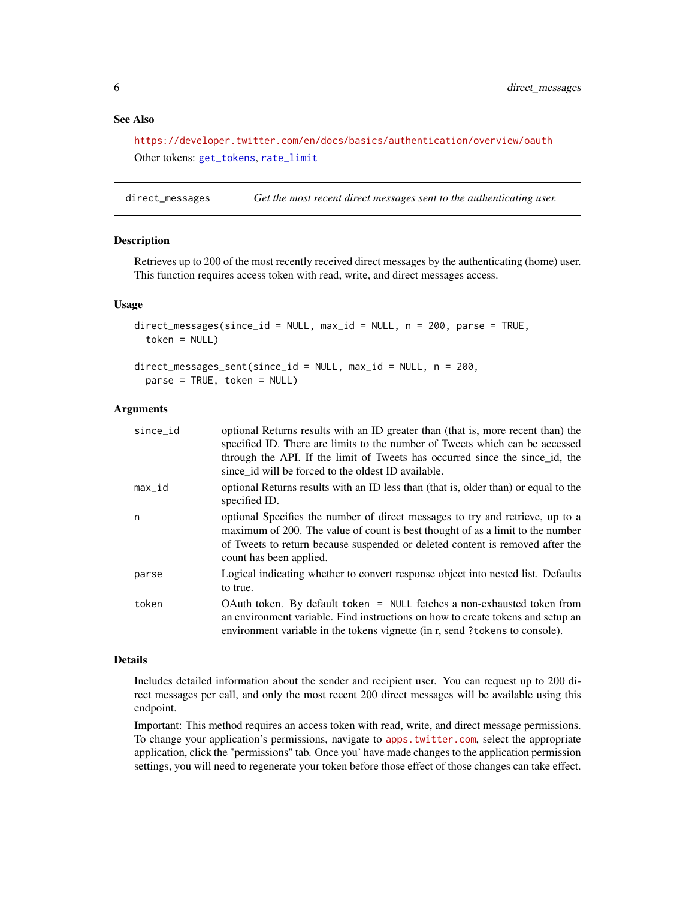# <span id="page-5-0"></span>See Also

<https://developer.twitter.com/en/docs/basics/authentication/overview/oauth> Other tokens: [get\\_tokens](#page-18-1), [rate\\_limit](#page-39-1)

direct\_messages *Get the most recent direct messages sent to the authenticating user.*

#### Description

Retrieves up to 200 of the most recently received direct messages by the authenticating (home) user. This function requires access token with read, write, and direct messages access.

#### Usage

```
direct_messages(since_id = NULL, max_id = NULL, n = 200, parse = TRUE,
  token = NULL)
direct_messages_sent(since_id = NULL, max_id = NULL, n = 200,
```

```
parse = TRUE, token = NULL)
```
#### Arguments

| optional Returns results with an ID greater than (that is, more recent than) the<br>specified ID. There are limits to the number of Tweets which can be accessed<br>through the API. If the limit of Tweets has occurred since the since id, the<br>since id will be forced to the oldest ID available. |
|---------------------------------------------------------------------------------------------------------------------------------------------------------------------------------------------------------------------------------------------------------------------------------------------------------|
| optional Returns results with an ID less than (that is, older than) or equal to the<br>specified ID.                                                                                                                                                                                                    |
| optional Specifies the number of direct messages to try and retrieve, up to a<br>maximum of 200. The value of count is best thought of as a limit to the number<br>of Tweets to return because suspended or deleted content is removed after the<br>count has been applied.                             |
| Logical indicating whether to convert response object into nested list. Defaults<br>to true.                                                                                                                                                                                                            |
| OAuth token. By default token = NULL fetches a non-exhausted token from<br>an environment variable. Find instructions on how to create tokens and setup an<br>environment variable in the tokens vignette (in r, send ?tokens to console).                                                              |
|                                                                                                                                                                                                                                                                                                         |

#### Details

Includes detailed information about the sender and recipient user. You can request up to 200 direct messages per call, and only the most recent 200 direct messages will be available using this endpoint.

Important: This method requires an access token with read, write, and direct message permissions. To change your application's permissions, navigate to <apps.twitter.com>, select the appropriate application, click the "permissions" tab. Once you' have made changes to the application permission settings, you will need to regenerate your token before those effect of those changes can take effect.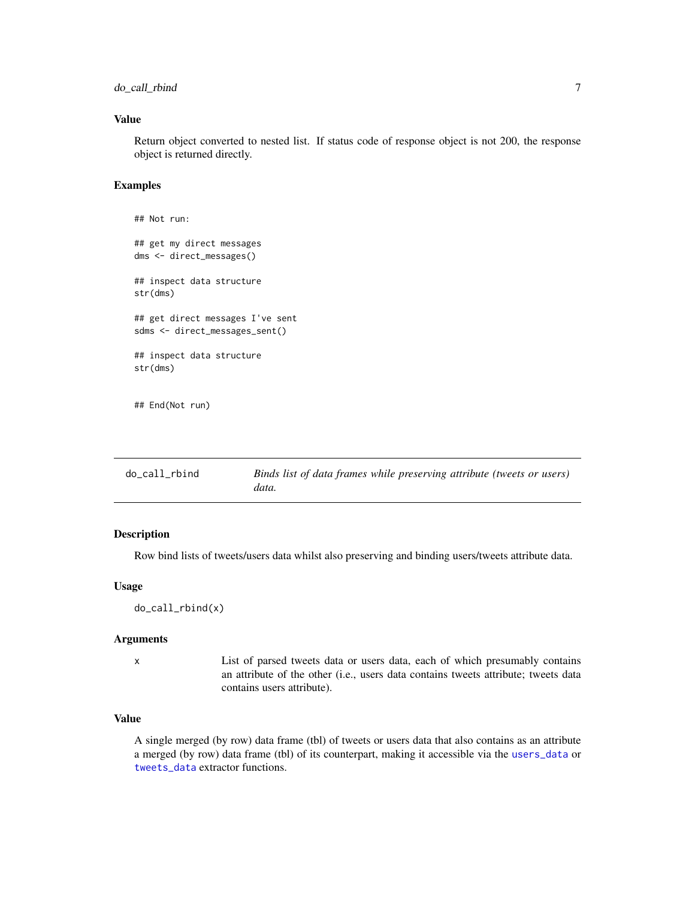<span id="page-6-0"></span>do\_call\_rbind 7

### Value

Return object converted to nested list. If status code of response object is not 200, the response object is returned directly.

#### Examples

```
## Not run:
## get my direct messages
dms <- direct_messages()
## inspect data structure
str(dms)
## get direct messages I've sent
sdms <- direct_messages_sent()
## inspect data structure
str(dms)
## End(Not run)
```
<span id="page-6-1"></span>

| do_call_rbind | Binds list of data frames while preserving attribute (tweets or users) |
|---------------|------------------------------------------------------------------------|
|               | data.                                                                  |

# Description

Row bind lists of tweets/users data whilst also preserving and binding users/tweets attribute data.

# Usage

do\_call\_rbind(x)

#### Arguments

x List of parsed tweets data or users data, each of which presumably contains an attribute of the other (i.e., users data contains tweets attribute; tweets data contains users attribute).

# Value

A single merged (by row) data frame (tbl) of tweets or users data that also contains as an attribute a merged (by row) data frame (tbl) of its counterpart, making it accessible via the [users\\_data](#page-57-1) or [tweets\\_data](#page-55-1) extractor functions.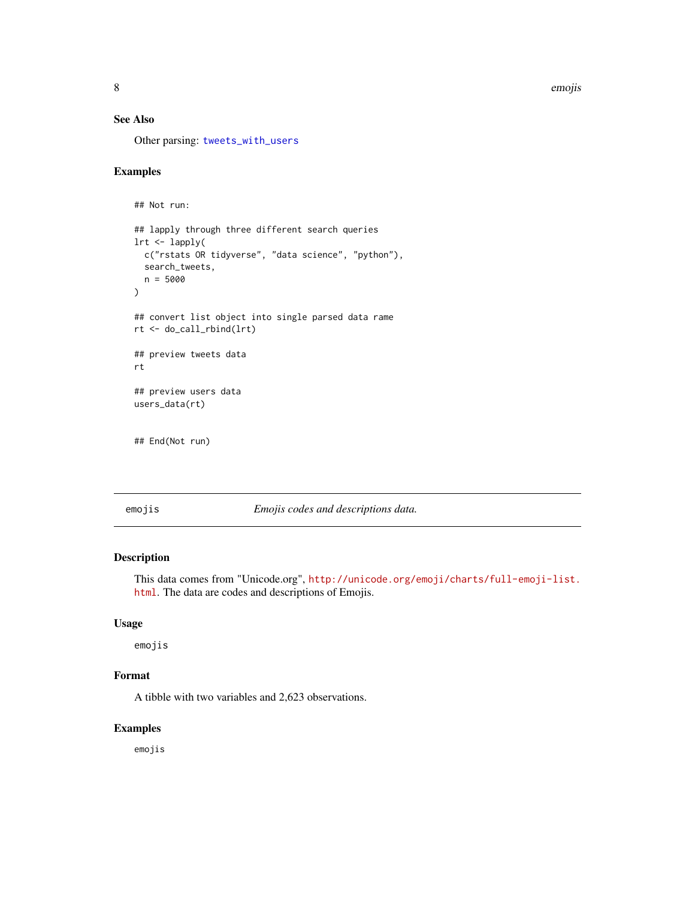<span id="page-7-0"></span>8 emojis emojis emojis emojis emojis emojis emojis emojis emojis emojis emojis emojis emojis emojis emojis emo

# See Also

Other parsing: [tweets\\_with\\_users](#page-56-1)

# Examples

```
## Not run:
## lapply through three different search queries
lrt <- lapply(
  c("rstats OR tidyverse", "data science", "python"),
  search_tweets,
  n = 5000
)
## convert list object into single parsed data rame
rt <- do_call_rbind(lrt)
## preview tweets data
rt
## preview users data
users_data(rt)
```
## End(Not run)

emojis *Emojis codes and descriptions data.*

# Description

This data comes from "Unicode.org", [http://unicode.org/emoji/charts/full-emoji-list.](http://unicode.org/emoji/charts/full-emoji-list.html) [html](http://unicode.org/emoji/charts/full-emoji-list.html). The data are codes and descriptions of Emojis.

# Usage

emojis

# Format

A tibble with two variables and 2,623 observations.

#### Examples

emojis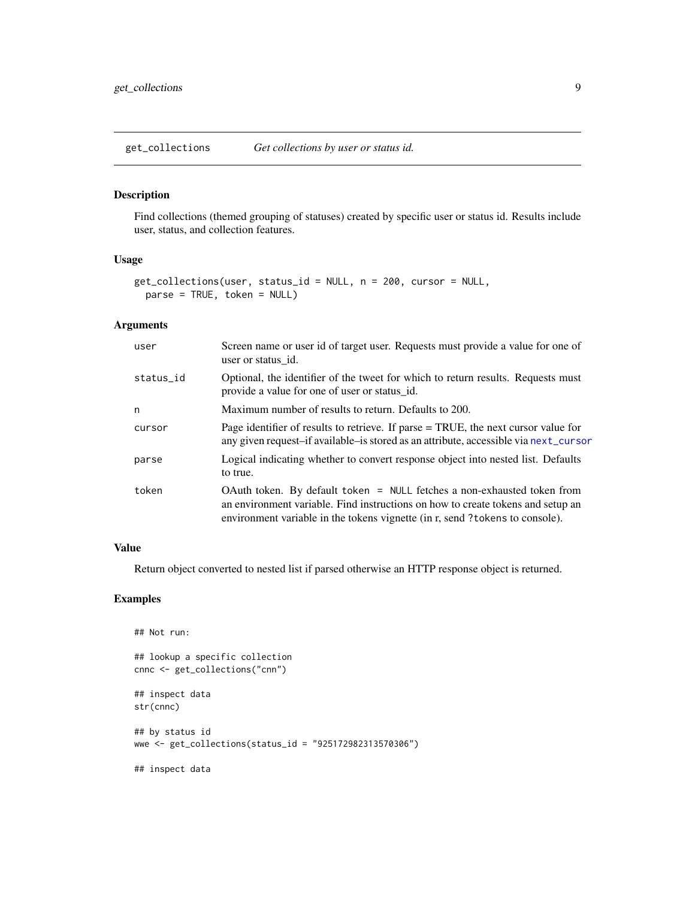<span id="page-8-0"></span>get\_collections *Get collections by user or status id.*

#### Description

Find collections (themed grouping of statuses) created by specific user or status id. Results include user, status, and collection features.

#### Usage

```
get_collections(user, status_id = NULL, n = 200, cursor = NULL,
 parse = TRUE, token = NULL)
```
# Arguments

| user      | Screen name or user id of target user. Requests must provide a value for one of<br>user or status id.                                                                                                                                         |
|-----------|-----------------------------------------------------------------------------------------------------------------------------------------------------------------------------------------------------------------------------------------------|
| status_id | Optional, the identifier of the tweet for which to return results. Requests must<br>provide a value for one of user or status_id.                                                                                                             |
| n         | Maximum number of results to return. Defaults to 200.                                                                                                                                                                                         |
| cursor    | Page identifier of results to retrieve. If parse = TRUE, the next cursor value for<br>any given request-if available-is stored as an attribute, accessible via next_cursor                                                                    |
| parse     | Logical indicating whether to convert response object into nested list. Defaults<br>to true.                                                                                                                                                  |
| token     | OAuth token. By default token $=$ NULL fetches a non-exhausted token from<br>an environment variable. Find instructions on how to create tokens and setup an<br>environment variable in the tokens vignette (in r, send ? tokens to console). |

#### Value

Return object converted to nested list if parsed otherwise an HTTP response object is returned.

# Examples

```
## Not run:
## lookup a specific collection
cnnc <- get_collections("cnn")
## inspect data
str(cnnc)
## by status id
wwe <- get_collections(status_id = "925172982313570306")
## inspect data
```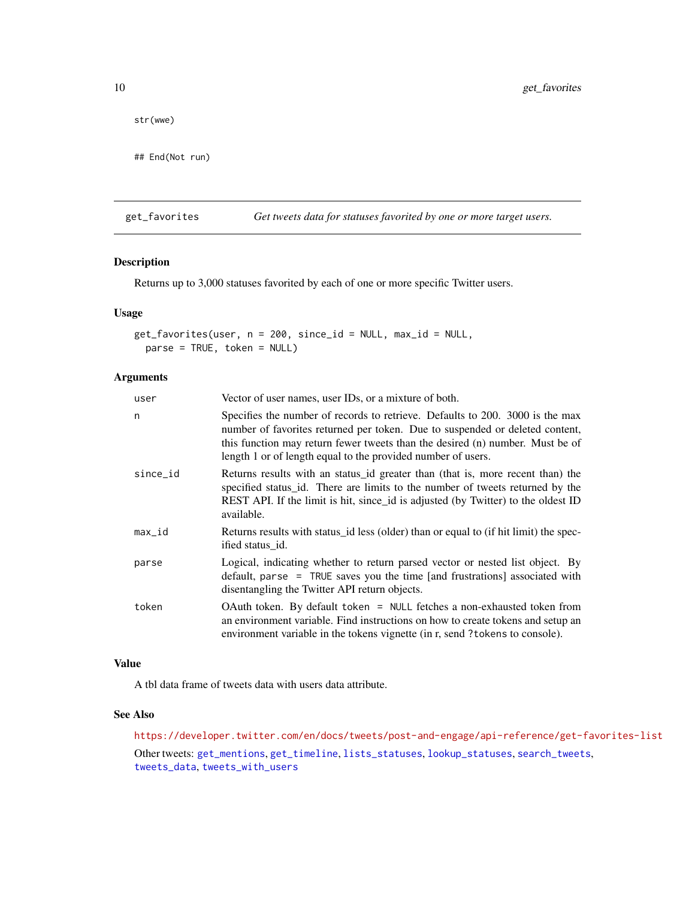str(wwe)

## End(Not run)

<span id="page-9-1"></span>get\_favorites *Get tweets data for statuses favorited by one or more target users.*

# Description

Returns up to 3,000 statuses favorited by each of one or more specific Twitter users.

# Usage

```
get_favorites(user, n = 200, since_id = NULL, max_id = NULL,
 parse = TRUE, token = NULL)
```
#### Arguments

| user     | Vector of user names, user IDs, or a mixture of both.                                                                                                                                                                                                                                                          |
|----------|----------------------------------------------------------------------------------------------------------------------------------------------------------------------------------------------------------------------------------------------------------------------------------------------------------------|
| n        | Specifies the number of records to retrieve. Defaults to 200. 3000 is the max<br>number of favorites returned per token. Due to suspended or deleted content,<br>this function may return fewer tweets than the desired (n) number. Must be of<br>length 1 or of length equal to the provided number of users. |
| since_id | Returns results with an status id greater than (that is, more recent than) the<br>specified status_id. There are limits to the number of tweets returned by the<br>REST API. If the limit is hit, since id is adjusted (by Twitter) to the oldest ID<br>available.                                             |
| $max_id$ | Returns results with status id less (older) than or equal to (if hit limit) the spec-<br>ified status id.                                                                                                                                                                                                      |
| parse    | Logical, indicating whether to return parsed vector or nested list object. By<br>default, parse = TRUE saves you the time [and frustrations] associated with<br>disentangling the Twitter API return objects.                                                                                                  |
| token    | OAuth token. By default token = NULL fetches a non-exhausted token from<br>an environment variable. Find instructions on how to create tokens and setup an<br>environment variable in the tokens vignette (in r, send ? tokens to console).                                                                    |

# Value

A tbl data frame of tweets data with users data attribute.

#### See Also

<https://developer.twitter.com/en/docs/tweets/post-and-engage/api-reference/get-favorites-list> Other tweets: [get\\_mentions](#page-14-1), [get\\_timeline](#page-17-1), [lists\\_statuses](#page-24-1), [lookup\\_statuses](#page-30-1), [search\\_tweets](#page-42-1), [tweets\\_data](#page-55-1), [tweets\\_with\\_users](#page-56-1)

<span id="page-9-0"></span>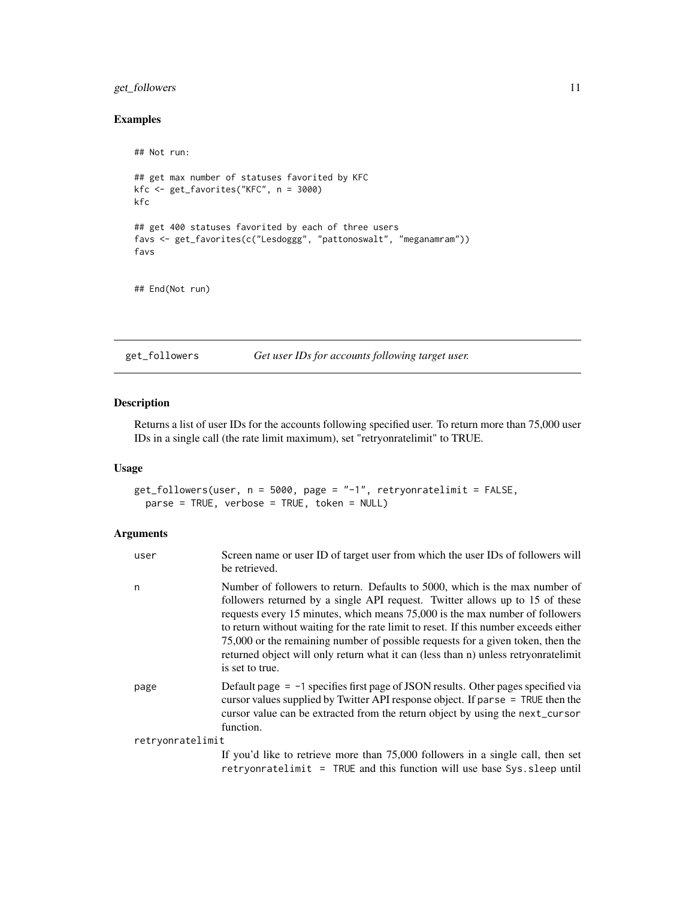# <span id="page-10-0"></span>get\_followers 11

# Examples

```
## Not run:
## get max number of statuses favorited by KFC
kfc <- get_favorites("KFC", n = 3000)
kfc
## get 400 statuses favorited by each of three users
favs <- get_favorites(c("Lesdoggg", "pattonoswalt", "meganamram"))
favs
```
## End(Not run)

<span id="page-10-1"></span>get\_followers *Get user IDs for accounts following target user.*

# Description

Returns a list of user IDs for the accounts following specified user. To return more than 75,000 user IDs in a single call (the rate limit maximum), set "retryonratelimit" to TRUE.

# Usage

get\_followers(user, n = 5000, page = "-1", retryonratelimit = FALSE, parse = TRUE, verbose = TRUE, token = NULL)

#### Arguments

| user             | Screen name or user ID of target user from which the user IDs of followers will<br>be retrieved.                                                                                                                                                                                                                                                                                                                                                                                                                                |
|------------------|---------------------------------------------------------------------------------------------------------------------------------------------------------------------------------------------------------------------------------------------------------------------------------------------------------------------------------------------------------------------------------------------------------------------------------------------------------------------------------------------------------------------------------|
| n                | Number of followers to return. Defaults to 5000, which is the max number of<br>followers returned by a single API request. Twitter allows up to 15 of these<br>requests every 15 minutes, which means 75,000 is the max number of followers<br>to return without waiting for the rate limit to reset. If this number exceeds either<br>75,000 or the remaining number of possible requests for a given token, then the<br>returned object will only return what it can (less than n) unless retryonratelimit<br>is set to true. |
| page             | Default page $= -1$ specifies first page of JSON results. Other pages specified via<br>cursor values supplied by Twitter API response object. If parse $=$ TRUE then the<br>cursor value can be extracted from the return object by using the next_cursor<br>function.                                                                                                                                                                                                                                                          |
| retryonratelimit |                                                                                                                                                                                                                                                                                                                                                                                                                                                                                                                                 |
|                  | If you'd like to retrieve more than 75,000 followers in a single call, then set                                                                                                                                                                                                                                                                                                                                                                                                                                                 |

retryonratelimit = TRUE and this function will use base Sys.sleep until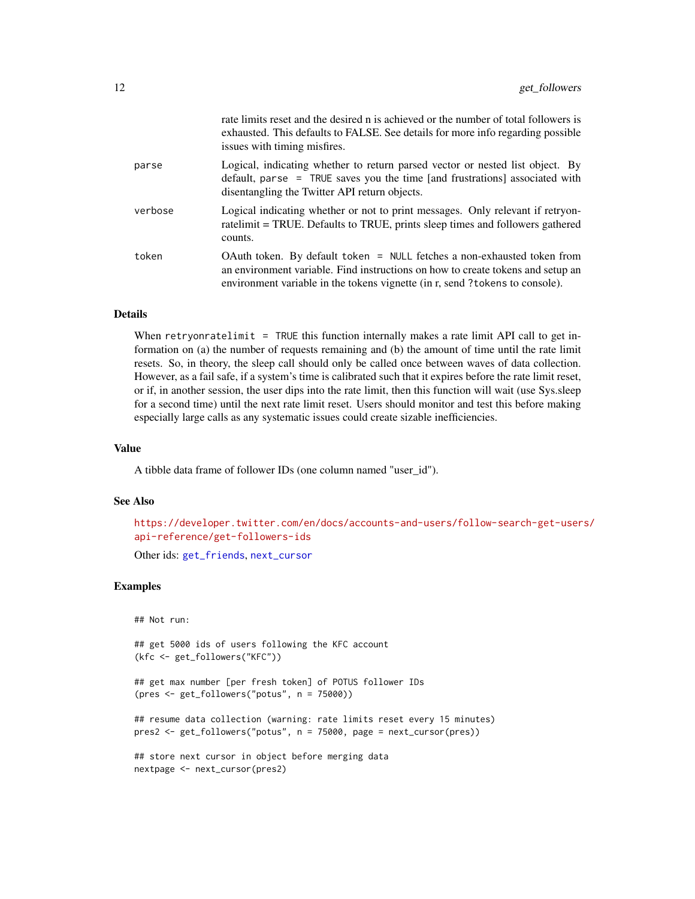<span id="page-11-0"></span>

|         | rate limits reset and the desired n is achieved or the number of total followers is<br>exhausted. This defaults to FALSE. See details for more info regarding possible<br>issues with timing misfires.                                      |
|---------|---------------------------------------------------------------------------------------------------------------------------------------------------------------------------------------------------------------------------------------------|
| parse   | Logical, indicating whether to return parsed vector or nested list object. By<br>default, parse = TRUE saves you the time [and frustrations] associated with<br>disentangling the Twitter API return objects.                               |
| verbose | Logical indicating whether or not to print messages. Only relevant if retryon-<br>ratelimit = TRUE. Defaults to TRUE, prints sleep times and followers gathered<br>counts.                                                                  |
| token   | OAuth token. By default token = NULL fetches a non-exhausted token from<br>an environment variable. Find instructions on how to create tokens and setup an<br>environment variable in the tokens vignette (in r, send ? tokens to console). |

#### Details

When retryonratelimit = TRUE this function internally makes a rate limit API call to get information on (a) the number of requests remaining and (b) the amount of time until the rate limit resets. So, in theory, the sleep call should only be called once between waves of data collection. However, as a fail safe, if a system's time is calibrated such that it expires before the rate limit reset, or if, in another session, the user dips into the rate limit, then this function will wait (use Sys.sleep for a second time) until the next rate limit reset. Users should monitor and test this before making especially large calls as any systematic issues could create sizable inefficiencies.

#### Value

A tibble data frame of follower IDs (one column named "user\_id").

#### See Also

[https://developer.twitter.com/en/docs/accounts-and-users/follow-search-get-user](https://developer.twitter.com/en/docs/accounts-and-users/follow-search-get-users/api-reference/get-followers-ids)s/ [api-reference/get-followers-ids](https://developer.twitter.com/en/docs/accounts-and-users/follow-search-get-users/api-reference/get-followers-ids)

Other ids: [get\\_friends](#page-12-1), [next\\_cursor](#page-33-1)

#### Examples

## Not run:

## get 5000 ids of users following the KFC account (kfc <- get\_followers("KFC"))

## get max number [per fresh token] of POTUS follower IDs (pres <- get\_followers("potus", n = 75000))

## resume data collection (warning: rate limits reset every 15 minutes) pres2 <- get\_followers("potus", n = 75000, page = next\_cursor(pres))

## store next cursor in object before merging data nextpage <- next\_cursor(pres2)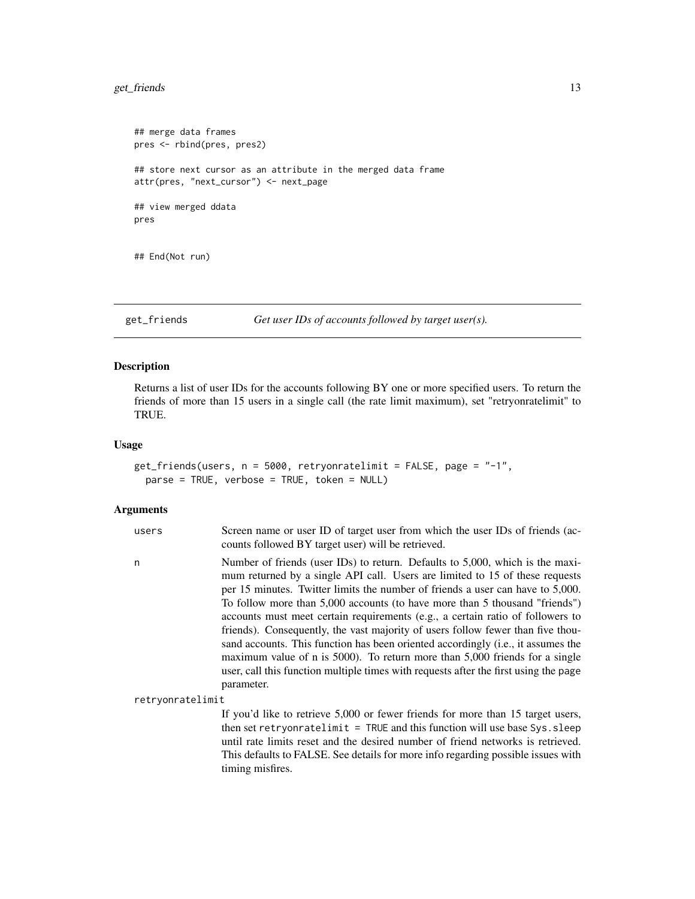# <span id="page-12-0"></span>get\_friends 13

```
## merge data frames
pres <- rbind(pres, pres2)
## store next cursor as an attribute in the merged data frame
attr(pres, "next_cursor") <- next_page
## view merged ddata
pres
## End(Not run)
```
<span id="page-12-1"></span>get\_friends *Get user IDs of accounts followed by target user(s).*

# Description

Returns a list of user IDs for the accounts following BY one or more specified users. To return the friends of more than 15 users in a single call (the rate limit maximum), set "retryonratelimit" to TRUE.

# Usage

```
get_friends(users, n = 5000, retryonratelimit = FALSE, page = "-1",
 parse = TRUE, verbose = TRUE, token = NULL)
```
#### Arguments

| users            | Screen name or user ID of target user from which the user IDs of friends (ac-<br>counts followed BY target user) will be retrieved.                                                                                                                                                                                                                                                                                                                                                                                                                                                                                                                                                                                                                                          |
|------------------|------------------------------------------------------------------------------------------------------------------------------------------------------------------------------------------------------------------------------------------------------------------------------------------------------------------------------------------------------------------------------------------------------------------------------------------------------------------------------------------------------------------------------------------------------------------------------------------------------------------------------------------------------------------------------------------------------------------------------------------------------------------------------|
| n                | Number of friends (user IDs) to return. Defaults to 5,000, which is the maxi-<br>mum returned by a single API call. Users are limited to 15 of these requests<br>per 15 minutes. Twitter limits the number of friends a user can have to 5,000.<br>To follow more than 5,000 accounts (to have more than 5 thousand "friends")<br>accounts must meet certain requirements (e.g., a certain ratio of followers to<br>friends). Consequently, the vast majority of users follow fewer than five thou-<br>sand accounts. This function has been oriented accordingly (i.e., it assumes the<br>maximum value of n is 5000). To return more than 5,000 friends for a single<br>user, call this function multiple times with requests after the first using the page<br>parameter. |
| retryonratelimit |                                                                                                                                                                                                                                                                                                                                                                                                                                                                                                                                                                                                                                                                                                                                                                              |
|                  | If you'd like to retrieve 5,000 or fewer friends for more than 15 target users,<br>then set retryonratelimit $=$ TRUE and this function will use base Sys. sleep<br>until rate limits reset and the desired number of friend networks is retrieved.                                                                                                                                                                                                                                                                                                                                                                                                                                                                                                                          |

until rate limits reset and the desired number of friend networks is retrieved. This defaults to FALSE. See details for more info regarding possible issues with timing misfires.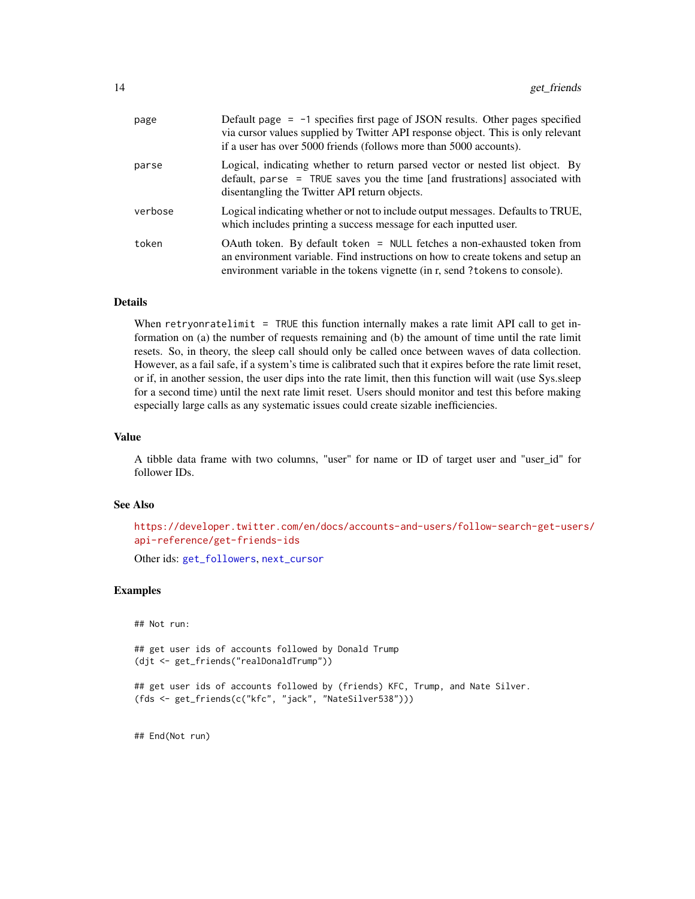<span id="page-13-0"></span>

| page    | Default page $= -1$ specifies first page of JSON results. Other pages specified<br>via cursor values supplied by Twitter API response object. This is only relevant<br>if a user has over 5000 friends (follows more than 5000 accounts).   |
|---------|---------------------------------------------------------------------------------------------------------------------------------------------------------------------------------------------------------------------------------------------|
| parse   | Logical, indicating whether to return parsed vector or nested list object. By<br>default, parse = TRUE saves you the time [and frustrations] associated with<br>disentangling the Twitter API return objects.                               |
| verbose | Logical indicating whether or not to include output messages. Defaults to TRUE,<br>which includes printing a success message for each inputted user.                                                                                        |
| token   | OAuth token. By default token = NULL fetches a non-exhausted token from<br>an environment variable. Find instructions on how to create tokens and setup an<br>environment variable in the tokens vignette (in r, send ? tokens to console). |

#### Details

When retryonratelimit = TRUE this function internally makes a rate limit API call to get information on (a) the number of requests remaining and (b) the amount of time until the rate limit resets. So, in theory, the sleep call should only be called once between waves of data collection. However, as a fail safe, if a system's time is calibrated such that it expires before the rate limit reset, or if, in another session, the user dips into the rate limit, then this function will wait (use Sys.sleep for a second time) until the next rate limit reset. Users should monitor and test this before making especially large calls as any systematic issues could create sizable inefficiencies.

#### Value

A tibble data frame with two columns, "user" for name or ID of target user and "user\_id" for follower IDs.

#### See Also

```
https://developer.twitter.com/en/docs/accounts-and-users/follow-search-get-users/
api-reference/get-friends-ids
```
Other ids: [get\\_followers](#page-10-1), [next\\_cursor](#page-33-1)

#### Examples

## Not run:

## get user ids of accounts followed by Donald Trump (djt <- get\_friends("realDonaldTrump"))

```
## get user ids of accounts followed by (friends) KFC, Trump, and Nate Silver.
(fds <- get_friends(c("kfc", "jack", "NateSilver538")))
```
## End(Not run)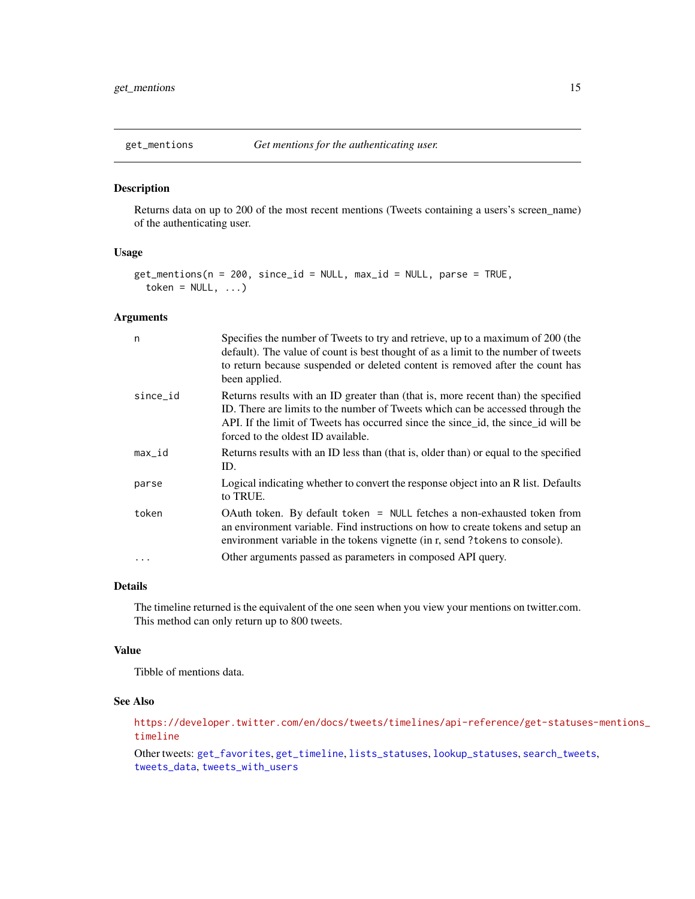<span id="page-14-1"></span><span id="page-14-0"></span>

#### Description

Returns data on up to 200 of the most recent mentions (Tweets containing a users's screen\_name) of the authenticating user.

# Usage

```
get_mentions(n = 200, since_id = NULL, max_id = NULL, parse = TRUE,
  token = NULL, ...)
```
# Arguments

| n        | Specifies the number of Tweets to try and retrieve, up to a maximum of 200 (the<br>default). The value of count is best thought of as a limit to the number of tweets<br>to return because suspended or deleted content is removed after the count has<br>been applied.                        |
|----------|------------------------------------------------------------------------------------------------------------------------------------------------------------------------------------------------------------------------------------------------------------------------------------------------|
| since_id | Returns results with an ID greater than (that is, more recent than) the specified<br>ID. There are limits to the number of Tweets which can be accessed through the<br>API. If the limit of Tweets has occurred since the since id, the since id will be<br>forced to the oldest ID available. |
| $max_id$ | Returns results with an ID less than (that is, older than) or equal to the specified<br>ID.                                                                                                                                                                                                    |
| parse    | Logical indicating whether to convert the response object into an R list. Defaults<br>to TRUE.                                                                                                                                                                                                 |
| token    | OAuth token. By default token = NULL fetches a non-exhausted token from<br>an environment variable. Find instructions on how to create tokens and setup an<br>environment variable in the tokens vignette (in r, send ?tokens to console).                                                     |
| .        | Other arguments passed as parameters in composed API query.                                                                                                                                                                                                                                    |

# Details

The timeline returned is the equivalent of the one seen when you view your mentions on twitter.com. This method can only return up to 800 tweets.

#### Value

Tibble of mentions data.

# See Also

[https://developer.twitter.com/en/docs/tweets/timelines/api-reference/get-statuse](https://developer.twitter.com/en/docs/tweets/timelines/api-reference/get-statuses-mentions_timeline)s-mentions\_ [timeline](https://developer.twitter.com/en/docs/tweets/timelines/api-reference/get-statuses-mentions_timeline)

Other tweets: [get\\_favorites](#page-9-1), [get\\_timeline](#page-17-1), [lists\\_statuses](#page-24-1), [lookup\\_statuses](#page-30-1), [search\\_tweets](#page-42-1), [tweets\\_data](#page-55-1), [tweets\\_with\\_users](#page-56-1)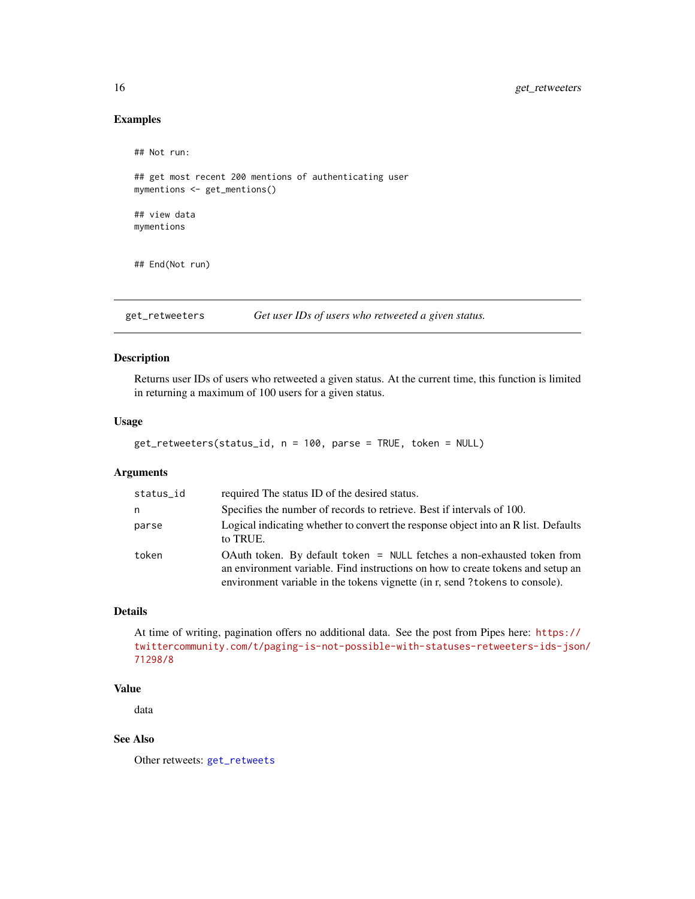# Examples

```
## Not run:
## get most recent 200 mentions of authenticating user
mymentions <- get_mentions()
## view data
mymentions
## End(Not run)
```
<span id="page-15-1"></span>get\_retweeters *Get user IDs of users who retweeted a given status.*

# Description

Returns user IDs of users who retweeted a given status. At the current time, this function is limited in returning a maximum of 100 users for a given status.

#### Usage

```
get_retweeters(status_id, n = 100, parse = TRUE, token = NULL)
```
#### Arguments

| status_id | required The status ID of the desired status.                                                                                                                                                                                              |
|-----------|--------------------------------------------------------------------------------------------------------------------------------------------------------------------------------------------------------------------------------------------|
| n         | Specifies the number of records to retrieve. Best if intervals of 100.                                                                                                                                                                     |
| parse     | Logical indicating whether to convert the response object into an R list. Defaults<br>to TRUE.                                                                                                                                             |
| token     | OAuth token. By default token = NULL fetches a non-exhausted token from<br>an environment variable. Find instructions on how to create tokens and setup an<br>environment variable in the tokens vignette (in r, send ?tokens to console). |

# Details

At time of writing, pagination offers no additional data. See the post from Pipes here: [https://](https://twittercommunity.com/t/paging-is-not-possible-with-statuses-retweeters-ids-json/71298/8) [twittercommunity.com/t/paging-is-not-possible-with-statuses-retweeters-ids-json](https://twittercommunity.com/t/paging-is-not-possible-with-statuses-retweeters-ids-json/71298/8)/ [71298/8](https://twittercommunity.com/t/paging-is-not-possible-with-statuses-retweeters-ids-json/71298/8)

#### Value

data

# See Also

Other retweets: [get\\_retweets](#page-16-1)

<span id="page-15-0"></span>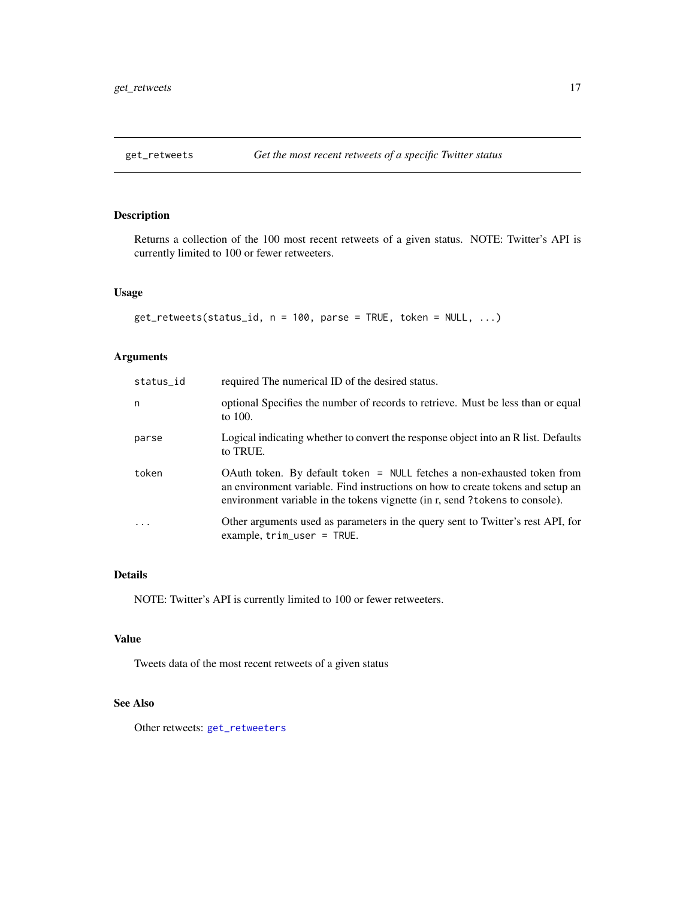<span id="page-16-1"></span><span id="page-16-0"></span>

# Description

Returns a collection of the 100 most recent retweets of a given status. NOTE: Twitter's API is currently limited to 100 or fewer retweeters.

#### Usage

get\_retweets(status\_id, n = 100, parse = TRUE, token = NULL, ...)

# Arguments

| status_id | required The numerical ID of the desired status.                                                                                                                                                                                            |
|-----------|---------------------------------------------------------------------------------------------------------------------------------------------------------------------------------------------------------------------------------------------|
| n         | optional Specifies the number of records to retrieve. Must be less than or equal<br>to 100.                                                                                                                                                 |
| parse     | Logical indicating whether to convert the response object into an R list. Defaults<br>to TRUE.                                                                                                                                              |
| token     | OAuth token. By default token = NULL fetches a non-exhausted token from<br>an environment variable. Find instructions on how to create tokens and setup an<br>environment variable in the tokens vignette (in r, send ? tokens to console). |
| .         | Other arguments used as parameters in the query sent to Twitter's rest API, for<br>example, $trim\_user = TRUE$ .                                                                                                                           |

### Details

NOTE: Twitter's API is currently limited to 100 or fewer retweeters.

#### Value

Tweets data of the most recent retweets of a given status

# See Also

Other retweets: [get\\_retweeters](#page-15-1)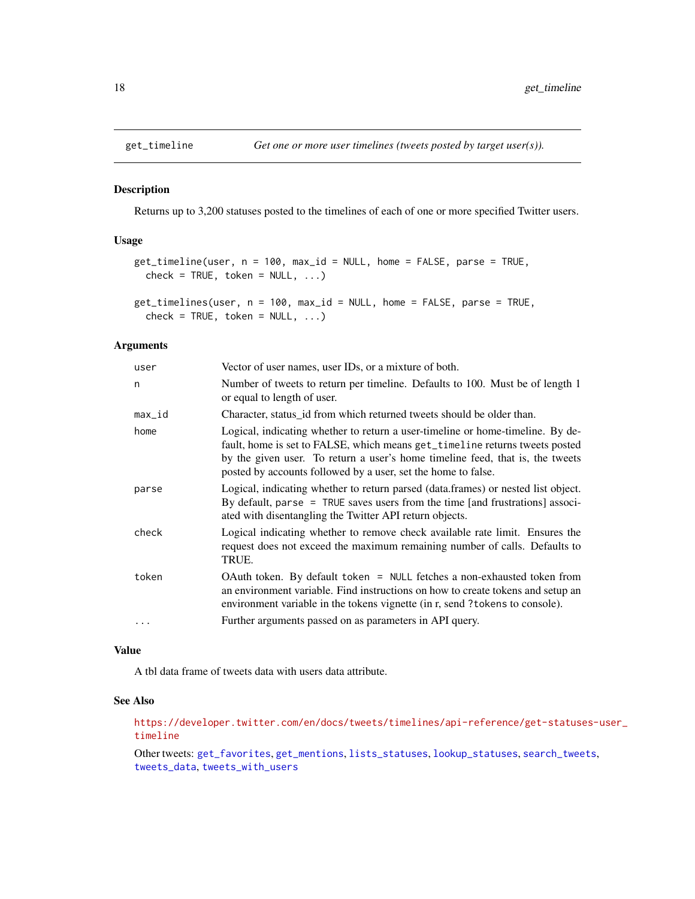# Description

Returns up to 3,200 statuses posted to the timelines of each of one or more specified Twitter users.

#### Usage

```
get_timeline(user, n = 100, max_id = NULL, home = FALSE, parse = TRUE,
 check = TRUE, token = NULL, ...)
```

```
get_timelines(user, n = 100, max_id = NULL, home = FALSE, parse = TRUE,
  check = TRUE, token = NULL, ...)
```
# Arguments

| user     | Vector of user names, user IDs, or a mixture of both.                                                                                                                                                                                                                                                           |
|----------|-----------------------------------------------------------------------------------------------------------------------------------------------------------------------------------------------------------------------------------------------------------------------------------------------------------------|
| n        | Number of tweets to return per timeline. Defaults to 100. Must be of length 1<br>or equal to length of user.                                                                                                                                                                                                    |
| max_id   | Character, status id from which returned tweets should be older than.                                                                                                                                                                                                                                           |
| home     | Logical, indicating whether to return a user-timeline or home-timeline. By de-<br>fault, home is set to FALSE, which means get_timeline returns tweets posted<br>by the given user. To return a user's home timeline feed, that is, the tweets<br>posted by accounts followed by a user, set the home to false. |
| parse    | Logical, indicating whether to return parsed (data.frames) or nested list object.<br>By default, parse = TRUE saves users from the time [and frustrations] associ-<br>ated with disentangling the Twitter API return objects.                                                                                   |
| check    | Logical indicating whether to remove check available rate limit. Ensures the<br>request does not exceed the maximum remaining number of calls. Defaults to<br>TRUE.                                                                                                                                             |
| token    | OAuth token. By default token = NULL fetches a non-exhausted token from<br>an environment variable. Find instructions on how to create tokens and setup an<br>environment variable in the tokens vignette (in r, send?tokens to console).                                                                       |
| $\cdots$ | Further arguments passed on as parameters in API query.                                                                                                                                                                                                                                                         |

#### Value

A tbl data frame of tweets data with users data attribute.

#### See Also

[https://developer.twitter.com/en/docs/tweets/timelines/api-reference/get-statuse](https://developer.twitter.com/en/docs/tweets/timelines/api-reference/get-statuses-user_timeline)s-user\_ [timeline](https://developer.twitter.com/en/docs/tweets/timelines/api-reference/get-statuses-user_timeline)

Other tweets: [get\\_favorites](#page-9-1), [get\\_mentions](#page-14-1), [lists\\_statuses](#page-24-1), [lookup\\_statuses](#page-30-1), [search\\_tweets](#page-42-1), [tweets\\_data](#page-55-1), [tweets\\_with\\_users](#page-56-1)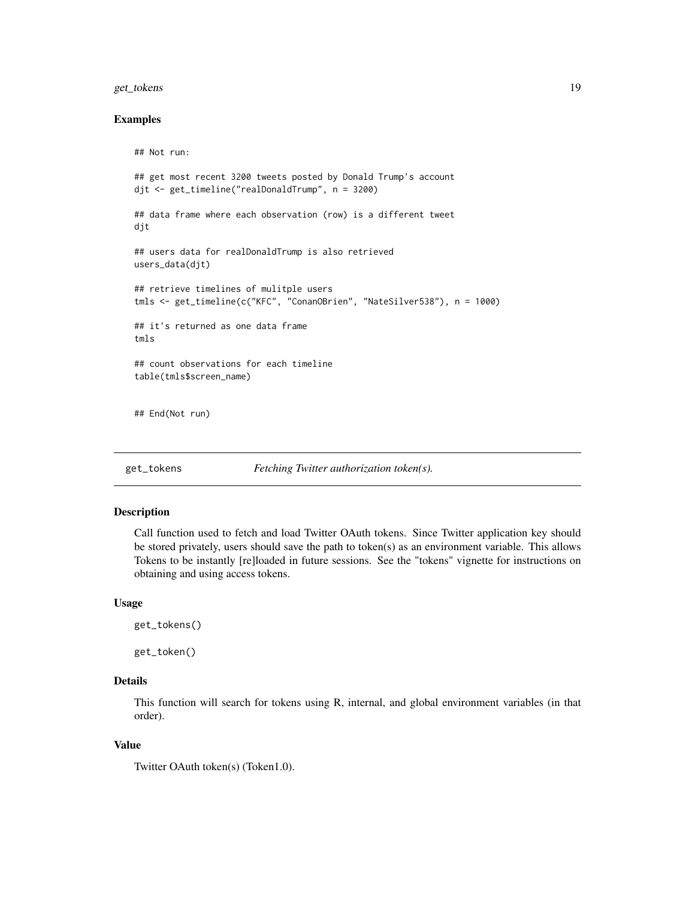# <span id="page-18-0"></span>get\_tokens 19

#### Examples

```
## Not run:
## get most recent 3200 tweets posted by Donald Trump's account
djt <- get_timeline("realDonaldTrump", n = 3200)
## data frame where each observation (row) is a different tweet
djt
## users data for realDonaldTrump is also retrieved
users_data(djt)
## retrieve timelines of mulitple users
tmls <- get_timeline(c("KFC", "ConanOBrien", "NateSilver538"), n = 1000)
## it's returned as one data frame
tmls
## count observations for each timeline
table(tmls$screen_name)
## End(Not run)
```
<span id="page-18-1"></span>get\_tokens *Fetching Twitter authorization token(s).*

# Description

Call function used to fetch and load Twitter OAuth tokens. Since Twitter application key should be stored privately, users should save the path to token(s) as an environment variable. This allows Tokens to be instantly [re]loaded in future sessions. See the "tokens" vignette for instructions on obtaining and using access tokens.

#### Usage

```
get_tokens()
```
get\_token()

# Details

This function will search for tokens using R, internal, and global environment variables (in that order).

#### Value

Twitter OAuth token(s) (Token1.0).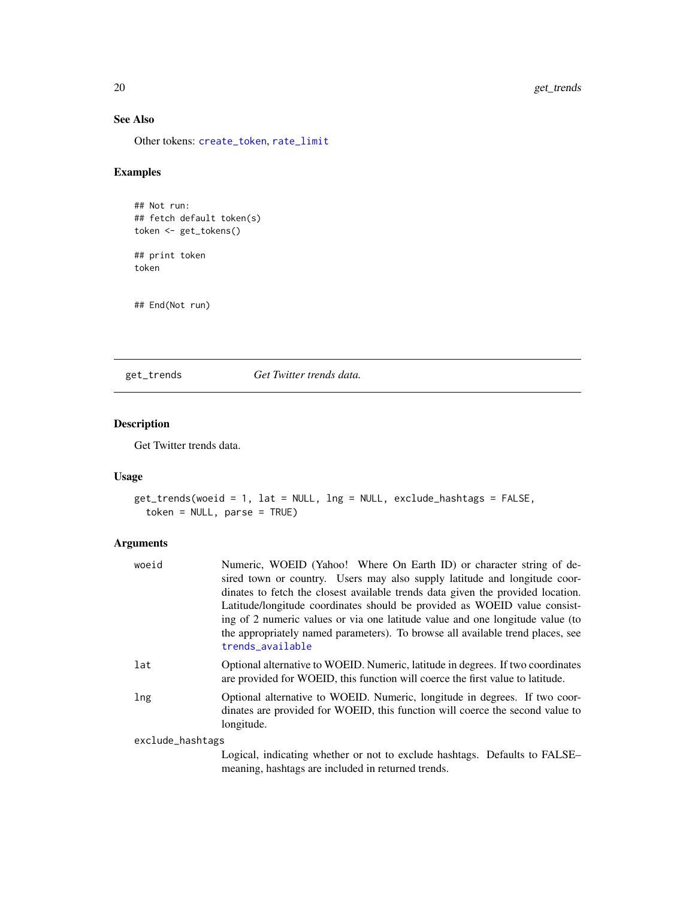# See Also

Other tokens: [create\\_token](#page-4-1), [rate\\_limit](#page-39-1)

# Examples

```
## Not run:
## fetch default token(s)
token <- get_tokens()
## print token
token
```
## End(Not run)

<span id="page-19-1"></span>get\_trends *Get Twitter trends data.*

# Description

Get Twitter trends data.

# Usage

```
get_trends(woeid = 1, lat = NULL, lng = NULL, exclude_hashtags = FALSE,
  token = NULL, parse = TRUE)
```
# Arguments

| woeid            | Numeric, WOEID (Yahoo! Where On Earth ID) or character string of de-<br>sired town or country. Users may also supply latitude and longitude coor-<br>dinates to fetch the closest available trends data given the provided location.<br>Latitude/longitude coordinates should be provided as WOEID value consist-<br>ing of 2 numeric values or via one latitude value and one longitude value (to<br>the appropriately named parameters). To browse all available trend places, see<br>trends_available |
|------------------|----------------------------------------------------------------------------------------------------------------------------------------------------------------------------------------------------------------------------------------------------------------------------------------------------------------------------------------------------------------------------------------------------------------------------------------------------------------------------------------------------------|
|                  |                                                                                                                                                                                                                                                                                                                                                                                                                                                                                                          |
| lat              | Optional alternative to WOEID. Numeric, latitude in degrees. If two coordinates<br>are provided for WOEID, this function will coerce the first value to latitude.                                                                                                                                                                                                                                                                                                                                        |
| lng              | Optional alternative to WOEID. Numeric, longitude in degrees. If two coor-<br>dinates are provided for WOEID, this function will coerce the second value to<br>longitude.                                                                                                                                                                                                                                                                                                                                |
| exclude_hashtags |                                                                                                                                                                                                                                                                                                                                                                                                                                                                                                          |
|                  | Logical, indicating whether or not to exclude hashtags. Defaults to FALSE–<br>meaning, hashtags are included in returned trends.                                                                                                                                                                                                                                                                                                                                                                         |

<span id="page-19-0"></span>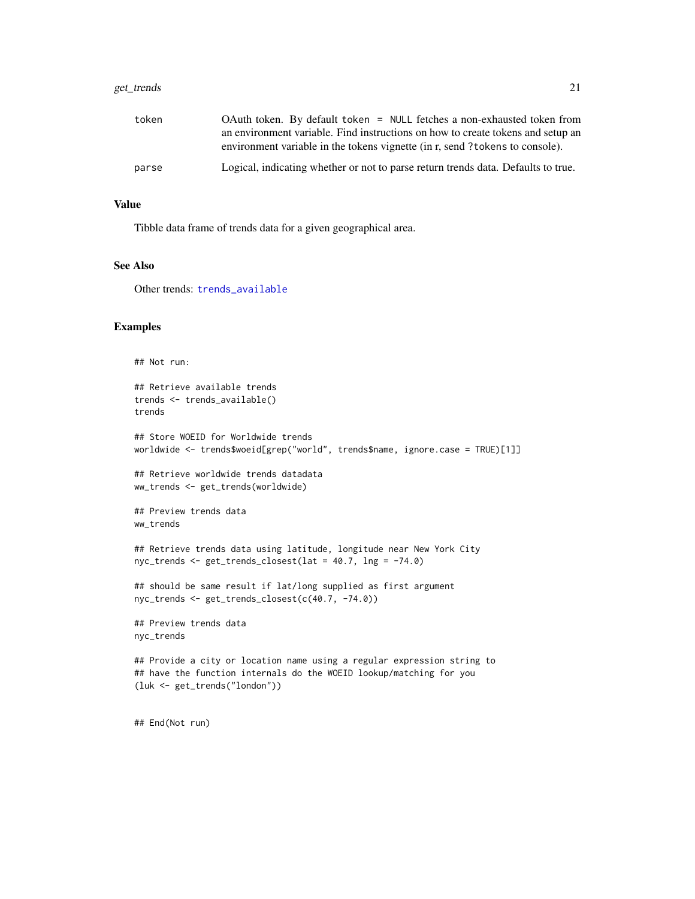# <span id="page-20-0"></span>get\_trends 21

| token | OAuth token. By default token = NULL fetches a non-exhausted token from<br>an environment variable. Find instructions on how to create tokens and setup an<br>environment variable in the tokens vignette (in r, send?tokens to console). |
|-------|-------------------------------------------------------------------------------------------------------------------------------------------------------------------------------------------------------------------------------------------|
| parse | Logical, indicating whether or not to parse return trends data. Defaults to true.                                                                                                                                                         |

#### Value

Tibble data frame of trends data for a given geographical area.

# See Also

Other trends: [trends\\_available](#page-52-1)

#### Examples

```
## Not run:
## Retrieve available trends
trends <- trends_available()
trends
## Store WOEID for Worldwide trends
worldwide <- trends$woeid[grep("world", trends$name, ignore.case = TRUE)[1]]
## Retrieve worldwide trends datadata
ww_trends <- get_trends(worldwide)
## Preview trends data
ww_trends
## Retrieve trends data using latitude, longitude near New York City
nyc_trends <- get_trends_closest(lat = 40.7, lng = -74.0)
## should be same result if lat/long supplied as first argument
nyc_trends <- get_trends_closest(c(40.7, -74.0))
## Preview trends data
nyc_trends
## Provide a city or location name using a regular expression string to
## have the function internals do the WOEID lookup/matching for you
(luk <- get_trends("london"))
## End(Not run)
```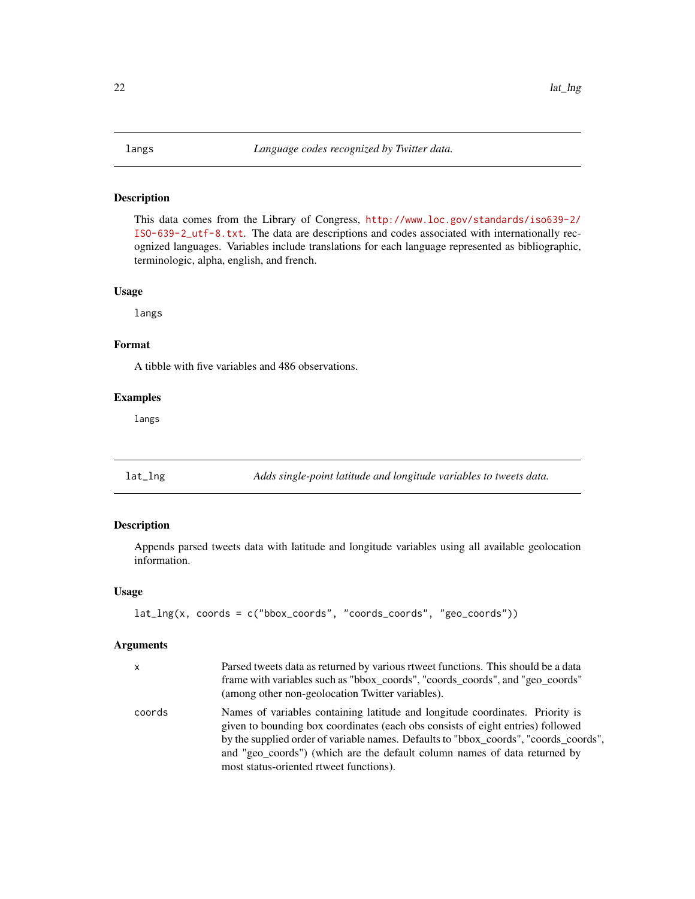#### <span id="page-21-0"></span>Description

This data comes from the Library of Congress, [http://www.loc.gov/standards/iso639-2/](http://www.loc.gov/standards/iso639-2/ISO-639-2_utf-8.txt) [ISO-639-2\\_utf-8.txt](http://www.loc.gov/standards/iso639-2/ISO-639-2_utf-8.txt). The data are descriptions and codes associated with internationally recognized languages. Variables include translations for each language represented as bibliographic, terminologic, alpha, english, and french.

#### Usage

langs

# Format

A tibble with five variables and 486 observations.

#### Examples

langs

<span id="page-21-1"></span>lat\_lng *Adds single-point latitude and longitude variables to tweets data.*

# Description

Appends parsed tweets data with latitude and longitude variables using all available geolocation information.

# Usage

```
lat_{ng}(x, \text{coords} = c("bbox_{coords", \text{''coords}_{coords", \text{''geo}_{coords''}})
```
#### Arguments

| $\mathsf{x}$ | Parsed tweets data as returned by various rtweet functions. This should be a data<br>frame with variables such as "bbox_coords", "coords_coords", and "geo_coords"<br>(among other non-geolocation Twitter variables).                                                                                                                                                           |
|--------------|----------------------------------------------------------------------------------------------------------------------------------------------------------------------------------------------------------------------------------------------------------------------------------------------------------------------------------------------------------------------------------|
| coords       | Names of variables containing latitude and longitude coordinates. Priority is<br>given to bounding box coordinates (each obs consists of eight entries) followed<br>by the supplied order of variable names. Defaults to "bbox_coords", "coords_coords",<br>and "geo_coords") (which are the default column names of data returned by<br>most status-oriented rtweet functions). |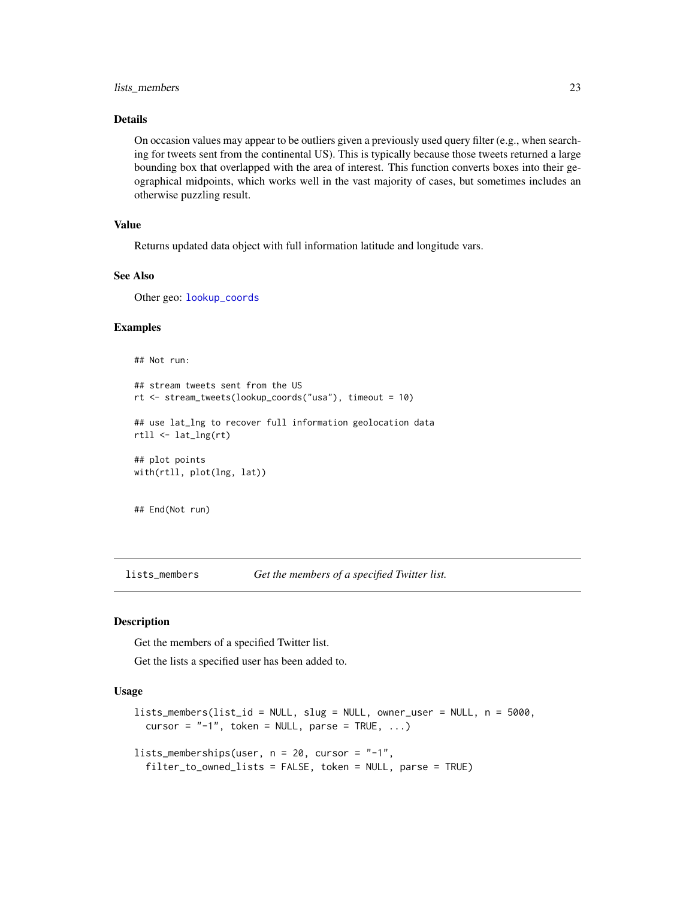#### <span id="page-22-0"></span>lists\_members 23

# Details

On occasion values may appear to be outliers given a previously used query filter (e.g., when searching for tweets sent from the continental US). This is typically because those tweets returned a large bounding box that overlapped with the area of interest. This function converts boxes into their geographical midpoints, which works well in the vast majority of cases, but sometimes includes an otherwise puzzling result.

# Value

Returns updated data object with full information latitude and longitude vars.

# See Also

Other geo: [lookup\\_coords](#page-28-1)

# Examples

```
## Not run:
## stream tweets sent from the US
rt <- stream_tweets(lookup_coords("usa"), timeout = 10)
## use lat_lng to recover full information geolocation data
rtll <- lat_lng(rt)
## plot points
with(rtll, plot(lng, lat))
## End(Not run)
```
<span id="page-22-1"></span>lists\_members *Get the members of a specified Twitter list.*

#### Description

Get the members of a specified Twitter list.

Get the lists a specified user has been added to.

```
lists_members(list_id = NULL, slug = NULL, owner_user = NULL, n = 5000,
 cursor = "-1", token = NULL, parse = TRUE, ...)
lists_memberships(user, n = 20, cursor = "-1",
  filter_to_owned_lists = FALSE, token = NULL, parse = TRUE)
```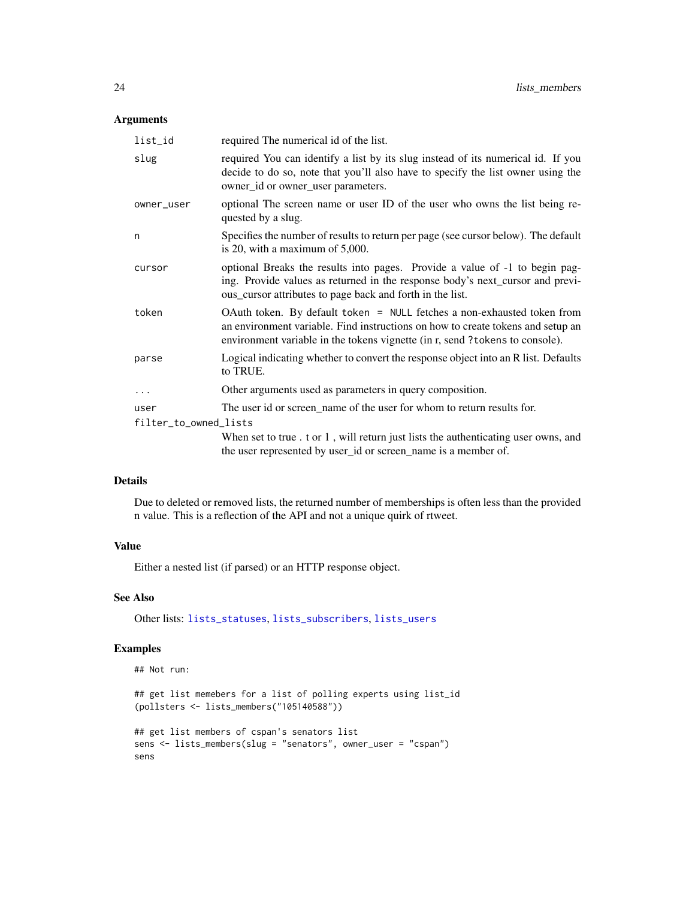# <span id="page-23-0"></span>Arguments

| list_id               | required The numerical id of the list.                                                                                                                                                                                                     |
|-----------------------|--------------------------------------------------------------------------------------------------------------------------------------------------------------------------------------------------------------------------------------------|
| slug                  | required You can identify a list by its slug instead of its numerical id. If you<br>decide to do so, note that you'll also have to specify the list owner using the<br>owner_id or owner_user parameters.                                  |
| owner_user            | optional The screen name or user ID of the user who owns the list being re-<br>quested by a slug.                                                                                                                                          |
| n                     | Specifies the number of results to return per page (see cursor below). The default<br>is 20, with a maximum of $5,000$ .                                                                                                                   |
| cursor                | optional Breaks the results into pages. Provide a value of -1 to begin pag-<br>ing. Provide values as returned in the response body's next_cursor and previ-<br>ous_cursor attributes to page back and forth in the list.                  |
| token                 | OAuth token. By default token = NULL fetches a non-exhausted token from<br>an environment variable. Find instructions on how to create tokens and setup an<br>environment variable in the tokens vignette (in r, send ?tokens to console). |
| parse                 | Logical indicating whether to convert the response object into an R list. Defaults<br>to TRUE.                                                                                                                                             |
| $\cdots$              | Other arguments used as parameters in query composition.                                                                                                                                                                                   |
| user                  | The user id or screen_name of the user for whom to return results for.                                                                                                                                                                     |
| filter_to_owned_lists |                                                                                                                                                                                                                                            |
|                       | When set to true . t or 1, will return just lists the authenticating user owns, and<br>the user represented by user_id or screen_name is a member of.                                                                                      |

# Details

Due to deleted or removed lists, the returned number of memberships is often less than the provided n value. This is a reflection of the API and not a unique quirk of rtweet.

# Value

Either a nested list (if parsed) or an HTTP response object.

# See Also

Other lists: [lists\\_statuses](#page-24-1), [lists\\_subscribers](#page-25-1), [lists\\_users](#page-26-1)

# Examples

```
## Not run:
```

```
## get list memebers for a list of polling experts using list_id
(pollsters <- lists_members("105140588"))
```

```
## get list members of cspan's senators list
sens <- lists_members(slug = "senators", owner_user = "cspan")
sens
```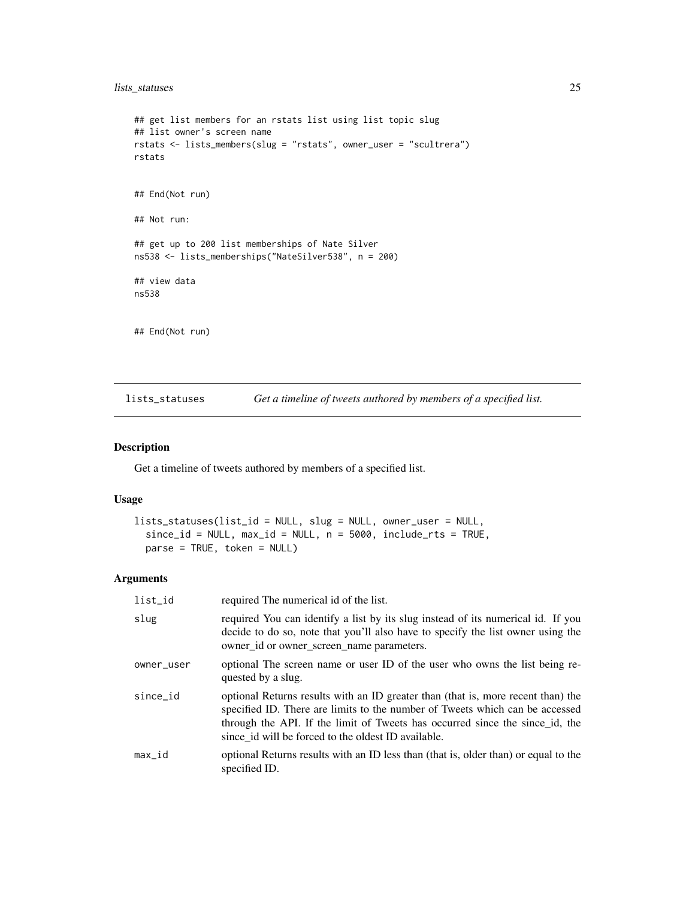# <span id="page-24-0"></span>lists\_statuses 25

```
## get list members for an rstats list using list topic slug
## list owner's screen name
rstats <- lists_members(slug = "rstats", owner_user = "scultrera")
rstats
## End(Not run)
## Not run:
## get up to 200 list memberships of Nate Silver
ns538 <- lists_memberships("NateSilver538", n = 200)
## view data
ns538
## End(Not run)
```
<span id="page-24-1"></span>lists\_statuses *Get a timeline of tweets authored by members of a specified list.*

#### Description

Get a timeline of tweets authored by members of a specified list.

# Usage

```
lists_statuses(list_id = NULL, slug = NULL, owner_user = NULL,
  since_id = NULL, max_id = NULL, n = 5000, include_rts = TRUE,parse = TRUE, token = NULL)
```
#### Arguments

| list_id    | required The numerical id of the list.                                                                                                                                                                                                                                                                  |
|------------|---------------------------------------------------------------------------------------------------------------------------------------------------------------------------------------------------------------------------------------------------------------------------------------------------------|
| slug       | required You can identify a list by its slug instead of its numerical id. If you<br>decide to do so, note that you'll also have to specify the list owner using the<br>owner_id or owner_screen_name parameters.                                                                                        |
| owner_user | optional The screen name or user ID of the user who owns the list being re-<br>quested by a slug.                                                                                                                                                                                                       |
| since_id   | optional Returns results with an ID greater than (that is, more recent than) the<br>specified ID. There are limits to the number of Tweets which can be accessed<br>through the API. If the limit of Tweets has occurred since the since id, the<br>since id will be forced to the oldest ID available. |
| max_id     | optional Returns results with an ID less than (that is, older than) or equal to the<br>specified ID.                                                                                                                                                                                                    |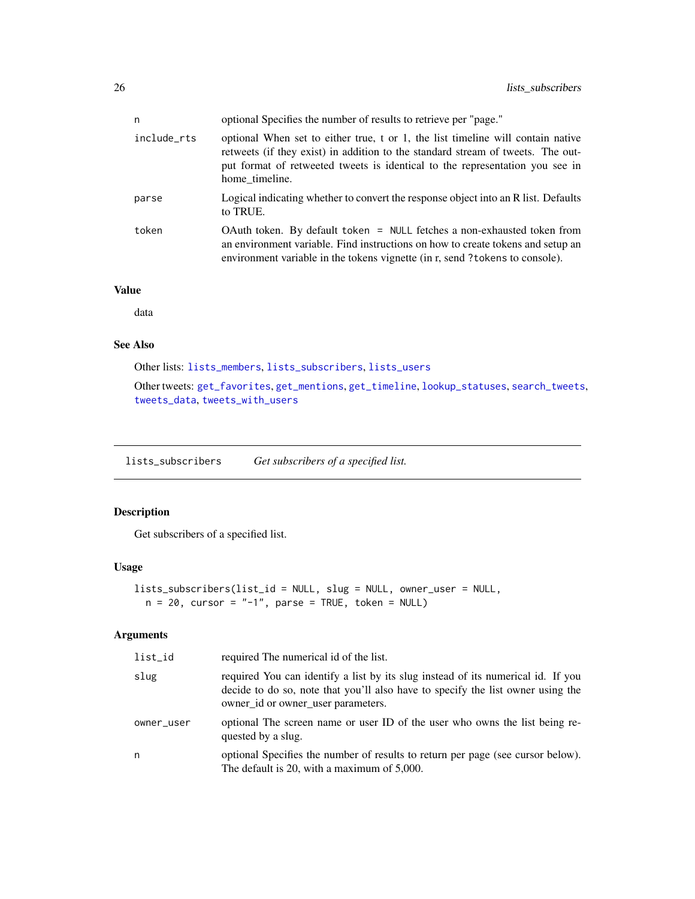<span id="page-25-0"></span>

| n           | optional Specifies the number of results to retrieve per "page."                                                                                                                                                                                                     |
|-------------|----------------------------------------------------------------------------------------------------------------------------------------------------------------------------------------------------------------------------------------------------------------------|
| include_rts | optional When set to either true, t or 1, the list timeline will contain native<br>retweets (if they exist) in addition to the standard stream of tweets. The out-<br>put format of retweeted tweets is identical to the representation you see in<br>home timeline. |
| parse       | Logical indicating whether to convert the response object into an R list. Defaults<br>to TRUE.                                                                                                                                                                       |
| token       | OAuth token. By default token = NULL fetches a non-exhausted token from<br>an environment variable. Find instructions on how to create tokens and setup an<br>environment variable in the tokens vignette (in r, send ? tokens to console).                          |

# Value

data

# See Also

Other lists: [lists\\_members](#page-22-1), [lists\\_subscribers](#page-25-1), [lists\\_users](#page-26-1)

Other tweets: [get\\_favorites](#page-9-1), [get\\_mentions](#page-14-1), [get\\_timeline](#page-17-1), [lookup\\_statuses](#page-30-1), [search\\_tweets](#page-42-1), [tweets\\_data](#page-55-1), [tweets\\_with\\_users](#page-56-1)

<span id="page-25-1"></span>lists\_subscribers *Get subscribers of a specified list.*

# Description

Get subscribers of a specified list.

#### Usage

```
lists_subscribers(list_id = NULL, slug = NULL, owner_user = NULL,
 n = 20, cursor = "-1", parse = TRUE, token = NULL)
```
# Arguments

| list_id    | required The numerical id of the list.                                                                                                                                                                    |
|------------|-----------------------------------------------------------------------------------------------------------------------------------------------------------------------------------------------------------|
| slug       | required You can identify a list by its slug instead of its numerical id. If you<br>decide to do so, note that you'll also have to specify the list owner using the<br>owner_id or owner_user parameters. |
| owner_user | optional The screen name or user ID of the user who owns the list being re-<br>quested by a slug.                                                                                                         |
| n          | optional Specifies the number of results to return per page (see cursor below).<br>The default is 20, with a maximum of 5,000.                                                                            |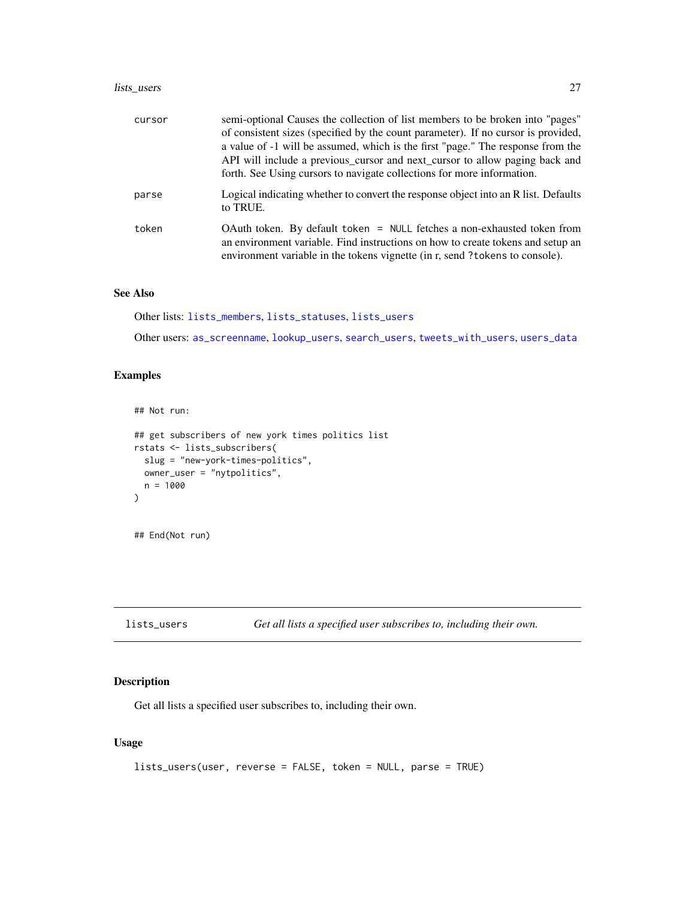# <span id="page-26-0"></span>lists\_users 27

| cursor | semi-optional Causes the collection of list members to be broken into "pages"<br>of consistent sizes (specified by the count parameter). If no cursor is provided,<br>a value of -1 will be assumed, which is the first "page." The response from the<br>API will include a previous_cursor and next_cursor to allow paging back and<br>forth. See Using cursors to navigate collections for more information. |
|--------|----------------------------------------------------------------------------------------------------------------------------------------------------------------------------------------------------------------------------------------------------------------------------------------------------------------------------------------------------------------------------------------------------------------|
| parse  | Logical indicating whether to convert the response object into an R list. Defaults<br>to TRUE.                                                                                                                                                                                                                                                                                                                 |
| token  | OAuth token. By default token = NULL fetches a non-exhausted token from<br>an environment variable. Find instructions on how to create tokens and setup an<br>environment variable in the tokens vignette (in r, send ? tokens to console).                                                                                                                                                                    |

# See Also

Other lists: [lists\\_members](#page-22-1), [lists\\_statuses](#page-24-1), [lists\\_users](#page-26-1)

Other users: [as\\_screenname](#page-3-1), [lookup\\_users](#page-31-1), [search\\_users](#page-46-1), [tweets\\_with\\_users](#page-56-1), [users\\_data](#page-57-1)

# Examples

## Not run:

```
## get subscribers of new york times politics list
rstats <- lists_subscribers(
  slug = "new-york-times-politics",
  owner_user = "nytpolitics",
  n = 1000
)
## End(Not run)
```
<span id="page-26-1"></span>lists\_users *Get all lists a specified user subscribes to, including their own.*

# Description

Get all lists a specified user subscribes to, including their own.

```
lists_users(user, reverse = FALSE, token = NULL, parse = TRUE)
```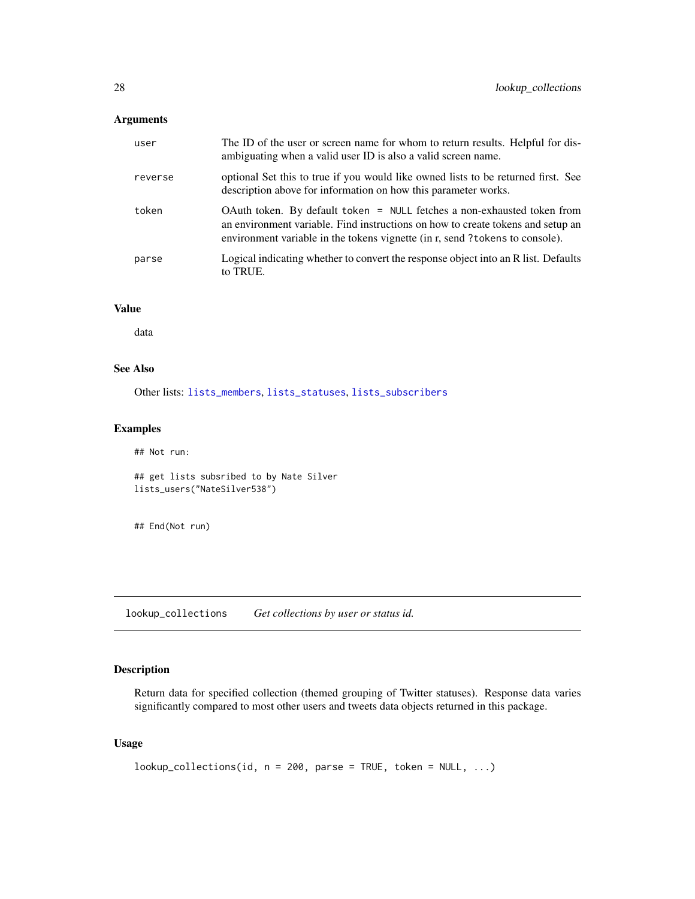# <span id="page-27-0"></span>Arguments

| user    | The ID of the user or screen name for whom to return results. Helpful for dis-<br>ambiguating when a valid user ID is also a valid screen name.                                                                                           |
|---------|-------------------------------------------------------------------------------------------------------------------------------------------------------------------------------------------------------------------------------------------|
| reverse | optional Set this to true if you would like owned lists to be returned first. See<br>description above for information on how this parameter works.                                                                                       |
| token   | OAuth token. By default token = NULL fetches a non-exhausted token from<br>an environment variable. Find instructions on how to create tokens and setup an<br>environment variable in the tokens vignette (in r, send?tokens to console). |
| parse   | Logical indicating whether to convert the response object into an R list. Defaults<br>to TRUE.                                                                                                                                            |

### Value

data

#### See Also

Other lists: [lists\\_members](#page-22-1), [lists\\_statuses](#page-24-1), [lists\\_subscribers](#page-25-1)

#### Examples

```
## Not run:
## get lists subsribed to by Nate Silver
lists_users("NateSilver538")
```
## End(Not run)

lookup\_collections *Get collections by user or status id.*

# Description

Return data for specified collection (themed grouping of Twitter statuses). Response data varies significantly compared to most other users and tweets data objects returned in this package.

```
lookup_collections(id, n = 200, parse = TRUE, token = NULL, ...)
```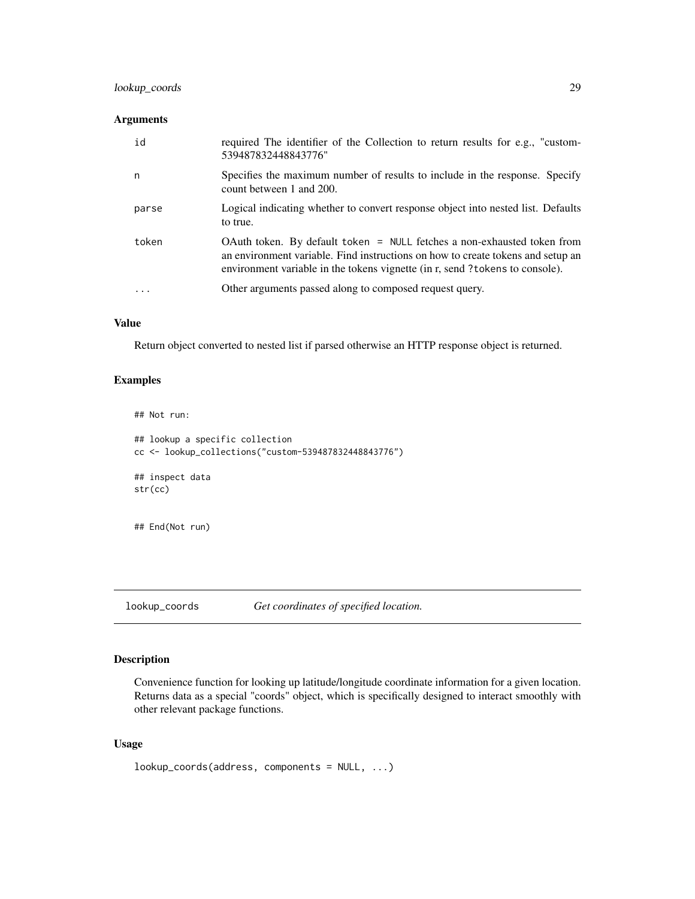# <span id="page-28-0"></span>lookup\_coords 29

# Arguments

| n<br>count between 1 and 200.<br>parse<br>to true.<br>token<br>environment variable in the tokens vignette (in r, send ? tokens to console).<br>Other arguments passed along to composed request query.<br>$\cdot$ | id | required The identifier of the Collection to return results for e.g., "custom-<br>539487832448843776"                                                      |
|--------------------------------------------------------------------------------------------------------------------------------------------------------------------------------------------------------------------|----|------------------------------------------------------------------------------------------------------------------------------------------------------------|
|                                                                                                                                                                                                                    |    | Specifies the maximum number of results to include in the response. Specify                                                                                |
|                                                                                                                                                                                                                    |    | Logical indicating whether to convert response object into nested list. Defaults                                                                           |
|                                                                                                                                                                                                                    |    | OAuth token. By default token = NULL fetches a non-exhausted token from<br>an environment variable. Find instructions on how to create tokens and setup an |
|                                                                                                                                                                                                                    |    |                                                                                                                                                            |

# Value

Return object converted to nested list if parsed otherwise an HTTP response object is returned.

# Examples

## Not run:

```
## lookup a specific collection
cc <- lookup_collections("custom-539487832448843776")
## inspect data
str(cc)
```
## End(Not run)

<span id="page-28-1"></span>lookup\_coords *Get coordinates of specified location.*

# Description

Convenience function for looking up latitude/longitude coordinate information for a given location. Returns data as a special "coords" object, which is specifically designed to interact smoothly with other relevant package functions.

```
lookup_coords(address, components = NULL, ...)
```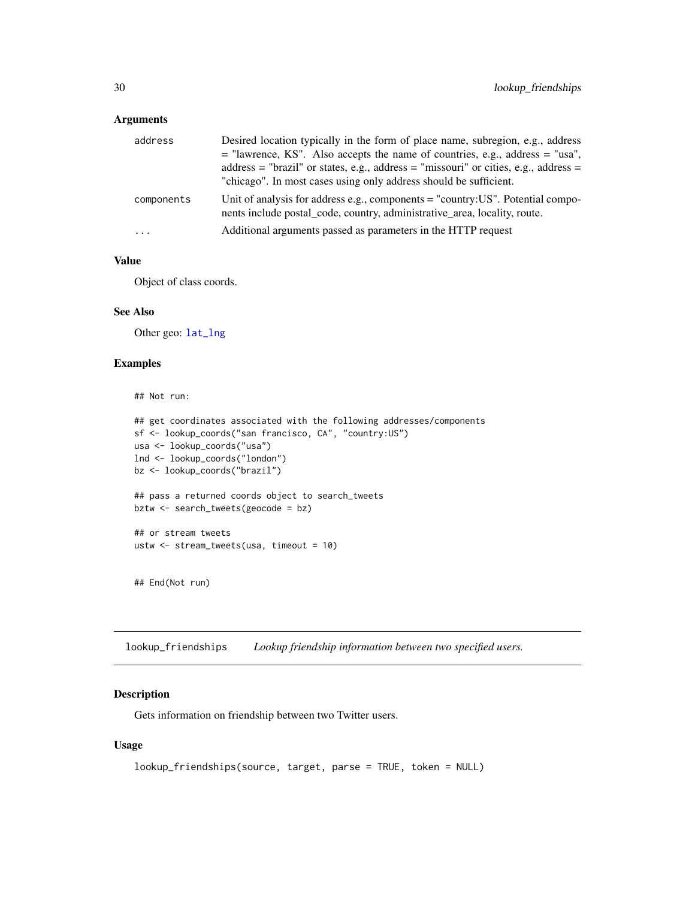# <span id="page-29-0"></span>Arguments

| address    | Desired location typically in the form of place name, subregion, e.g., address                                                                               |
|------------|--------------------------------------------------------------------------------------------------------------------------------------------------------------|
|            | $=$ "lawrence, KS". Also accepts the name of countries, e.g., address $=$ "usa",                                                                             |
|            | address = "brazil" or states, e.g., address = "missouri" or cities, e.g., address =                                                                          |
|            | "chicago". In most cases using only address should be sufficient.                                                                                            |
| components | Unit of analysis for address e.g., components = "country: US". Potential compo-<br>nents include postal_code, country, administrative_area, locality, route. |
| $\cdots$   | Additional arguments passed as parameters in the HTTP request                                                                                                |

# Value

Object of class coords.

# See Also

Other geo: [lat\\_lng](#page-21-1)

# Examples

```
## Not run:
```

```
## get coordinates associated with the following addresses/components
sf <- lookup_coords("san francisco, CA", "country:US")
usa <- lookup_coords("usa")
lnd <- lookup_coords("london")
bz <- lookup_coords("brazil")
## pass a returned coords object to search_tweets
bztw <- search_tweets(geocode = bz)
## or stream tweets
ustw <- stream_tweets(usa, timeout = 10)
```

```
## End(Not run)
```
<span id="page-29-1"></span>lookup\_friendships *Lookup friendship information between two specified users.*

#### Description

Gets information on friendship between two Twitter users.

```
lookup_friendships(source, target, parse = TRUE, token = NULL)
```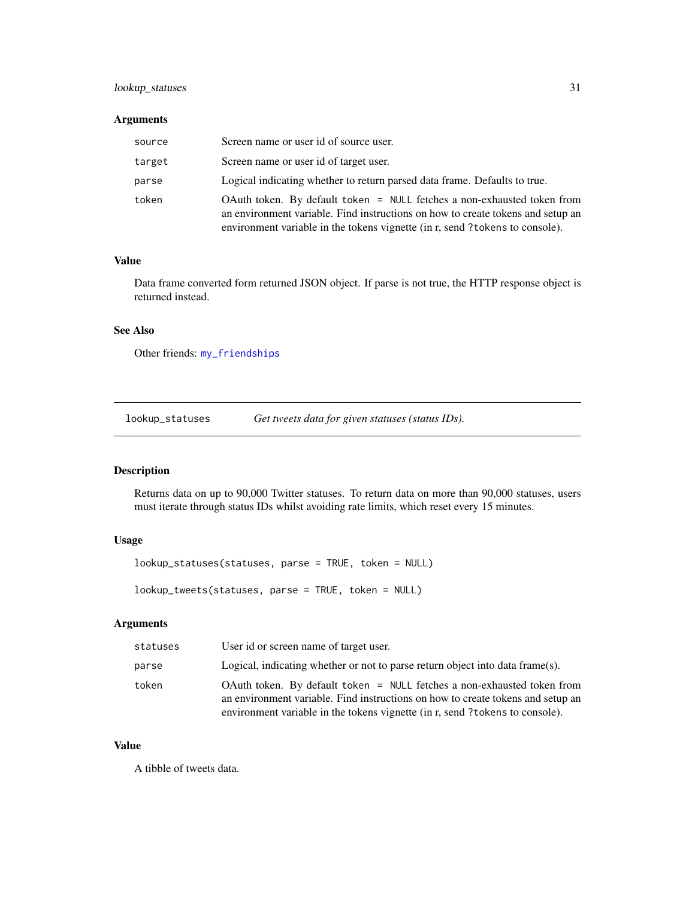# <span id="page-30-0"></span>lookup\_statuses 31

### Arguments

| source | Screen name or user id of source user.                                                                                                                                                                                                     |
|--------|--------------------------------------------------------------------------------------------------------------------------------------------------------------------------------------------------------------------------------------------|
| target | Screen name or user id of target user.                                                                                                                                                                                                     |
| parse  | Logical indicating whether to return parsed data frame. Defaults to true.                                                                                                                                                                  |
| token  | OAuth token. By default token = NULL fetches a non-exhausted token from<br>an environment variable. Find instructions on how to create tokens and setup an<br>environment variable in the tokens vignette (in r, send ?tokens to console). |

#### Value

Data frame converted form returned JSON object. If parse is not true, the HTTP response object is returned instead.

# See Also

Other friends: [my\\_friendships](#page-32-1)

<span id="page-30-1"></span>lookup\_statuses *Get tweets data for given statuses (status IDs).*

#### Description

Returns data on up to 90,000 Twitter statuses. To return data on more than 90,000 statuses, users must iterate through status IDs whilst avoiding rate limits, which reset every 15 minutes.

# Usage

lookup\_statuses(statuses, parse = TRUE, token = NULL)

lookup\_tweets(statuses, parse = TRUE, token = NULL)

# Arguments

| statuses | User id or screen name of target user.                                                                                                                                                                                                     |
|----------|--------------------------------------------------------------------------------------------------------------------------------------------------------------------------------------------------------------------------------------------|
| parse    | Logical, indicating whether or not to parse return object into data frame(s).                                                                                                                                                              |
| token    | OAuth token. By default token = NULL fetches a non-exhausted token from<br>an environment variable. Find instructions on how to create tokens and setup an<br>environment variable in the tokens vignette (in r, send ?tokens to console). |

#### Value

A tibble of tweets data.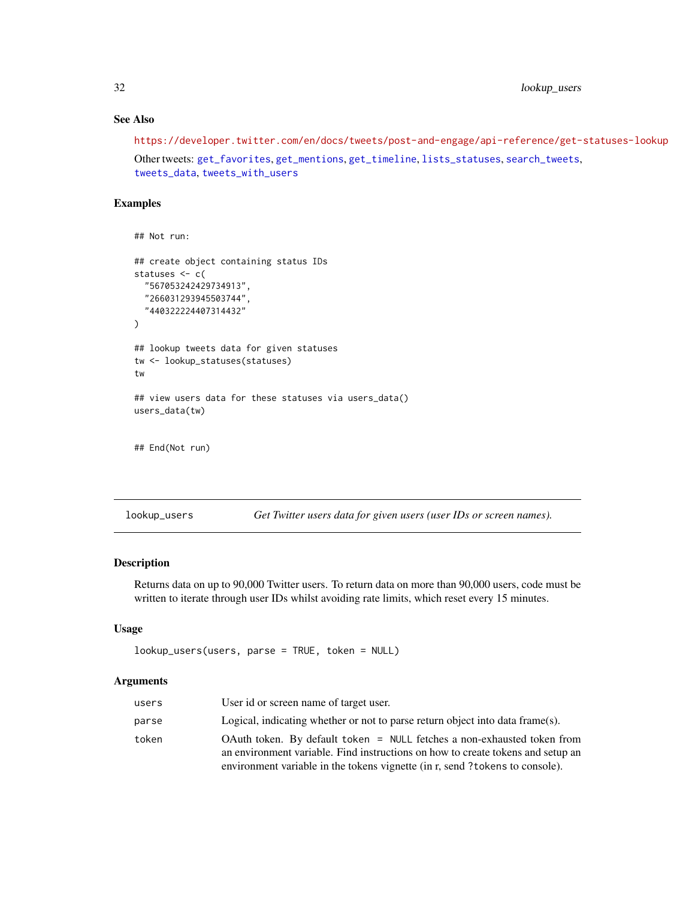<span id="page-31-0"></span>32 lookup\_users

# See Also

<https://developer.twitter.com/en/docs/tweets/post-and-engage/api-reference/get-statuses-lookup> Other tweets: [get\\_favorites](#page-9-1), [get\\_mentions](#page-14-1), [get\\_timeline](#page-17-1), [lists\\_statuses](#page-24-1), [search\\_tweets](#page-42-1), [tweets\\_data](#page-55-1), [tweets\\_with\\_users](#page-56-1)

#### Examples

```
## Not run:
## create object containing status IDs
statuses <- c(
 "567053242429734913",
 "266031293945503744",
  "440322224407314432"
)
## lookup tweets data for given statuses
tw <- lookup_statuses(statuses)
tw
## view users data for these statuses via users_data()
users_data(tw)
## End(Not run)
```
<span id="page-31-1"></span>lookup\_users *Get Twitter users data for given users (user IDs or screen names).*

#### Description

Returns data on up to 90,000 Twitter users. To return data on more than 90,000 users, code must be written to iterate through user IDs whilst avoiding rate limits, which reset every 15 minutes.

#### Usage

```
lookup_users(users, parse = TRUE, token = NULL)
```
# Arguments

| users | User id or screen name of target user.                                                                                                                                                                                                     |
|-------|--------------------------------------------------------------------------------------------------------------------------------------------------------------------------------------------------------------------------------------------|
| parse | Logical, indicating whether or not to parse return object into data frame(s).                                                                                                                                                              |
| token | OAuth token. By default token = NULL fetches a non-exhausted token from<br>an environment variable. Find instructions on how to create tokens and setup an<br>environment variable in the tokens vignette (in r, send ?tokens to console). |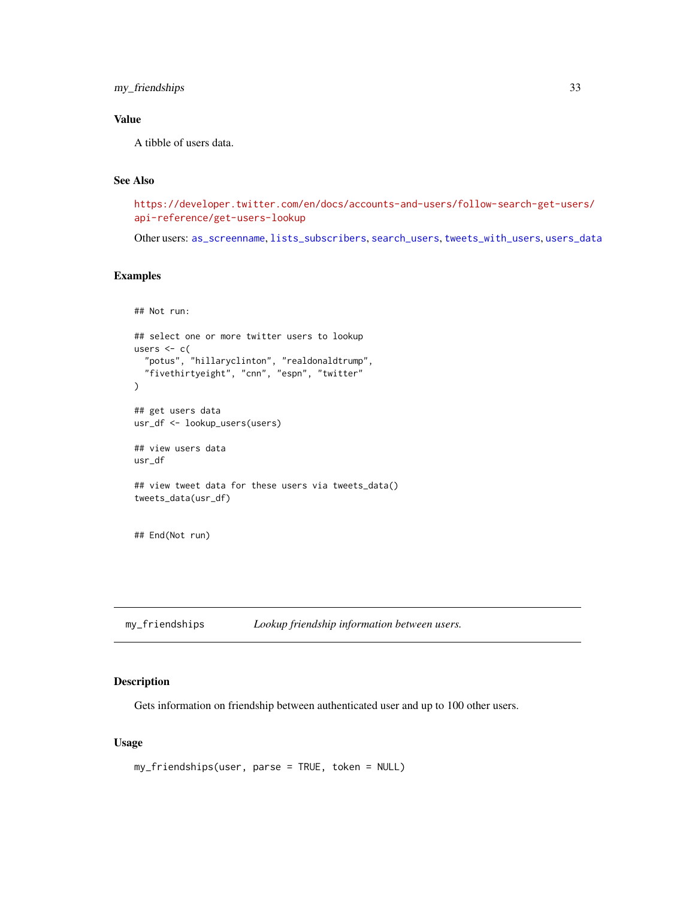<span id="page-32-0"></span>my\_friendships 33

# Value

A tibble of users data.

# See Also

[https://developer.twitter.com/en/docs/accounts-and-users/follow-search-get-user](https://developer.twitter.com/en/docs/accounts-and-users/follow-search-get-users/api-reference/get-users-lookup)s/ [api-reference/get-users-lookup](https://developer.twitter.com/en/docs/accounts-and-users/follow-search-get-users/api-reference/get-users-lookup)

Other users: [as\\_screenname](#page-3-1), [lists\\_subscribers](#page-25-1), [search\\_users](#page-46-1), [tweets\\_with\\_users](#page-56-1), [users\\_data](#page-57-1)

# Examples

```
## Not run:
## select one or more twitter users to lookup
users <-c("potus", "hillaryclinton", "realdonaldtrump",
  "fivethirtyeight", "cnn", "espn", "twitter"
)
## get users data
usr_df <- lookup_users(users)
## view users data
usr_df
## view tweet data for these users via tweets_data()
tweets_data(usr_df)
## End(Not run)
```
<span id="page-32-1"></span>my\_friendships *Lookup friendship information between users.*

# Description

Gets information on friendship between authenticated user and up to 100 other users.

```
my_friendships(user, parse = TRUE, token = NULL)
```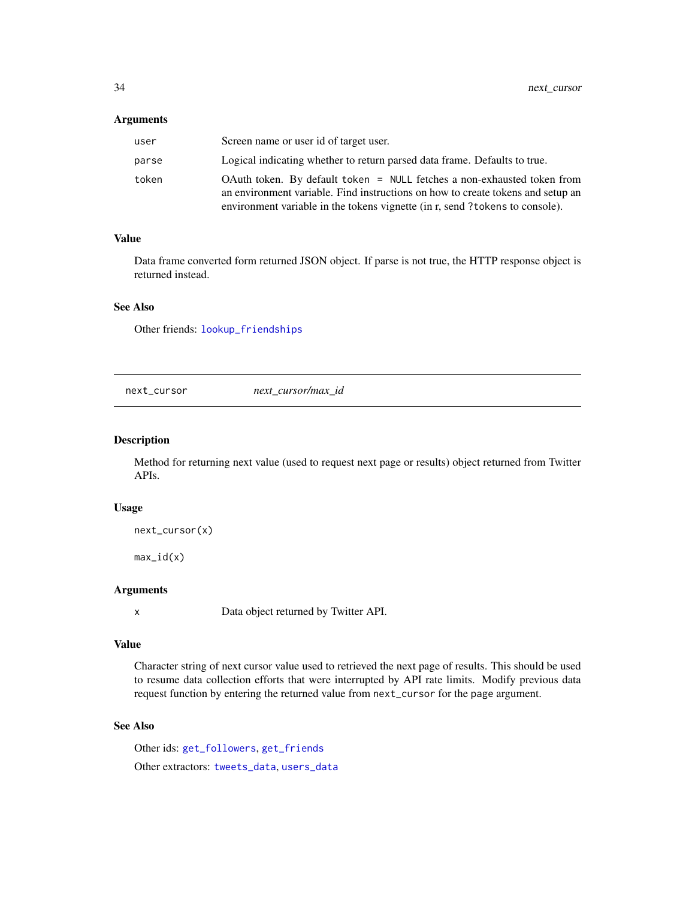#### <span id="page-33-0"></span>Arguments

| user  | Screen name or user id of target user.                                                                                                                                                                                                    |
|-------|-------------------------------------------------------------------------------------------------------------------------------------------------------------------------------------------------------------------------------------------|
| parse | Logical indicating whether to return parsed data frame. Defaults to true.                                                                                                                                                                 |
| token | OAuth token. By default token = NULL fetches a non-exhausted token from<br>an environment variable. Find instructions on how to create tokens and setup an<br>environment variable in the tokens vignette (in r, send?tokens to console). |

# Value

Data frame converted form returned JSON object. If parse is not true, the HTTP response object is returned instead.

# See Also

Other friends: [lookup\\_friendships](#page-29-1)

<span id="page-33-1"></span>next\_cursor *next\_cursor/max\_id*

#### Description

Method for returning next value (used to request next page or results) object returned from Twitter APIs.

#### Usage

```
next_cursor(x)
```
 $max_id(x)$ 

# Arguments

x Data object returned by Twitter API.

#### Value

Character string of next cursor value used to retrieved the next page of results. This should be used to resume data collection efforts that were interrupted by API rate limits. Modify previous data request function by entering the returned value from next\_cursor for the page argument.

# See Also

Other ids: [get\\_followers](#page-10-1), [get\\_friends](#page-12-1) Other extractors: [tweets\\_data](#page-55-1), [users\\_data](#page-57-1)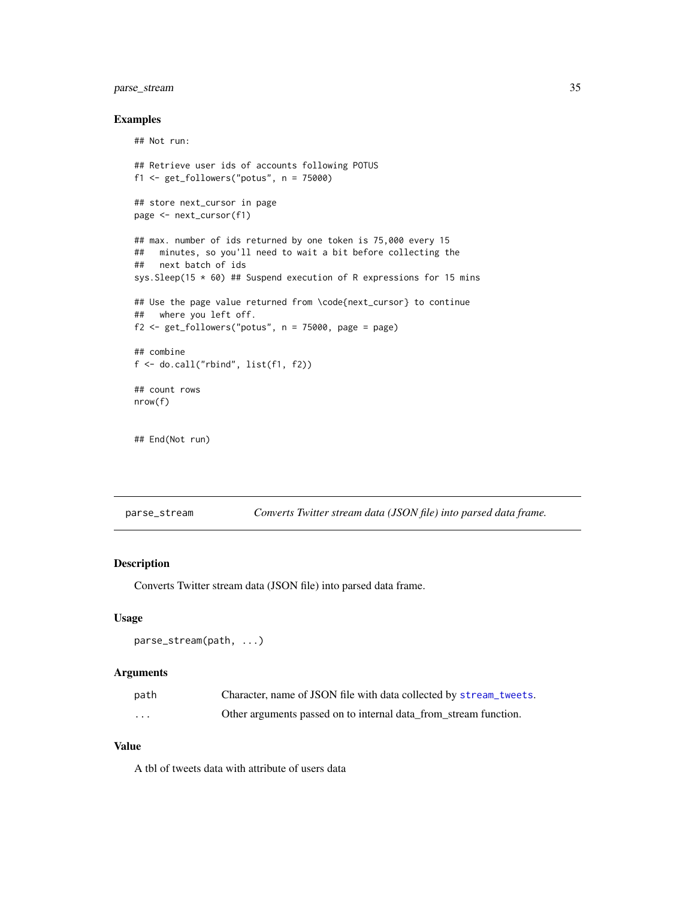# <span id="page-34-0"></span>parse\_stream 35

#### Examples

## Not run:

```
## Retrieve user ids of accounts following POTUS
f1 <- get_followers("potus", n = 75000)
## store next_cursor in page
page <- next_cursor(f1)
## max. number of ids returned by one token is 75,000 every 15
## minutes, so you'll need to wait a bit before collecting the
## next batch of ids
sys.Sleep(15 * 60) ## Suspend execution of R expressions for 15 mins
## Use the page value returned from \code{next_cursor} to continue
## where you left off.
f2 \leq - get_followers("potus", n = 75000, page = page)
## combine
f <- do.call("rbind", list(f1, f2))
## count rows
nrow(f)
## End(Not run)
```
<span id="page-34-1"></span>parse\_stream *Converts Twitter stream data (JSON file) into parsed data frame.*

# Description

Converts Twitter stream data (JSON file) into parsed data frame.

# Usage

```
parse_stream(path, ...)
```
# Arguments

| path     | Character, name of JSON file with data collected by stream_tweets. |
|----------|--------------------------------------------------------------------|
| $\cdots$ | Other arguments passed on to internal data from stream function.   |

# Value

A tbl of tweets data with attribute of users data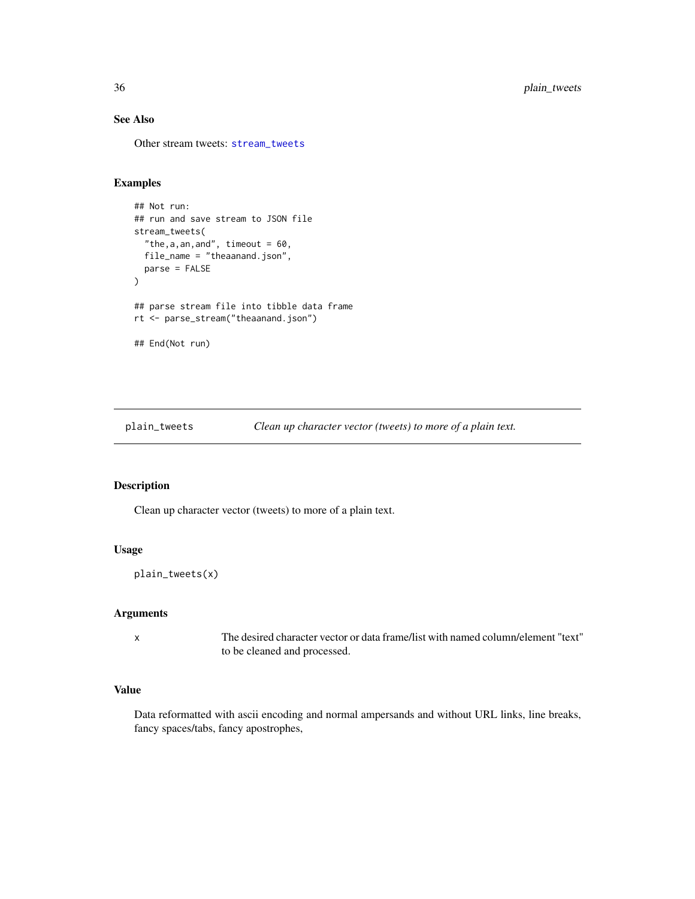# See Also

Other stream tweets: [stream\\_tweets](#page-48-1)

# Examples

```
## Not run:
## run and save stream to JSON file
stream_tweets(
  "the, a, an, and", timeout = 60,
  file_name = "theaanand.json",
  parse = FALSE
\mathcal{L}## parse stream file into tibble data frame
rt <- parse_stream("theaanand.json")
## End(Not run)
```
plain\_tweets *Clean up character vector (tweets) to more of a plain text.*

# Description

Clean up character vector (tweets) to more of a plain text.

# Usage

plain\_tweets(x)

#### Arguments

x The desired character vector or data frame/list with named column/element "text" to be cleaned and processed.

# Value

Data reformatted with ascii encoding and normal ampersands and without URL links, line breaks, fancy spaces/tabs, fancy apostrophes,

<span id="page-35-0"></span>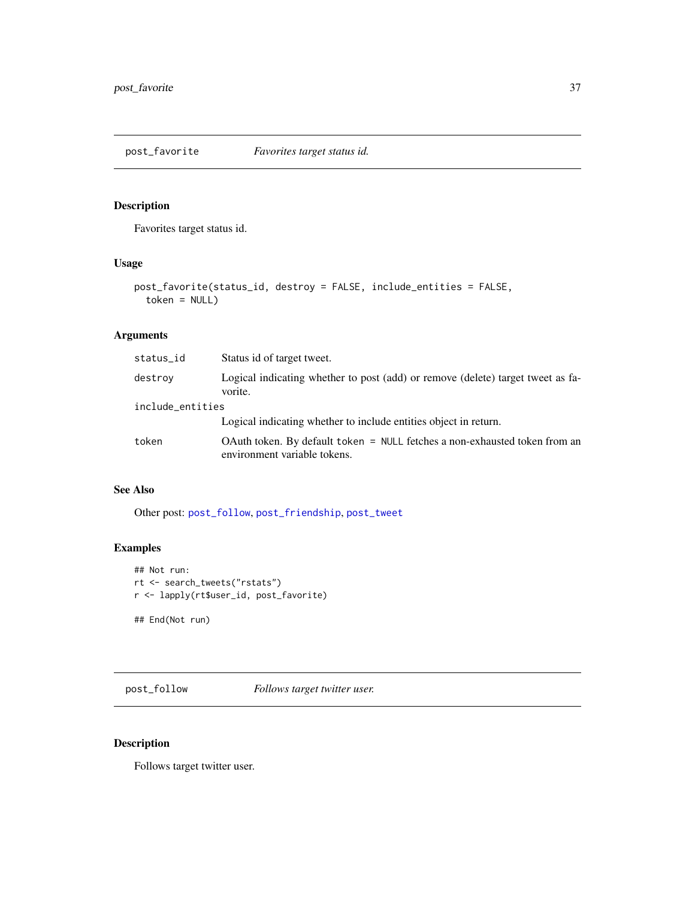# <span id="page-36-2"></span><span id="page-36-0"></span>Description

Favorites target status id.

# Usage

```
post_favorite(status_id, destroy = FALSE, include_entities = FALSE,
  token = NULL)
```
# Arguments

| status_id        | Status id of target tweet.                                                                                 |
|------------------|------------------------------------------------------------------------------------------------------------|
| destroy          | Logical indicating whether to post (add) or remove (delete) target tweet as fa-<br>vorite.                 |
| include_entities |                                                                                                            |
|                  | Logical indicating whether to include entities object in return.                                           |
| token            | OAuth token. By default token = NULL fetches a non-exhausted token from an<br>environment variable tokens. |

# See Also

Other post: [post\\_follow](#page-36-1), [post\\_friendship](#page-37-1), [post\\_tweet](#page-38-1)

# Examples

```
## Not run:
rt <- search_tweets("rstats")
r <- lapply(rt$user_id, post_favorite)
```
## End(Not run)

<span id="page-36-1"></span>post\_follow *Follows target twitter user.*

# Description

Follows target twitter user.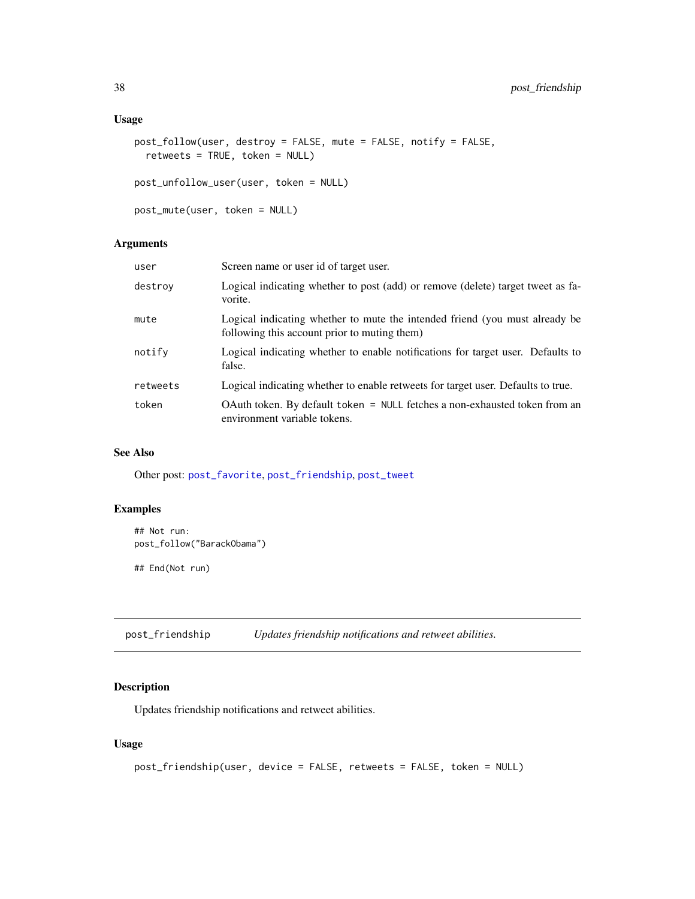### <span id="page-37-0"></span>Usage

```
post_follow(user, destroy = FALSE, mute = FALSE, notify = FALSE,
  retweets = TRUE, token = NULL)
post_unfollow_user(user, token = NULL)
```

```
post_mute(user, token = NULL)
```
# Arguments

| user     | Screen name or user id of target user.                                                                                      |
|----------|-----------------------------------------------------------------------------------------------------------------------------|
| destrov  | Logical indicating whether to post (add) or remove (delete) target tweet as fa-<br>vorite.                                  |
| mute     | Logical indicating whether to mute the intended friend (you must already be<br>following this account prior to muting them) |
| notify   | Logical indicating whether to enable notifications for target user. Defaults to<br>false.                                   |
| retweets | Logical indicating whether to enable retweets for target user. Defaults to true.                                            |
| token    | OAuth token. By default token = NULL fetches a non-exhausted token from an<br>environment variable tokens.                  |

# See Also

Other post: [post\\_favorite](#page-36-2), [post\\_friendship](#page-37-1), [post\\_tweet](#page-38-1)

# Examples

```
## Not run:
post_follow("BarackObama")
```
## End(Not run)

<span id="page-37-1"></span>post\_friendship *Updates friendship notifications and retweet abilities.*

# Description

Updates friendship notifications and retweet abilities.

```
post_friendship(user, device = FALSE, retweets = FALSE, token = NULL)
```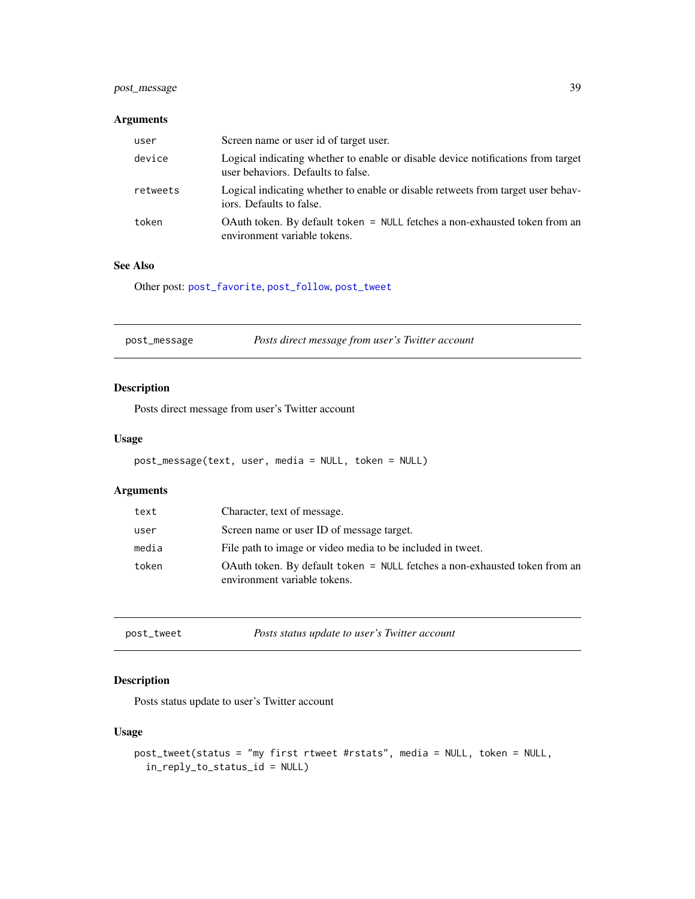# <span id="page-38-0"></span>post\_message 39

# Arguments

| user     | Screen name or user id of target user.                                                                                 |
|----------|------------------------------------------------------------------------------------------------------------------------|
| device   | Logical indicating whether to enable or disable device notifications from target<br>user behaviors. Defaults to false. |
| retweets | Logical indicating whether to enable or disable retweets from target user behav-<br>iors. Defaults to false.           |
| token    | OAuth token. By default token = NULL fetches a non-exhausted token from an<br>environment variable tokens.             |

#### See Also

Other post: [post\\_favorite](#page-36-2), [post\\_follow](#page-36-1), [post\\_tweet](#page-38-1)

| Posts direct message from user's Twitter account<br>post_message |  |
|------------------------------------------------------------------|--|
|------------------------------------------------------------------|--|

# Description

Posts direct message from user's Twitter account

#### Usage

```
post_message(text, user, media = NULL, token = NULL)
```
# Arguments

| text  | Character, text of message.                                                                                |
|-------|------------------------------------------------------------------------------------------------------------|
| user  | Screen name or user ID of message target.                                                                  |
| media | File path to image or video media to be included in tweet.                                                 |
| token | OAuth token. By default token = NULL fetches a non-exhausted token from an<br>environment variable tokens. |

<span id="page-38-1"></span>post\_tweet *Posts status update to user's Twitter account*

# Description

Posts status update to user's Twitter account

```
post_tweet(status = "my first rtweet #rstats", media = NULL, token = NULL,
  in_reply_to_status_id = NULL)
```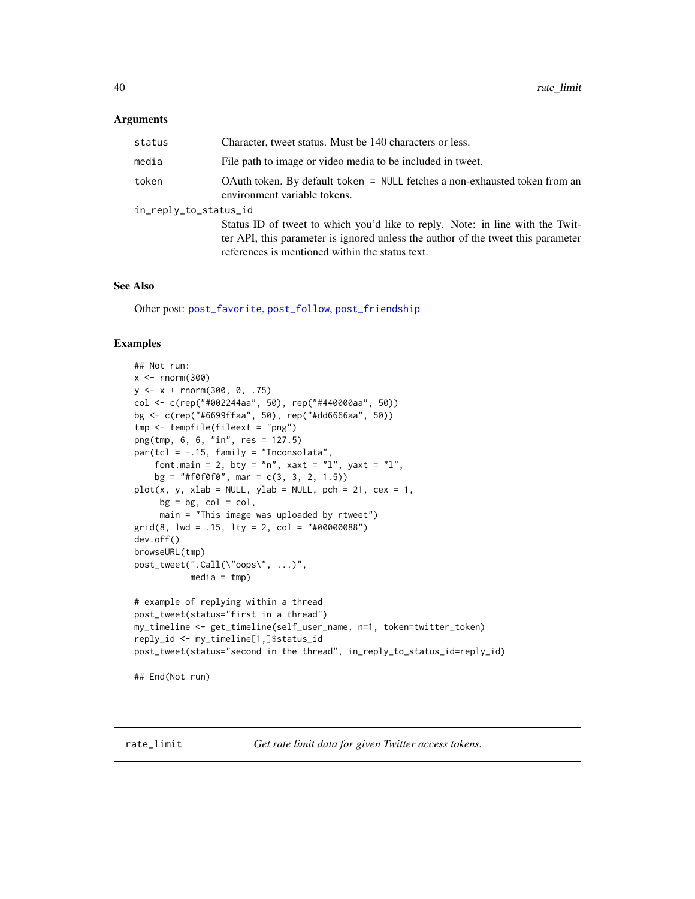#### <span id="page-39-0"></span>Arguments

| status                | Character, tweet status. Must be 140 characters or less.                                                                                                                                                             |  |
|-----------------------|----------------------------------------------------------------------------------------------------------------------------------------------------------------------------------------------------------------------|--|
| media                 | File path to image or video media to be included in tweet.                                                                                                                                                           |  |
| token                 | OAuth token. By default token = $NULL$ fetches a non-exhausted token from an<br>environment variable tokens.                                                                                                         |  |
| in_reply_to_status_id |                                                                                                                                                                                                                      |  |
|                       | Status ID of tweet to which you'd like to reply. Note: in line with the Twit-<br>ter API, this parameter is ignored unless the author of the tweet this parameter<br>references is mentioned within the status text. |  |

#### See Also

Other post: [post\\_favorite](#page-36-2), [post\\_follow](#page-36-1), [post\\_friendship](#page-37-1)

# Examples

```
## Not run:
x < - rnorm(300)
y \le -x + \text{rnorm}(300, 0, .75)col <- c(rep("#002244aa", 50), rep("#440000aa", 50))
bg <- c(rep("#6699ffaa", 50), rep("#dd6666aa", 50))
tmp <- tempfile(fileext = "png")
png(tmp, 6, 6, "in", res = 127.5)
par(tcl = -.15, family = "Inconsolata",
    font.main = 2, bty = "n", xaxt = "l", yaxt = "l",
    bg = "#f0f0f0", mar = c(3, 3, 2, 1.5))plot(x, y, xlab = NULL, ylab = NULL, pch = 21, cex = 1,bg = bg, col = col,
     main = "This image was uploaded by rtweet")
grid(8, lwd = .15, lty = 2, col = "#00000088")
dev.off()
browseURL(tmp)
post_tweet(".Call(\"oops\", ...)",
          media = tmp)# example of replying within a thread
post_tweet(status="first in a thread")
my_timeline <- get_timeline(self_user_name, n=1, token=twitter_token)
reply_id <- my_timeline[1,]$status_id
post_tweet(status="second in the thread", in_reply_to_status_id=reply_id)
## End(Not run)
```
<span id="page-39-1"></span>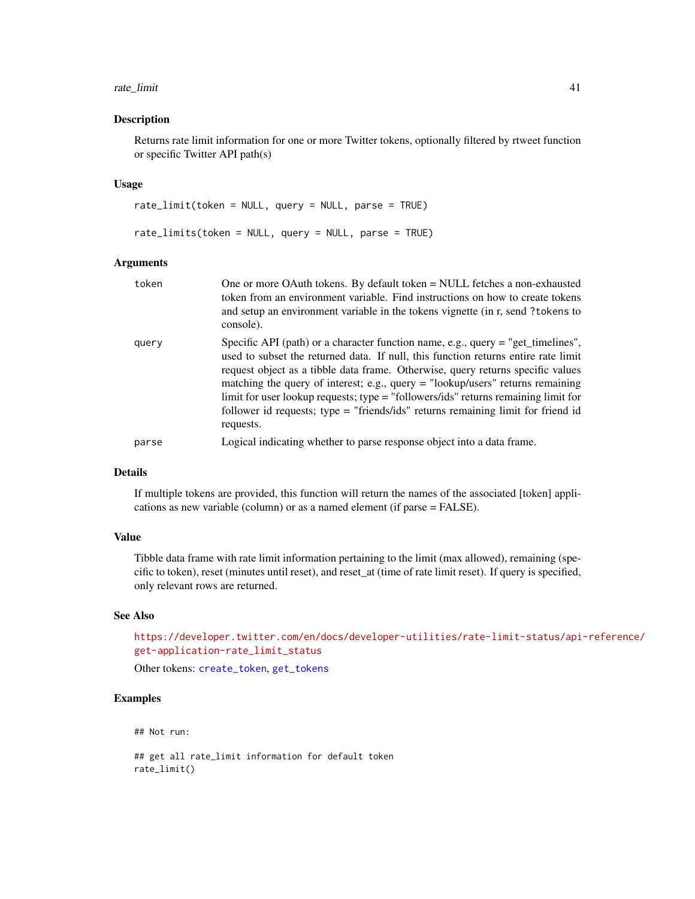#### <span id="page-40-0"></span>rate\_limit 41

#### Description

Returns rate limit information for one or more Twitter tokens, optionally filtered by rtweet function or specific Twitter API path(s)

#### Usage

rate\_limit(token = NULL, query = NULL, parse = TRUE) rate\_limits(token = NULL, query = NULL, parse = TRUE)

#### Arguments

| token | One or more OAuth tokens. By default token = NULL fetches a non-exhausted<br>token from an environment variable. Find instructions on how to create tokens<br>and setup an environment variable in the tokens vignette (in r, send ? tokens to<br>console).                                                                                                                                                                                                                                                                            |
|-------|----------------------------------------------------------------------------------------------------------------------------------------------------------------------------------------------------------------------------------------------------------------------------------------------------------------------------------------------------------------------------------------------------------------------------------------------------------------------------------------------------------------------------------------|
| query | Specific API (path) or a character function name, e.g., query $=$ "get_timelines",<br>used to subset the returned data. If null, this function returns entire rate limit<br>request object as a tibble data frame. Otherwise, query returns specific values<br>matching the query of interest; e.g., query $=$ "lookup/users" returns remaining<br>limit for user lookup requests; type = "followers/ids" returns remaining limit for<br>follower id requests; type = "friends/ids" returns remaining limit for friend id<br>requests. |
| parse | Logical indicating whether to parse response object into a data frame.                                                                                                                                                                                                                                                                                                                                                                                                                                                                 |

#### Details

If multiple tokens are provided, this function will return the names of the associated [token] applications as new variable (column) or as a named element (if parse = FALSE).

# Value

Tibble data frame with rate limit information pertaining to the limit (max allowed), remaining (specific to token), reset (minutes until reset), and reset\_at (time of rate limit reset). If query is specified, only relevant rows are returned.

#### See Also

[https://developer.twitter.com/en/docs/developer-utilities/rate-limit-status/api](https://developer.twitter.com/en/docs/developer-utilities/rate-limit-status/api-reference/get-application-rate_limit_status)-reference/ [get-application-rate\\_limit\\_status](https://developer.twitter.com/en/docs/developer-utilities/rate-limit-status/api-reference/get-application-rate_limit_status)

Other tokens: [create\\_token](#page-4-1), [get\\_tokens](#page-18-1)

# Examples

## Not run:

## get all rate\_limit information for default token rate\_limit()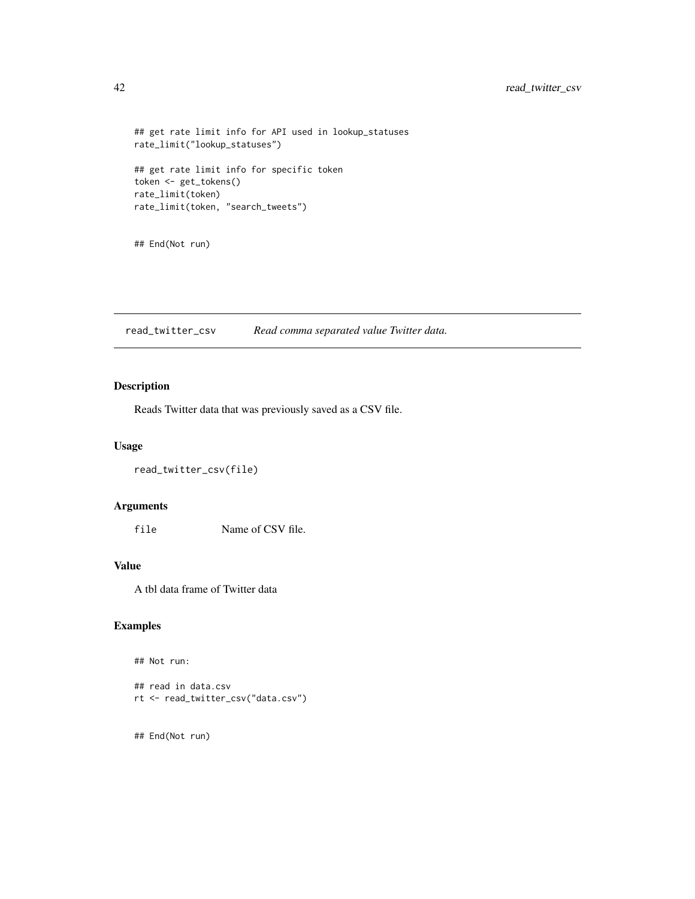```
## get rate limit info for API used in lookup_statuses
rate_limit("lookup_statuses")
## get rate limit info for specific token
token <- get_tokens()
rate_limit(token)
rate_limit(token, "search_tweets")
```
## End(Not run)

read\_twitter\_csv *Read comma separated value Twitter data.*

# Description

Reads Twitter data that was previously saved as a CSV file.

#### Usage

```
read_twitter_csv(file)
```
# Arguments

file Name of CSV file.

#### Value

A tbl data frame of Twitter data

# Examples

```
## Not run:
```

```
## read in data.csv
rt <- read_twitter_csv("data.csv")
```
## End(Not run)

<span id="page-41-0"></span>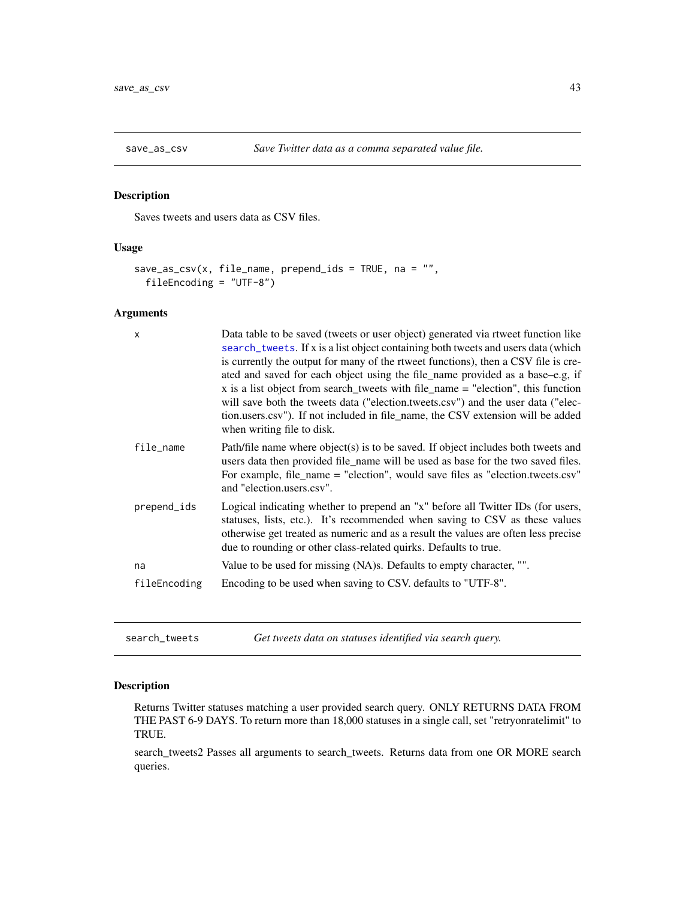<span id="page-42-0"></span>

# Description

Saves tweets and users data as CSV files.

# Usage

```
save\_as\_csv(x, file_name, prepend\_ids = TRUE, na = "",fileEncoding = "UTF-8")
```
# Arguments

| $\mathsf{x}$ | Data table to be saved (tweets or user object) generated via rtweet function like<br>search_tweets. If x is a list object containing both tweets and users data (which<br>is currently the output for many of the rtweet functions), then a CSV file is cre-<br>ated and saved for each object using the file_name provided as a base–e.g, if<br>x is a list object from search_tweets with file_name $=$ "election", this function<br>will save both the tweets data ("election.tweets.csv") and the user data ("elec-<br>tion.users.csv"). If not included in file_name, the CSV extension will be added<br>when writing file to disk. |
|--------------|------------------------------------------------------------------------------------------------------------------------------------------------------------------------------------------------------------------------------------------------------------------------------------------------------------------------------------------------------------------------------------------------------------------------------------------------------------------------------------------------------------------------------------------------------------------------------------------------------------------------------------------|
| file_name    | Path/file name where object(s) is to be saved. If object includes both tweets and<br>users data then provided file_name will be used as base for the two saved files.<br>For example, file_name = "election", would save files as "election.tweets.csv"<br>and "election.users.csv".                                                                                                                                                                                                                                                                                                                                                     |
| prepend_ids  | Logical indicating whether to prepend an "x" before all Twitter IDs (for users,<br>statuses, lists, etc.). It's recommended when saving to CSV as these values<br>otherwise get treated as numeric and as a result the values are often less precise<br>due to rounding or other class-related quirks. Defaults to true.                                                                                                                                                                                                                                                                                                                 |
| na           | Value to be used for missing (NA)s. Defaults to empty character, "".                                                                                                                                                                                                                                                                                                                                                                                                                                                                                                                                                                     |
| fileEncoding | Encoding to be used when saving to CSV. defaults to "UTF-8".                                                                                                                                                                                                                                                                                                                                                                                                                                                                                                                                                                             |

<span id="page-42-1"></span>search\_tweets *Get tweets data on statuses identified via search query.*

# Description

Returns Twitter statuses matching a user provided search query. ONLY RETURNS DATA FROM THE PAST 6-9 DAYS. To return more than 18,000 statuses in a single call, set "retryonratelimit" to TRUE.

search\_tweets2 Passes all arguments to search\_tweets. Returns data from one OR MORE search queries.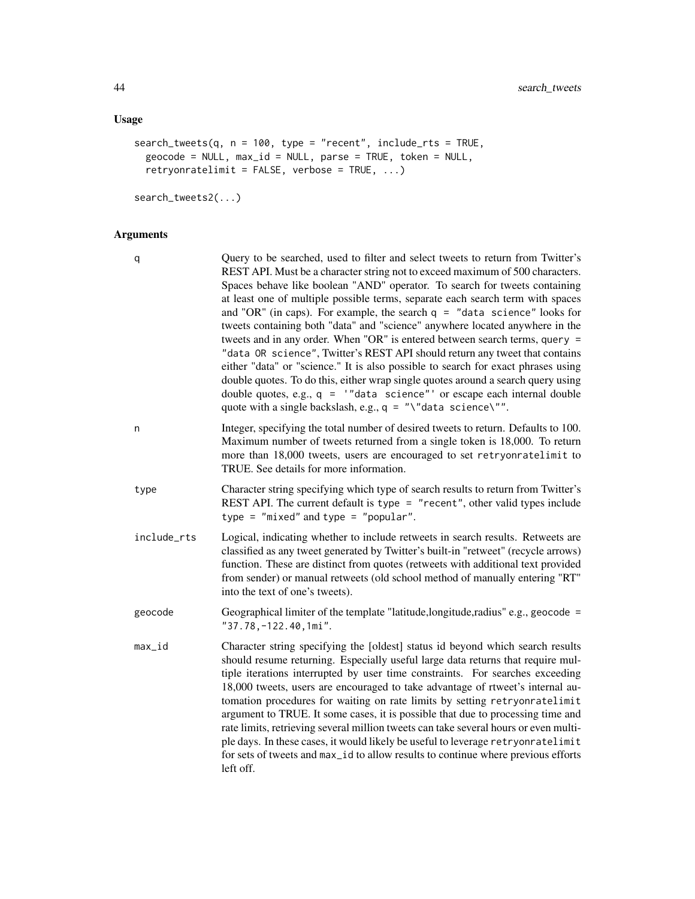# Usage

```
search_tweets(q, n = 100, type = "recent", include_rts = TRUE,
  geocode = NULL, max_id = NULL, parse = TRUE, token = NULL,
 retryonratelimit = FALSE, verbose = TRUE, ...)
```
search\_tweets2(...)

# Arguments

| q           | Query to be searched, used to filter and select tweets to return from Twitter's<br>REST API. Must be a character string not to exceed maximum of 500 characters.<br>Spaces behave like boolean "AND" operator. To search for tweets containing<br>at least one of multiple possible terms, separate each search term with spaces<br>and "OR" (in caps). For example, the search $q =$ "data science" looks for<br>tweets containing both "data" and "science" anywhere located anywhere in the<br>tweets and in any order. When "OR" is entered between search terms, query =<br>"data OR science", Twitter's REST API should return any tweet that contains<br>either "data" or "science." It is also possible to search for exact phrases using<br>double quotes. To do this, either wrap single quotes around a search query using<br>double quotes, e.g., $q =$ "data science" or escape each internal double<br>quote with a single backslash, e.g., $q = "\\d$ data science $\\d$ ". |
|-------------|--------------------------------------------------------------------------------------------------------------------------------------------------------------------------------------------------------------------------------------------------------------------------------------------------------------------------------------------------------------------------------------------------------------------------------------------------------------------------------------------------------------------------------------------------------------------------------------------------------------------------------------------------------------------------------------------------------------------------------------------------------------------------------------------------------------------------------------------------------------------------------------------------------------------------------------------------------------------------------------------|
| n           | Integer, specifying the total number of desired tweets to return. Defaults to 100.<br>Maximum number of tweets returned from a single token is 18,000. To return<br>more than 18,000 tweets, users are encouraged to set retryonratelimit to<br>TRUE. See details for more information.                                                                                                                                                                                                                                                                                                                                                                                                                                                                                                                                                                                                                                                                                                    |
| type        | Character string specifying which type of search results to return from Twitter's<br>REST API. The current default is type = "recent", other valid types include<br>type = "mixed" and type = "popular".                                                                                                                                                                                                                                                                                                                                                                                                                                                                                                                                                                                                                                                                                                                                                                                   |
| include_rts | Logical, indicating whether to include retweets in search results. Retweets are<br>classified as any tweet generated by Twitter's built-in "retweet" (recycle arrows)<br>function. These are distinct from quotes (retweets with additional text provided<br>from sender) or manual retweets (old school method of manually entering "RT"<br>into the text of one's tweets).                                                                                                                                                                                                                                                                                                                                                                                                                                                                                                                                                                                                               |
| geocode     | Geographical limiter of the template "latitude, longitude, radius" e.g., geocode =<br>"37.78,-122.40,1mi".                                                                                                                                                                                                                                                                                                                                                                                                                                                                                                                                                                                                                                                                                                                                                                                                                                                                                 |
| $max_id$    | Character string specifying the [oldest] status id beyond which search results<br>should resume returning. Especially useful large data returns that require mul-<br>tiple iterations interrupted by user time constraints. For searches exceeding<br>18,000 tweets, users are encouraged to take advantage of rtweet's internal au-<br>tomation procedures for waiting on rate limits by setting retryonratelimit<br>argument to TRUE. It some cases, it is possible that due to processing time and<br>rate limits, retrieving several million tweets can take several hours or even multi-<br>ple days. In these cases, it would likely be useful to leverage retryonratelimit<br>for sets of tweets and max_id to allow results to continue where previous efforts<br>left off.                                                                                                                                                                                                        |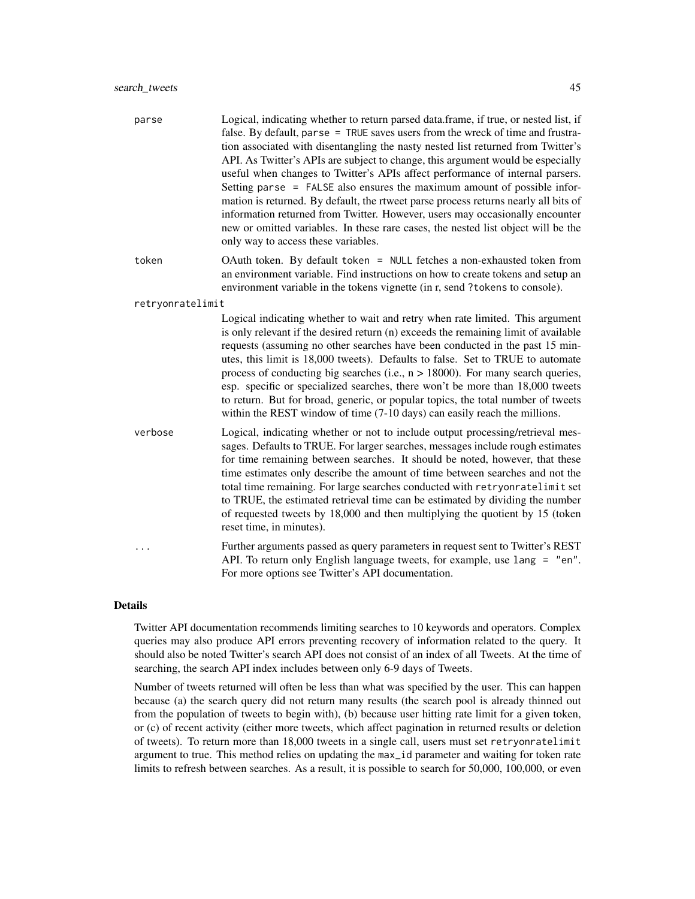| parse | Logical, indicating whether to return parsed data frame, if true, or nested list, if |
|-------|--------------------------------------------------------------------------------------|
|       | false. By default, parse = TRUE saves users from the wreck of time and frustra-      |
|       | tion associated with disentangling the nasty nested list returned from Twitter's     |
|       | API. As Twitter's APIs are subject to change, this argument would be especially      |
|       | useful when changes to Twitter's APIs affect performance of internal parsers.        |
|       | Setting parse = FALSE also ensures the maximum amount of possible infor-             |
|       | mation is returned. By default, the rtweet parse process returns nearly all bits of  |
|       | information returned from Twitter. However, users may occasionally encounter         |
|       | new or omitted variables. In these rare cases, the nested list object will be the    |
|       | only way to access these variables.                                                  |

token OAuth token. By default token = NULL fetches a non-exhausted token from an environment variable. Find instructions on how to create tokens and setup an environment variable in the tokens vignette (in r, send ?tokens to console).

#### retryonratelimit

Logical indicating whether to wait and retry when rate limited. This argument is only relevant if the desired return (n) exceeds the remaining limit of available requests (assuming no other searches have been conducted in the past 15 minutes, this limit is 18,000 tweets). Defaults to false. Set to TRUE to automate process of conducting big searches (i.e.,  $n > 18000$ ). For many search queries, esp. specific or specialized searches, there won't be more than 18,000 tweets to return. But for broad, generic, or popular topics, the total number of tweets within the REST window of time (7-10 days) can easily reach the millions.

- verbose Logical, indicating whether or not to include output processing/retrieval messages. Defaults to TRUE. For larger searches, messages include rough estimates for time remaining between searches. It should be noted, however, that these time estimates only describe the amount of time between searches and not the total time remaining. For large searches conducted with retryonratelimit set to TRUE, the estimated retrieval time can be estimated by dividing the number of requested tweets by 18,000 and then multiplying the quotient by 15 (token reset time, in minutes).
- ... Further arguments passed as query parameters in request sent to Twitter's REST API. To return only English language tweets, for example, use lang = "en". For more options see Twitter's API documentation.

# Details

Twitter API documentation recommends limiting searches to 10 keywords and operators. Complex queries may also produce API errors preventing recovery of information related to the query. It should also be noted Twitter's search API does not consist of an index of all Tweets. At the time of searching, the search API index includes between only 6-9 days of Tweets.

Number of tweets returned will often be less than what was specified by the user. This can happen because (a) the search query did not return many results (the search pool is already thinned out from the population of tweets to begin with), (b) because user hitting rate limit for a given token, or (c) of recent activity (either more tweets, which affect pagination in returned results or deletion of tweets). To return more than 18,000 tweets in a single call, users must set retryonratelimit argument to true. This method relies on updating the max\_id parameter and waiting for token rate limits to refresh between searches. As a result, it is possible to search for 50,000, 100,000, or even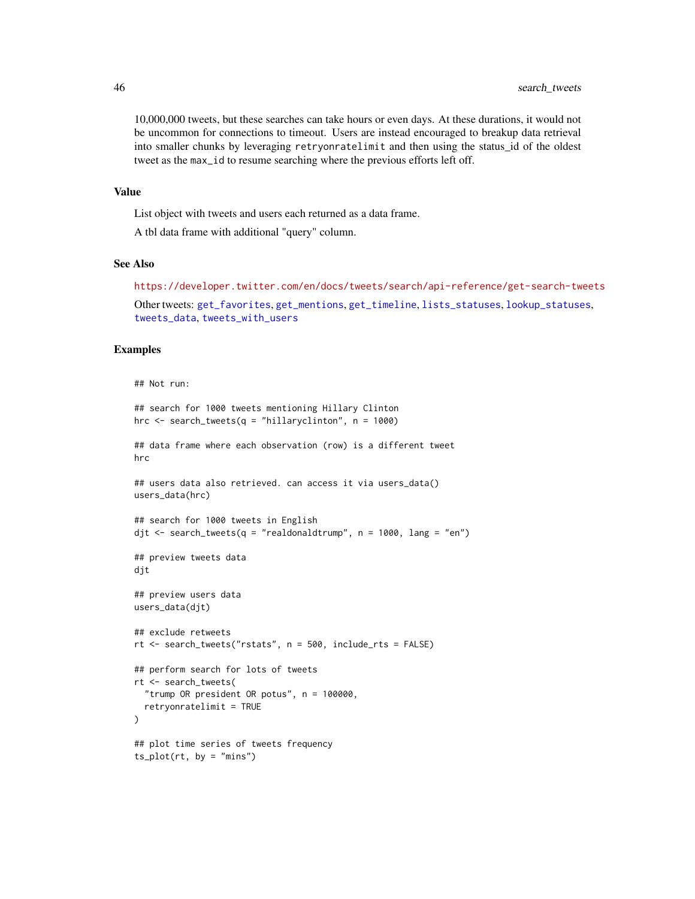<span id="page-45-0"></span>10,000,000 tweets, but these searches can take hours or even days. At these durations, it would not be uncommon for connections to timeout. Users are instead encouraged to breakup data retrieval into smaller chunks by leveraging retryonratelimit and then using the status id of the oldest tweet as the max\_id to resume searching where the previous efforts left off.

#### Value

List object with tweets and users each returned as a data frame.

A tbl data frame with additional "query" column.

#### See Also

```
https://developer.twitter.com/en/docs/tweets/search/api-reference/get-search-tweets
```

```
Other tweets: get_favorites, get_mentions, get_timeline, lists_statuses, lookup_statuses,
tweets_data, tweets_with_users
```
#### Examples

```
## Not run:
```

```
## search for 1000 tweets mentioning Hillary Clinton
hrc \le search_tweets(q = "hillaryclinton", n = 1000)
## data frame where each observation (row) is a different tweet
hrc
## users data also retrieved. can access it via users_data()
users_data(hrc)
## search for 1000 tweets in English
djt <- search_tweets(q = "realdonaldtrump", n = 1000, lang = "en")
## preview tweets data
djt
## preview users data
users_data(djt)
## exclude retweets
rt <- search_tweets("rstats", n = 500, include_rts = FALSE)
## perform search for lots of tweets
rt <- search_tweets(
  "trump OR president OR potus", n = 100000,
  retryonratelimit = TRUE
)
## plot time series of tweets frequency
ts\_plot(rt, by = "mins")
```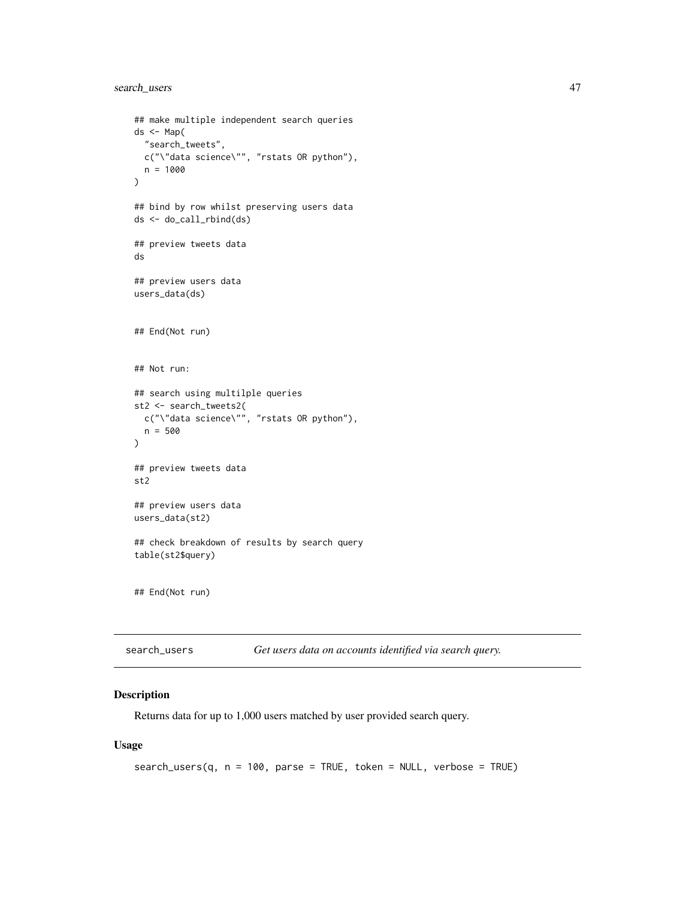```
## make multiple independent search queries
ds <- Map(
  "search_tweets",
 c("\"data science\"", "rstats OR python"),
  n = 1000
\mathcal{L}## bind by row whilst preserving users data
ds <- do_call_rbind(ds)
## preview tweets data
ds
## preview users data
users_data(ds)
## End(Not run)
## Not run:
## search using multilple queries
st2 <- search_tweets2(
  c("\"data science\"", "rstats OR python"),
  n = 500
\mathcal{L}## preview tweets data
st2
## preview users data
users_data(st2)
## check breakdown of results by search query
table(st2$query)
## End(Not run)
```
<span id="page-46-1"></span>

| search_users | Get users data on accounts identified via search query. |  |  |  |  |
|--------------|---------------------------------------------------------|--|--|--|--|
|--------------|---------------------------------------------------------|--|--|--|--|

#### Description

Returns data for up to 1,000 users matched by user provided search query.

```
search_users(q, n = 100, parse = TRUE, token = NULL, verbose = TRUE)
```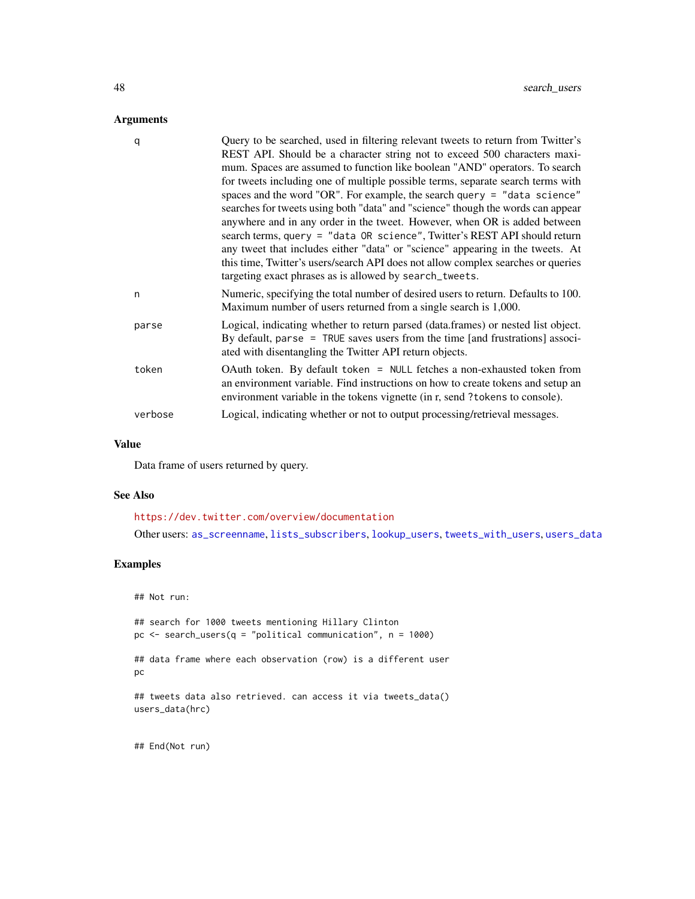# <span id="page-47-0"></span>Arguments

| q       | Query to be searched, used in filtering relevant tweets to return from Twitter's<br>REST API. Should be a character string not to exceed 500 characters maxi-<br>mum. Spaces are assumed to function like boolean "AND" operators. To search<br>for tweets including one of multiple possible terms, separate search terms with<br>spaces and the word "OR". For example, the search query = "data science"<br>searches for tweets using both "data" and "science" though the words can appear<br>anywhere and in any order in the tweet. However, when OR is added between<br>search terms, query = "data OR science", Twitter's REST API should return<br>any tweet that includes either "data" or "science" appearing in the tweets. At<br>this time, Twitter's users/search API does not allow complex searches or queries<br>targeting exact phrases as is allowed by search_tweets. |
|---------|-------------------------------------------------------------------------------------------------------------------------------------------------------------------------------------------------------------------------------------------------------------------------------------------------------------------------------------------------------------------------------------------------------------------------------------------------------------------------------------------------------------------------------------------------------------------------------------------------------------------------------------------------------------------------------------------------------------------------------------------------------------------------------------------------------------------------------------------------------------------------------------------|
| n       | Numeric, specifying the total number of desired users to return. Defaults to 100.<br>Maximum number of users returned from a single search is 1,000.                                                                                                                                                                                                                                                                                                                                                                                                                                                                                                                                                                                                                                                                                                                                      |
| parse   | Logical, indicating whether to return parsed (data.frames) or nested list object.<br>By default, parse = TRUE saves users from the time [and frustrations] associ-<br>ated with disentangling the Twitter API return objects.                                                                                                                                                                                                                                                                                                                                                                                                                                                                                                                                                                                                                                                             |
| token   | OAuth token. By default token = NULL fetches a non-exhausted token from<br>an environment variable. Find instructions on how to create tokens and setup an<br>environment variable in the tokens vignette (in r, send ?tokens to console).                                                                                                                                                                                                                                                                                                                                                                                                                                                                                                                                                                                                                                                |
| verbose | Logical, indicating whether or not to output processing/retrieval messages.                                                                                                                                                                                                                                                                                                                                                                                                                                                                                                                                                                                                                                                                                                                                                                                                               |

# Value

Data frame of users returned by query.

#### See Also

<https://dev.twitter.com/overview/documentation>

Other users: [as\\_screenname](#page-3-1), [lists\\_subscribers](#page-25-1), [lookup\\_users](#page-31-1), [tweets\\_with\\_users](#page-56-1), [users\\_data](#page-57-1)

# Examples

## Not run:

## search for 1000 tweets mentioning Hillary Clinton pc <- search\_users(q = "political communication", n = 1000) ## data frame where each observation (row) is a different user pc ## tweets data also retrieved. can access it via tweets\_data() users\_data(hrc)

## End(Not run)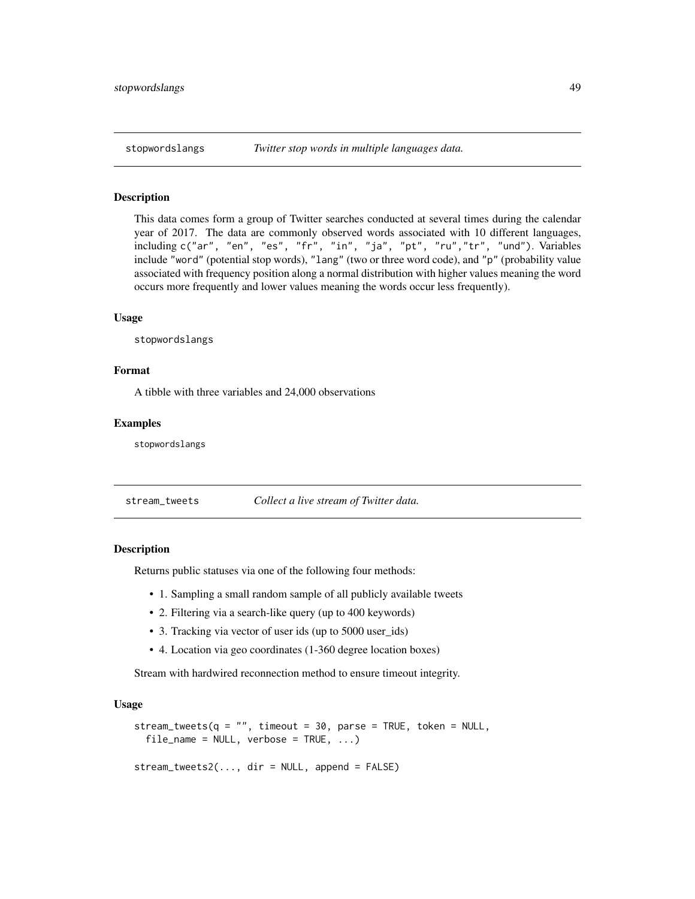<span id="page-48-0"></span>

#### Description

This data comes form a group of Twitter searches conducted at several times during the calendar year of 2017. The data are commonly observed words associated with 10 different languages, including c("ar", "en", "es", "fr", "in", "ja", "pt", "ru","tr", "und"). Variables include "word" (potential stop words), "lang" (two or three word code), and "p" (probability value associated with frequency position along a normal distribution with higher values meaning the word occurs more frequently and lower values meaning the words occur less frequently).

#### Usage

stopwordslangs

#### Format

A tibble with three variables and 24,000 observations

#### Examples

stopwordslangs

<span id="page-48-1"></span>stream\_tweets *Collect a live stream of Twitter data.*

# Description

Returns public statuses via one of the following four methods:

- 1. Sampling a small random sample of all publicly available tweets
- 2. Filtering via a search-like query (up to 400 keywords)
- 3. Tracking via vector of user ids (up to 5000 user\_ids)
- 4. Location via geo coordinates (1-360 degree location boxes)

Stream with hardwired reconnection method to ensure timeout integrity.

# Usage

```
stream_tweets(q = "", timeout = 30, parse = TRUE, token = NULL,
  file_name = NULL, verbose = TRUE, ...)
```
stream\_tweets2(..., dir = NULL, append = FALSE)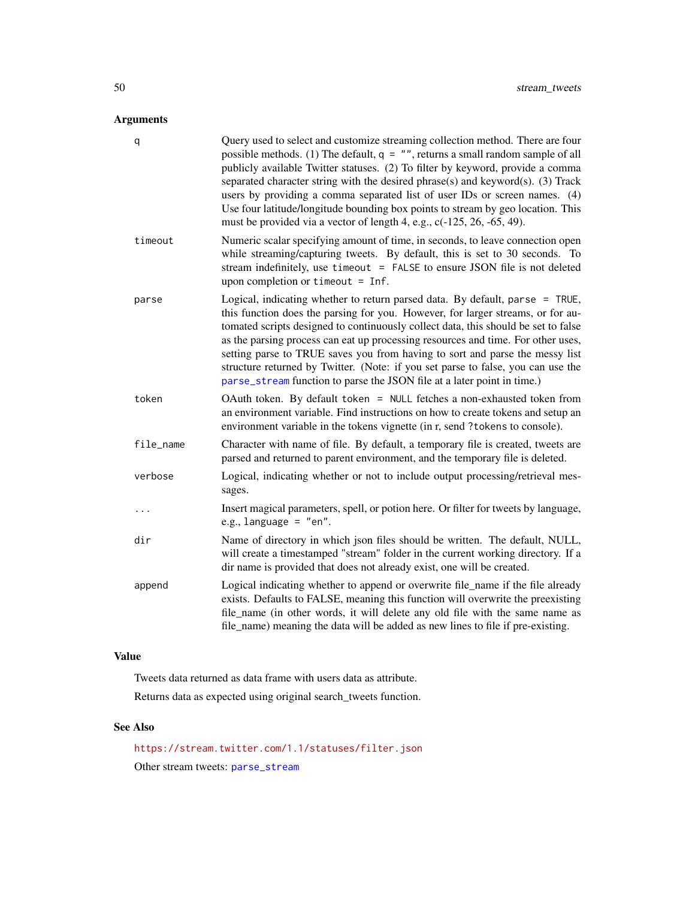# <span id="page-49-0"></span>Arguments

| q         | Query used to select and customize streaming collection method. There are four<br>possible methods. (1) The default, $q = "$ , returns a small random sample of all<br>publicly available Twitter statuses. (2) To filter by keyword, provide a comma<br>separated character string with the desired phrase(s) and keyword(s). (3) Track<br>users by providing a comma separated list of user IDs or screen names. (4)<br>Use four latitude/longitude bounding box points to stream by geo location. This<br>must be provided via a vector of length 4, e.g., c(-125, 26, -65, 49).      |
|-----------|------------------------------------------------------------------------------------------------------------------------------------------------------------------------------------------------------------------------------------------------------------------------------------------------------------------------------------------------------------------------------------------------------------------------------------------------------------------------------------------------------------------------------------------------------------------------------------------|
| timeout   | Numeric scalar specifying amount of time, in seconds, to leave connection open<br>while streaming/capturing tweets. By default, this is set to 30 seconds. To<br>stream indefinitely, use timeout = FALSE to ensure JSON file is not deleted<br>upon completion or timeout $=$ Inf.                                                                                                                                                                                                                                                                                                      |
| parse     | Logical, indicating whether to return parsed data. By default, parse = TRUE,<br>this function does the parsing for you. However, for larger streams, or for au-<br>tomated scripts designed to continuously collect data, this should be set to false<br>as the parsing process can eat up processing resources and time. For other uses,<br>setting parse to TRUE saves you from having to sort and parse the messy list<br>structure returned by Twitter. (Note: if you set parse to false, you can use the<br>parse_stream function to parse the JSON file at a later point in time.) |
| token     | OAuth token. By default token = NULL fetches a non-exhausted token from<br>an environment variable. Find instructions on how to create tokens and setup an<br>environment variable in the tokens vignette (in r, send ?tokens to console).                                                                                                                                                                                                                                                                                                                                               |
| file_name | Character with name of file. By default, a temporary file is created, tweets are<br>parsed and returned to parent environment, and the temporary file is deleted.                                                                                                                                                                                                                                                                                                                                                                                                                        |
| verbose   | Logical, indicating whether or not to include output processing/retrieval mes-<br>sages.                                                                                                                                                                                                                                                                                                                                                                                                                                                                                                 |
|           | Insert magical parameters, spell, or potion here. Or filter for tweets by language,<br>e.g., language = $"en".$                                                                                                                                                                                                                                                                                                                                                                                                                                                                          |
| dir       | Name of directory in which json files should be written. The default, NULL,<br>will create a timestamped "stream" folder in the current working directory. If a<br>dir name is provided that does not already exist, one will be created.                                                                                                                                                                                                                                                                                                                                                |
| append    | Logical indicating whether to append or overwrite file_name if the file already<br>exists. Defaults to FALSE, meaning this function will overwrite the preexisting<br>file_name (in other words, it will delete any old file with the same name as<br>file_name) meaning the data will be added as new lines to file if pre-existing.                                                                                                                                                                                                                                                    |

# Value

Tweets data returned as data frame with users data as attribute. Returns data as expected using original search\_tweets function.

# See Also

<https://stream.twitter.com/1.1/statuses/filter.json> Other stream tweets: [parse\\_stream](#page-34-1)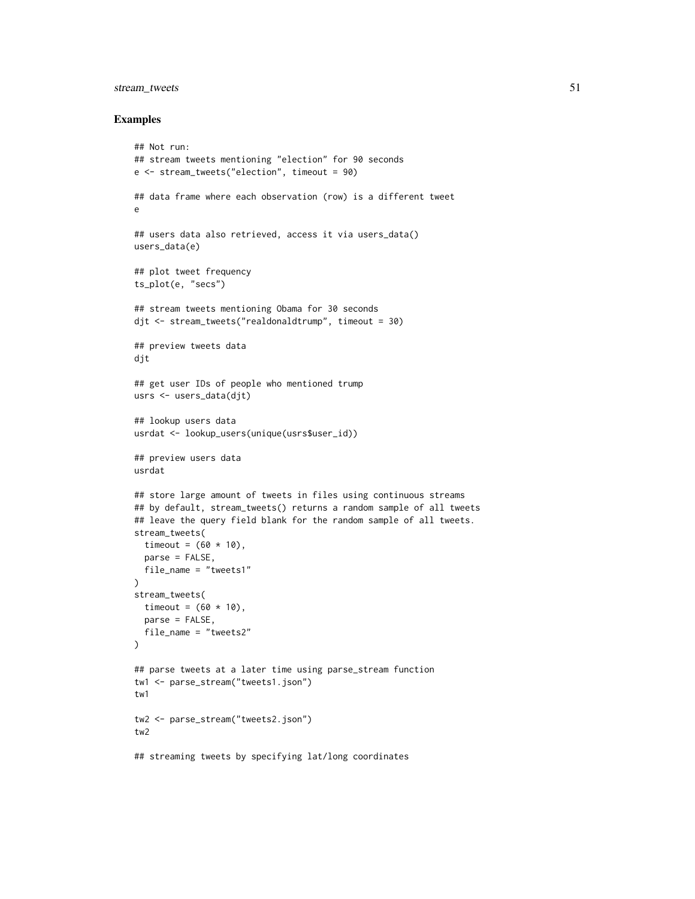# stream\_tweets 51

#### Examples

```
## Not run:
## stream tweets mentioning "election" for 90 seconds
e <- stream_tweets("election", timeout = 90)
## data frame where each observation (row) is a different tweet
e
## users data also retrieved, access it via users_data()
users_data(e)
## plot tweet frequency
ts_plot(e, "secs")
## stream tweets mentioning Obama for 30 seconds
djt <- stream_tweets("realdonaldtrump", timeout = 30)
## preview tweets data
djt
## get user IDs of people who mentioned trump
usrs <- users_data(djt)
## lookup users data
usrdat <- lookup_users(unique(usrs$user_id))
## preview users data
usrdat
## store large amount of tweets in files using continuous streams
## by default, stream_tweets() returns a random sample of all tweets
## leave the query field blank for the random sample of all tweets.
stream_tweets(
  timeout = (60 * 10),
  parse = FALSE,
  file_name = "tweets1"
)
stream_tweets(
 timeout = (60 * 10),
 parse = FALSE,
 file_name = "tweets2"
)
## parse tweets at a later time using parse_stream function
tw1 <- parse_stream("tweets1.json")
tw1
tw2 <- parse_stream("tweets2.json")
tw2
## streaming tweets by specifying lat/long coordinates
```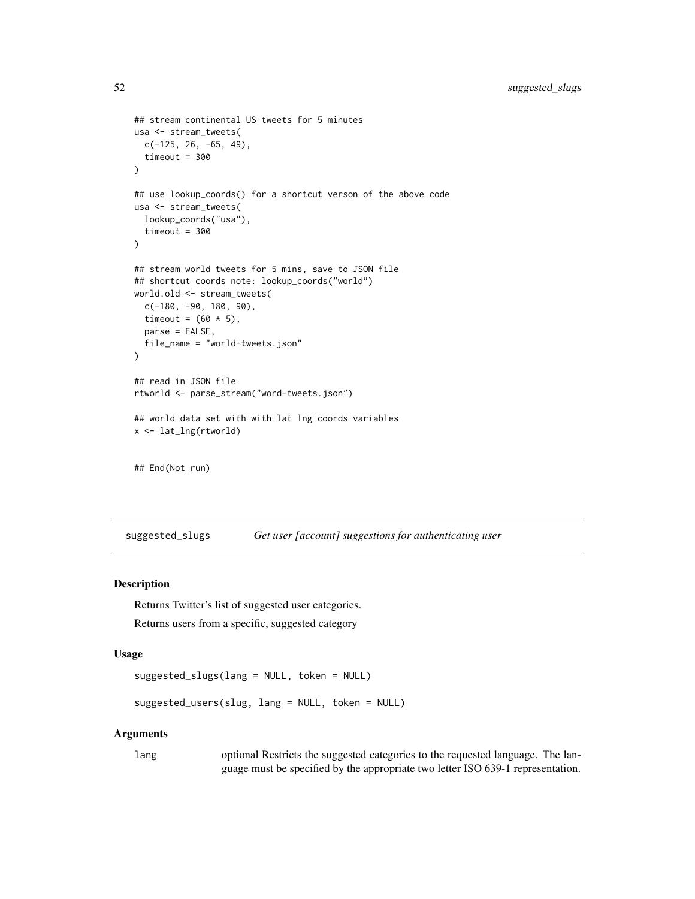```
## stream continental US tweets for 5 minutes
usa <- stream_tweets(
  c(-125, 26, -65, 49),
  timeout = 300
)
## use lookup_coords() for a shortcut verson of the above code
usa <- stream_tweets(
  lookup_coords("usa"),
  timeout = 300
)
## stream world tweets for 5 mins, save to JSON file
## shortcut coords note: lookup_coords("world")
world.old <- stream_tweets(
  c(-180, -90, 180, 90),
  timeout = (60 * 5),
 parse = FALSE,
  file_name = "world-tweets.json"
)
## read in JSON file
rtworld <- parse_stream("word-tweets.json")
## world data set with with lat lng coords variables
x <- lat_lng(rtworld)
## End(Not run)
```
suggested\_slugs *Get user [account] suggestions for authenticating user*

#### <span id="page-51-1"></span>Description

Returns Twitter's list of suggested user categories.

Returns users from a specific, suggested category

# Usage

suggested\_slugs(lang = NULL, token = NULL)

suggested\_users(slug, lang = NULL, token = NULL)

#### Arguments

lang optional Restricts the suggested categories to the requested language. The language must be specified by the appropriate two letter ISO 639-1 representation.

<span id="page-51-0"></span>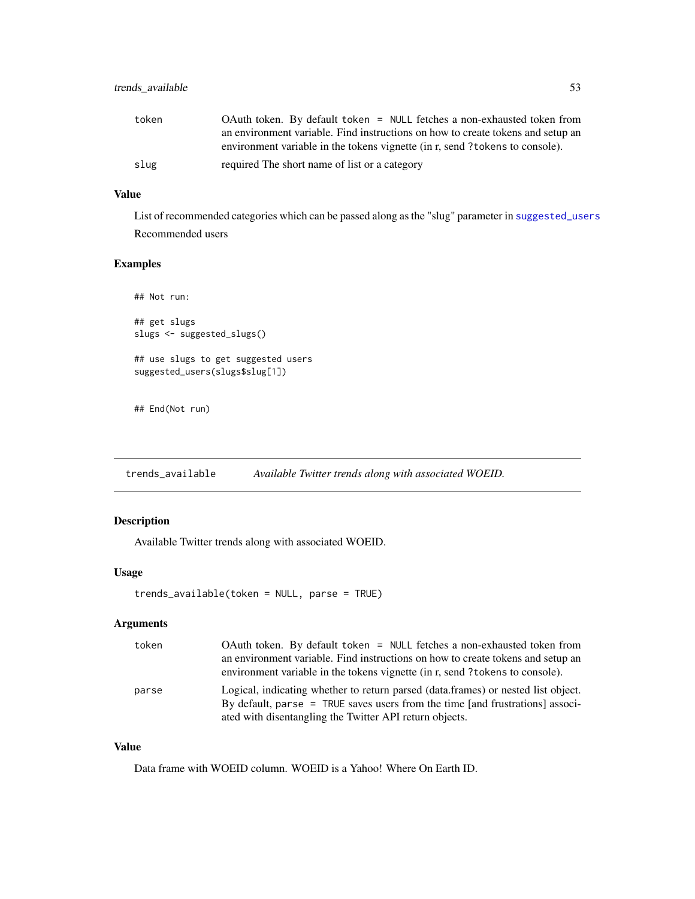<span id="page-52-0"></span>

| token | OAuth token. By default token = NULL fetches a non-exhausted token from         |
|-------|---------------------------------------------------------------------------------|
|       | an environment variable. Find instructions on how to create tokens and setup an |
|       | environment variable in the tokens vignette (in r, send?tokens to console).     |
| slug  | required The short name of list or a category                                   |

# Value

List of recommended categories which can be passed along as the "slug" parameter in [suggested\\_users](#page-51-1) Recommended users

# Examples

```
## Not run:
## get slugs
slugs <- suggested_slugs()
## use slugs to get suggested users
suggested_users(slugs$slug[1])
```
## End(Not run)

<span id="page-52-1"></span>trends\_available *Available Twitter trends along with associated WOEID.*

### Description

Available Twitter trends along with associated WOEID.

#### Usage

```
trends_available(token = NULL, parse = TRUE)
```
# Arguments

| token | OAuth token. By default token = NULL fetches a non-exhausted token from<br>an environment variable. Find instructions on how to create tokens and setup an<br>environment variable in the tokens vignette (in r, send ? tokens to console). |
|-------|---------------------------------------------------------------------------------------------------------------------------------------------------------------------------------------------------------------------------------------------|
| parse | Logical, indicating whether to return parsed (data.frames) or nested list object.<br>By default, parse = TRUE saves users from the time [and frustrations] associ-<br>ated with disentangling the Twitter API return objects.               |

# Value

Data frame with WOEID column. WOEID is a Yahoo! Where On Earth ID.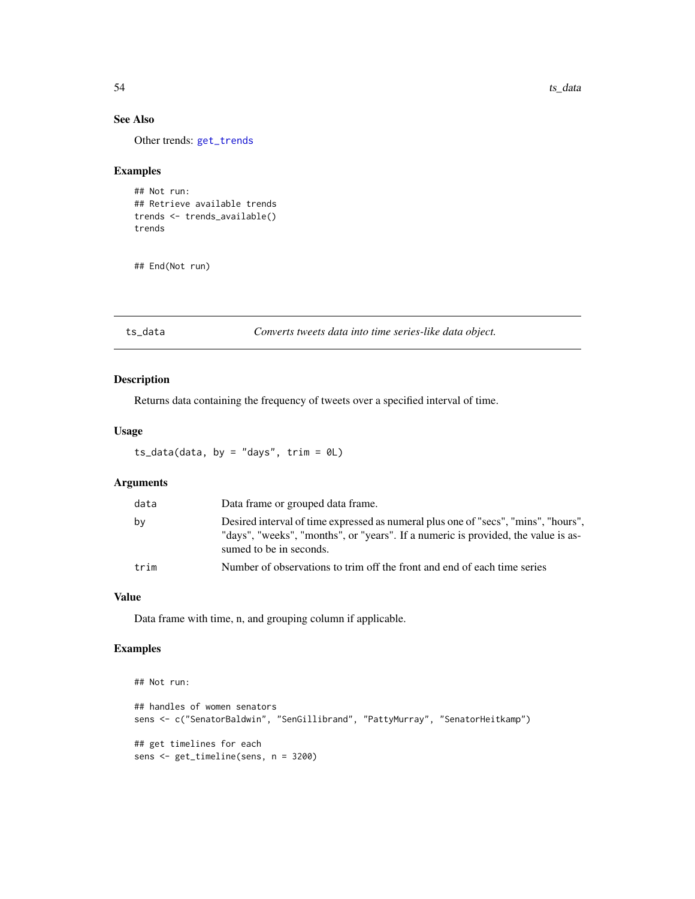# See Also

Other trends: [get\\_trends](#page-19-1)

# Examples

```
## Not run:
## Retrieve available trends
trends <- trends_available()
trends
```
## End(Not run)

ts\_data *Converts tweets data into time series-like data object.*

# Description

Returns data containing the frequency of tweets over a specified interval of time.

# Usage

```
ts_data(data, by = "days", trim = <math>0L</math>)
```
# Arguments

| data | Data frame or grouped data frame.                                                                                                                                                                  |
|------|----------------------------------------------------------------------------------------------------------------------------------------------------------------------------------------------------|
| by   | Desired interval of time expressed as numeral plus one of "secs", "mins", "hours",<br>"days", "weeks", "months", or "years". If a numeric is provided, the value is as-<br>sumed to be in seconds. |
| trim | Number of observations to trim off the front and end of each time series                                                                                                                           |

# Value

Data frame with time, n, and grouping column if applicable.

# Examples

```
## Not run:
## handles of women senators
sens <- c("SenatorBaldwin", "SenGillibrand", "PattyMurray", "SenatorHeitkamp")
## get timelines for each
sens <- get_timeline(sens, n = 3200)
```
<span id="page-53-0"></span>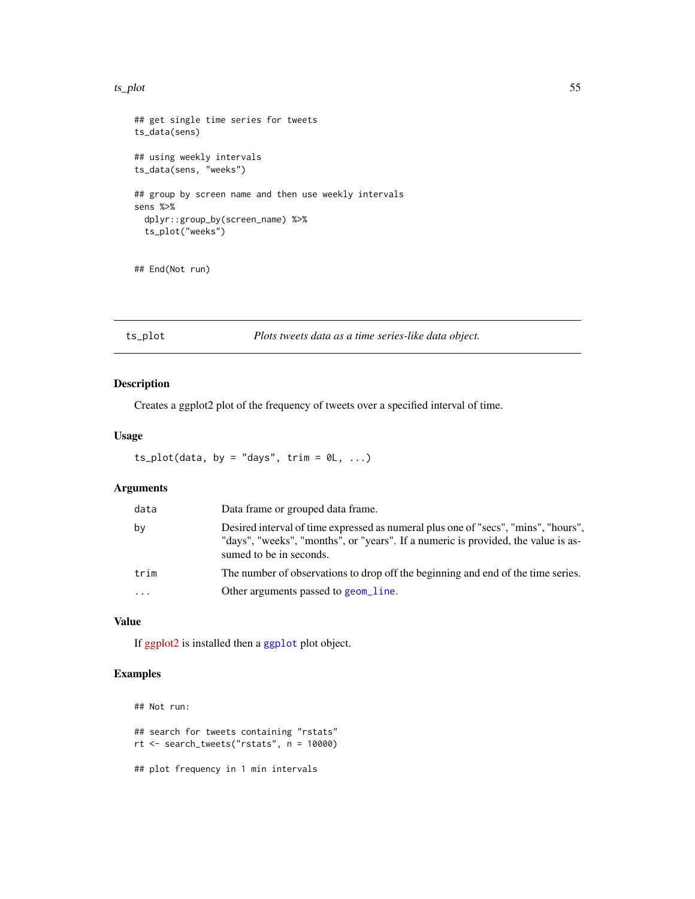#### <span id="page-54-0"></span>ts\_plot 55

```
## get single time series for tweets
ts_data(sens)
## using weekly intervals
ts_data(sens, "weeks")
## group by screen name and then use weekly intervals
sens %>%
  dplyr::group_by(screen_name) %>%
  ts_plot("weeks")
```

```
## End(Not run)
```
ts\_plot *Plots tweets data as a time series-like data object.*

# Description

Creates a ggplot2 plot of the frequency of tweets over a specified interval of time.

# Usage

```
ts\_plot(data, by = "days", trim = 0L, ...)
```
# Arguments

| data    | Data frame or grouped data frame.                                                                                                                                                                  |
|---------|----------------------------------------------------------------------------------------------------------------------------------------------------------------------------------------------------|
| by      | Desired interval of time expressed as numeral plus one of "secs", "mins", "hours",<br>"days", "weeks", "months", or "years". If a numeric is provided, the value is as-<br>sumed to be in seconds. |
| trim    | The number of observations to drop off the beginning and end of the time series.                                                                                                                   |
| $\cdot$ | Other arguments passed to geom_line.                                                                                                                                                               |

# Value

If [ggplot2](https://cran.r-project.org/package=ggplot2) is installed then a [ggplot](#page-0-0) plot object.

# Examples

```
## Not run:
## search for tweets containing "rstats"
rt <- search_tweets("rstats", n = 10000)
## plot frequency in 1 min intervals
```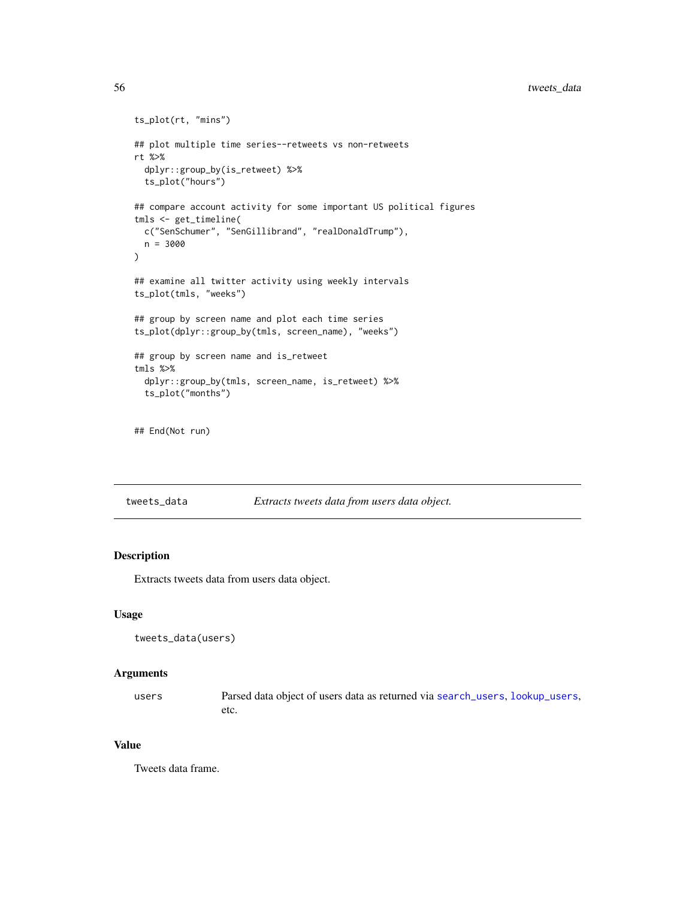```
ts_plot(rt, "mins")
## plot multiple time series--retweets vs non-retweets
rt %>%
  dplyr::group_by(is_retweet) %>%
  ts_plot("hours")
## compare account activity for some important US political figures
tmls <- get_timeline(
  c("SenSchumer", "SenGillibrand", "realDonaldTrump"),
  n = 3000
\mathcal{L}## examine all twitter activity using weekly intervals
ts_plot(tmls, "weeks")
## group by screen name and plot each time series
ts_plot(dplyr::group_by(tmls, screen_name), "weeks")
## group by screen name and is_retweet
tmls %>%
  dplyr::group_by(tmls, screen_name, is_retweet) %>%
  ts_plot("months")
```

```
## End(Not run)
```
<span id="page-55-1"></span>tweets\_data *Extracts tweets data from users data object.*

# Description

Extracts tweets data from users data object.

#### Usage

```
tweets_data(users)
```
#### Arguments

users Parsed data object of users data as returned via [search\\_users](#page-46-1), [lookup\\_users](#page-31-1), etc.

#### Value

Tweets data frame.

<span id="page-55-0"></span>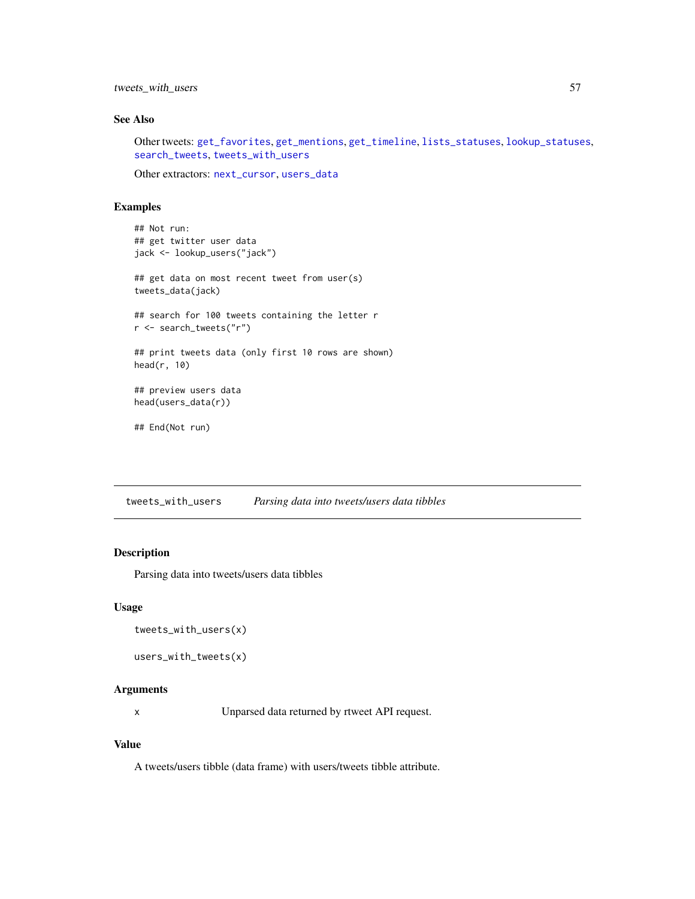<span id="page-56-0"></span>tweets\_with\_users 57

# See Also

Other tweets: [get\\_favorites](#page-9-1), [get\\_mentions](#page-14-1), [get\\_timeline](#page-17-1), [lists\\_statuses](#page-24-1), [lookup\\_statuses](#page-30-1), [search\\_tweets](#page-42-1), [tweets\\_with\\_users](#page-56-1)

Other extractors: [next\\_cursor](#page-33-1), [users\\_data](#page-57-1)

# Examples

```
## Not run:
## get twitter user data
jack <- lookup_users("jack")
## get data on most recent tweet from user(s)
tweets_data(jack)
## search for 100 tweets containing the letter r
r <- search_tweets("r")
## print tweets data (only first 10 rows are shown)
head(r, 10)
## preview users data
head(users_data(r))
## End(Not run)
```
<span id="page-56-1"></span>tweets\_with\_users *Parsing data into tweets/users data tibbles*

# Description

Parsing data into tweets/users data tibbles

#### Usage

```
tweets_with_users(x)
```

```
users_with_tweets(x)
```
#### Arguments

x Unparsed data returned by rtweet API request.

### Value

A tweets/users tibble (data frame) with users/tweets tibble attribute.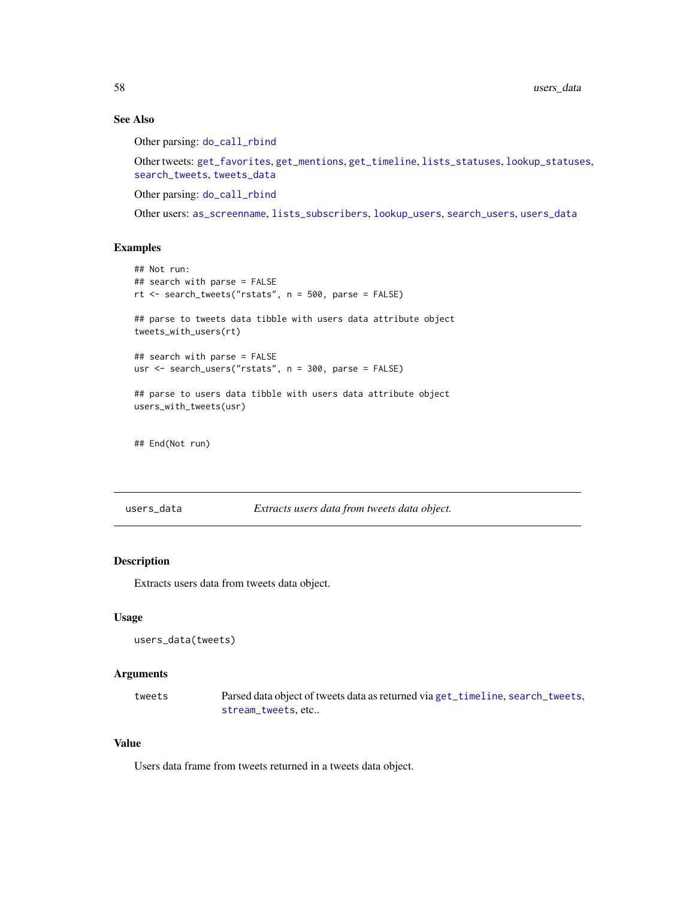# See Also

Other parsing: [do\\_call\\_rbind](#page-6-1)

Other tweets: [get\\_favorites](#page-9-1), [get\\_mentions](#page-14-1), [get\\_timeline](#page-17-1), [lists\\_statuses](#page-24-1), [lookup\\_statuses](#page-30-1), [search\\_tweets](#page-42-1), [tweets\\_data](#page-55-1)

Other parsing: [do\\_call\\_rbind](#page-6-1)

Other users: [as\\_screenname](#page-3-1), [lists\\_subscribers](#page-25-1), [lookup\\_users](#page-31-1), [search\\_users](#page-46-1), [users\\_data](#page-57-1)

#### Examples

```
## Not run:
## search with parse = FALSE
rt <- search_tweets("rstats", n = 500, parse = FALSE)
## parse to tweets data tibble with users data attribute object
tweets_with_users(rt)
## search with parse = FALSE
usr <- search_users("rstats", n = 300, parse = FALSE)
## parse to users data tibble with users data attribute object
users_with_tweets(usr)
```
## End(Not run)

<span id="page-57-1"></span>

users\_data *Extracts users data from tweets data object.*

#### Description

Extracts users data from tweets data object.

### Usage

```
users_data(tweets)
```
#### Arguments

tweets Parsed data object of tweets data as returned via [get\\_timeline](#page-17-1), [search\\_tweets](#page-42-1), [stream\\_tweets](#page-48-1), etc..

# Value

Users data frame from tweets returned in a tweets data object.

<span id="page-57-0"></span>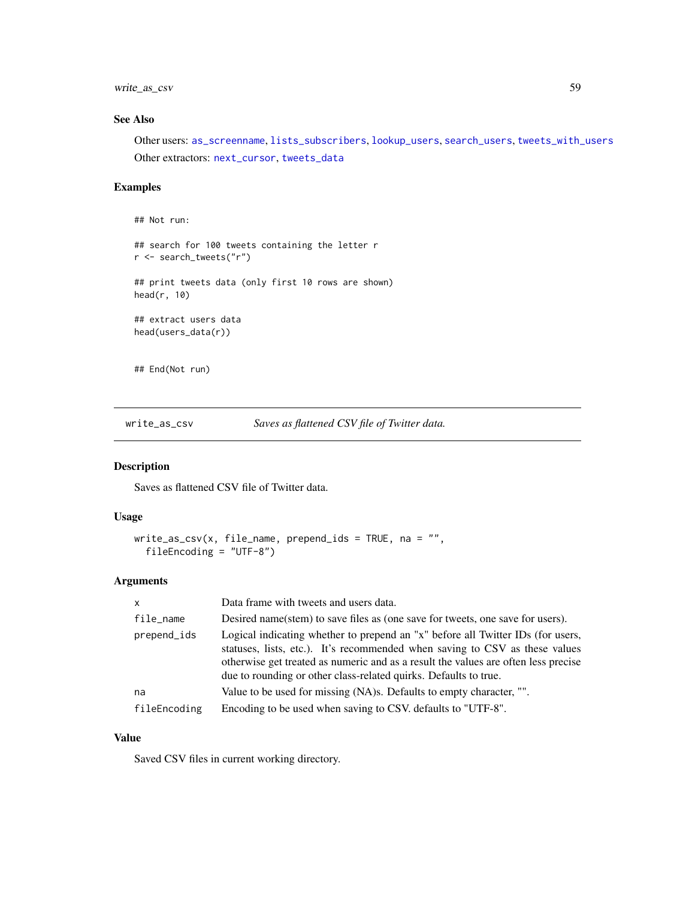<span id="page-58-0"></span>write\_as\_csv 59

# See Also

Other users: [as\\_screenname](#page-3-1), [lists\\_subscribers](#page-25-1), [lookup\\_users](#page-31-1), [search\\_users](#page-46-1), [tweets\\_with\\_users](#page-56-1) Other extractors: [next\\_cursor](#page-33-1), [tweets\\_data](#page-55-1)

# Examples

## Not run:

## search for 100 tweets containing the letter r r <- search\_tweets("r")

## print tweets data (only first 10 rows are shown) head(r, 10)

## extract users data head(users\_data(r))

## End(Not run)

write\_as\_csv *Saves as flattened CSV file of Twitter data.*

# Description

Saves as flattened CSV file of Twitter data.

#### Usage

```
write_as_csv(x, file_name, prepend_ids = TRUE, na = ",
  fileEncoding = "UTF-8")
```
# Arguments

| $\mathsf{x}$ | Data frame with tweets and users data.                                                                                                                                                                                                                                                                                   |
|--------------|--------------------------------------------------------------------------------------------------------------------------------------------------------------------------------------------------------------------------------------------------------------------------------------------------------------------------|
| file_name    | Desired name(stem) to save files as (one save for tweets, one save for users).                                                                                                                                                                                                                                           |
| prepend_ids  | Logical indicating whether to prepend an "x" before all Twitter IDs (for users,<br>statuses, lists, etc.). It's recommended when saving to CSV as these values<br>otherwise get treated as numeric and as a result the values are often less precise<br>due to rounding or other class-related quirks. Defaults to true. |
| na           | Value to be used for missing (NA)s. Defaults to empty character, "".                                                                                                                                                                                                                                                     |
| fileEncoding | Encoding to be used when saving to CSV. defaults to "UTF-8".                                                                                                                                                                                                                                                             |

# Value

Saved CSV files in current working directory.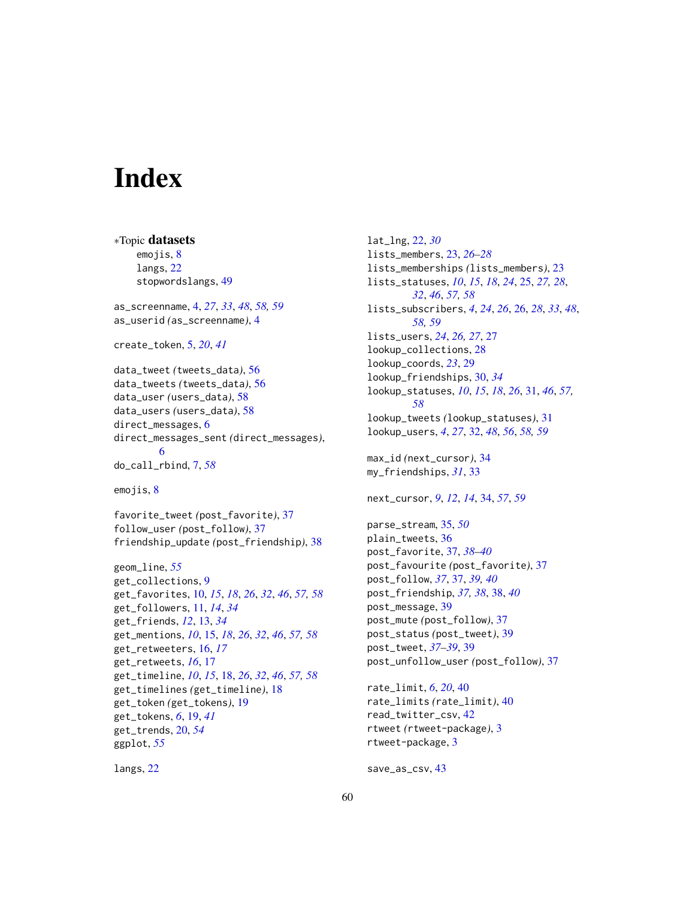# <span id="page-59-0"></span>**Index**

∗Topic datasets emojis, [8](#page-7-0) langs, [22](#page-21-0) stopwordslangs, [49](#page-48-0) as\_screenname, [4,](#page-3-0) *[27](#page-26-0)*, *[33](#page-32-0)*, *[48](#page-47-0)*, *[58,](#page-57-0) [59](#page-58-0)* as\_userid *(*as\_screenname*)*, [4](#page-3-0) create\_token, [5,](#page-4-0) *[20](#page-19-0)*, *[41](#page-40-0)* data\_tweet *(*tweets\_data*)*, [56](#page-55-0) data\_tweets *(*tweets\_data*)*, [56](#page-55-0) data\_user *(*users\_data*)*, [58](#page-57-0) data\_users *(*users\_data*)*, [58](#page-57-0) direct\_messages, [6](#page-5-0) direct\_messages\_sent *(*direct\_messages*)*, [6](#page-5-0) do\_call\_rbind, [7,](#page-6-0) *[58](#page-57-0)* emojis, [8](#page-7-0) favorite\_tweet *(*post\_favorite*)*, [37](#page-36-0) follow\_user *(*post\_follow*)*, [37](#page-36-0) friendship\_update *(*post\_friendship*)*, [38](#page-37-0) geom\_line, *[55](#page-54-0)* get\_collections, [9](#page-8-0) get\_favorites, [10,](#page-9-0) *[15](#page-14-0)*, *[18](#page-17-0)*, *[26](#page-25-0)*, *[32](#page-31-0)*, *[46](#page-45-0)*, *[57,](#page-56-0) [58](#page-57-0)* get\_followers, [11,](#page-10-0) *[14](#page-13-0)*, *[34](#page-33-0)* get\_friends, *[12](#page-11-0)*, [13,](#page-12-0) *[34](#page-33-0)* get\_mentions, *[10](#page-9-0)*, [15,](#page-14-0) *[18](#page-17-0)*, *[26](#page-25-0)*, *[32](#page-31-0)*, *[46](#page-45-0)*, *[57,](#page-56-0) [58](#page-57-0)* get\_retweeters, [16,](#page-15-0) *[17](#page-16-0)* get\_retweets, *[16](#page-15-0)*, [17](#page-16-0) get\_timeline, *[10](#page-9-0)*, *[15](#page-14-0)*, [18,](#page-17-0) *[26](#page-25-0)*, *[32](#page-31-0)*, *[46](#page-45-0)*, *[57,](#page-56-0) [58](#page-57-0)* get\_timelines *(*get\_timeline*)*, [18](#page-17-0) get\_token *(*get\_tokens*)*, [19](#page-18-0) get\_tokens, *[6](#page-5-0)*, [19,](#page-18-0) *[41](#page-40-0)* get\_trends, [20,](#page-19-0) *[54](#page-53-0)* ggplot, *[55](#page-54-0)*

langs, [22](#page-21-0)

lat\_lng, [22,](#page-21-0) *[30](#page-29-0)* lists\_members, [23,](#page-22-0) *[26](#page-25-0)[–28](#page-27-0)* lists\_memberships *(*lists\_members*)*, [23](#page-22-0) lists\_statuses, *[10](#page-9-0)*, *[15](#page-14-0)*, *[18](#page-17-0)*, *[24](#page-23-0)*, [25,](#page-24-0) *[27,](#page-26-0) [28](#page-27-0)*, *[32](#page-31-0)*, *[46](#page-45-0)*, *[57,](#page-56-0) [58](#page-57-0)* lists\_subscribers, *[4](#page-3-0)*, *[24](#page-23-0)*, *[26](#page-25-0)*, [26,](#page-25-0) *[28](#page-27-0)*, *[33](#page-32-0)*, *[48](#page-47-0)*, *[58,](#page-57-0) [59](#page-58-0)* lists\_users, *[24](#page-23-0)*, *[26,](#page-25-0) [27](#page-26-0)*, [27](#page-26-0) lookup\_collections, [28](#page-27-0) lookup\_coords, *[23](#page-22-0)*, [29](#page-28-0) lookup\_friendships, [30,](#page-29-0) *[34](#page-33-0)* lookup\_statuses, *[10](#page-9-0)*, *[15](#page-14-0)*, *[18](#page-17-0)*, *[26](#page-25-0)*, [31,](#page-30-0) *[46](#page-45-0)*, *[57,](#page-56-0) [58](#page-57-0)* lookup\_tweets *(*lookup\_statuses*)*, [31](#page-30-0) lookup\_users, *[4](#page-3-0)*, *[27](#page-26-0)*, [32,](#page-31-0) *[48](#page-47-0)*, *[56](#page-55-0)*, *[58,](#page-57-0) [59](#page-58-0)* max\_id *(*next\_cursor*)*, [34](#page-33-0) my\_friendships, *[31](#page-30-0)*, [33](#page-32-0) next\_cursor, *[9](#page-8-0)*, *[12](#page-11-0)*, *[14](#page-13-0)*, [34,](#page-33-0) *[57](#page-56-0)*, *[59](#page-58-0)* parse\_stream, [35,](#page-34-0) *[50](#page-49-0)* plain\_tweets, [36](#page-35-0) post\_favorite, [37,](#page-36-0) *[38](#page-37-0)[–40](#page-39-0)* post\_favourite *(*post\_favorite*)*, [37](#page-36-0) post\_follow, *[37](#page-36-0)*, [37,](#page-36-0) *[39,](#page-38-0) [40](#page-39-0)* post\_friendship, *[37,](#page-36-0) [38](#page-37-0)*, [38,](#page-37-0) *[40](#page-39-0)* post\_message, [39](#page-38-0) post\_mute *(*post\_follow*)*, [37](#page-36-0) post\_status *(*post\_tweet*)*, [39](#page-38-0) post\_tweet, *[37](#page-36-0)[–39](#page-38-0)*, [39](#page-38-0) post\_unfollow\_user *(*post\_follow*)*, [37](#page-36-0) rate\_limit, *[6](#page-5-0)*, *[20](#page-19-0)*, [40](#page-39-0) rate\_limits *(*rate\_limit*)*, [40](#page-39-0) read\_twitter\_csv, [42](#page-41-0)

save\_as\_csv, [43](#page-42-0)

rtweet-package, [3](#page-2-0)

rtweet *(*rtweet-package*)*, [3](#page-2-0)